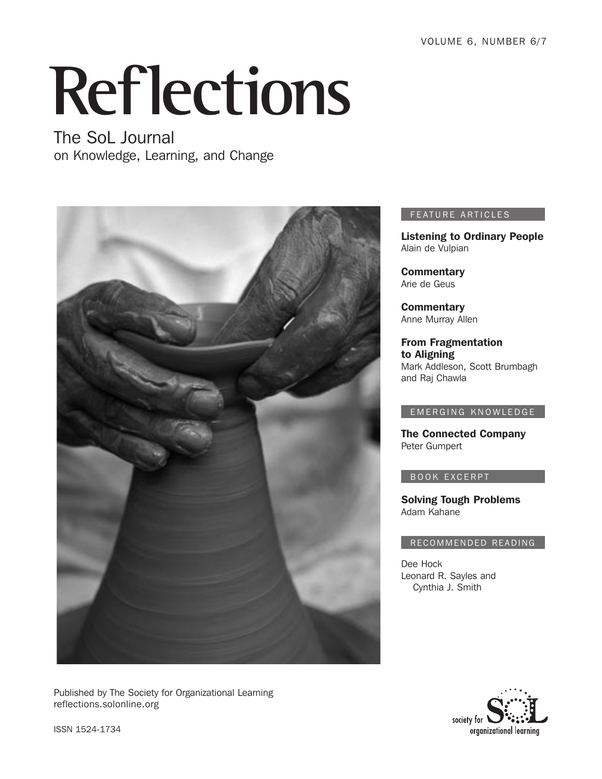VOLUME 6, NUMBER 6/7

# **Reflections**

# The SoL Journal on Knowledge, Learning, and Change



Published by The Society for Organizational Learning reflections.solonline.org

#### **FEATURE ARTICLES**

Listening to Ordinary People Alain de Vulpian

**Commentary** Arie de Geus

**Commentary** Anne Murray Allen

From Fragmentation to Aligning Mark Addleson, Scott Brumbagh and Raj Chawla

#### EMERGING KNOWLEDGE

The Connected Company Peter Gumpert

#### BOOK EXCERPT

Solving Tough Problems Adam Kahane

#### RECOMMENDED READING

Dee Hock Leonard R. Sayles and Cynthia J. Smith



ISSN 1524-1734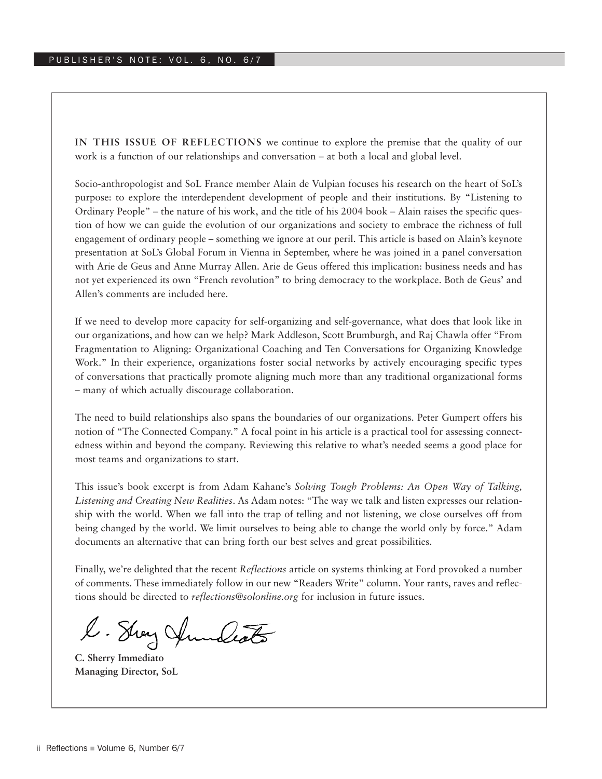**IN THIS ISSUE OF REFLECTIONS** we continue to explore the premise that the quality of our work is a function of our relationships and conversation – at both a local and global level.

Socio-anthropologist and SoL France member Alain de Vulpian focuses his research on the heart of SoL's purpose: to explore the interdependent development of people and their institutions. By "Listening to Ordinary People" – the nature of his work, and the title of his 2004 book – Alain raises the specific question of how we can guide the evolution of our organizations and society to embrace the richness of full engagement of ordinary people – something we ignore at our peril. This article is based on Alain's keynote presentation at SoL's Global Forum in Vienna in September, where he was joined in a panel conversation with Arie de Geus and Anne Murray Allen. Arie de Geus offered this implication: business needs and has not yet experienced its own "French revolution" to bring democracy to the workplace. Both de Geus' and Allen's comments are included here.

If we need to develop more capacity for self-organizing and self-governance, what does that look like in our organizations, and how can we help? Mark Addleson, Scott Brumburgh, and Raj Chawla offer "From Fragmentation to Aligning: Organizational Coaching and Ten Conversations for Organizing Knowledge Work." In their experience, organizations foster social networks by actively encouraging specific types of conversations that practically promote aligning much more than any traditional organizational forms – many of which actually discourage collaboration.

The need to build relationships also spans the boundaries of our organizations. Peter Gumpert offers his notion of "The Connected Company." A focal point in his article is a practical tool for assessing connectedness within and beyond the company. Reviewing this relative to what's needed seems a good place for most teams and organizations to start.

This issue's book excerpt is from Adam Kahane's *Solving Tough Problems: An Open Way of Talking, Listening and Creating New Realities*. As Adam notes: "The way we talk and listen expresses our relationship with the world. When we fall into the trap of telling and not listening, we close ourselves off from being changed by the world. We limit ourselves to being able to change the world only by force." Adam documents an alternative that can bring forth our best selves and great possibilities.

Finally, we're delighted that the recent *Reflections* article on systems thinking at Ford provoked a number of comments. These immediately follow in our new "Readers Write" column. Your rants, raves and reflections should be directed to *reflections@solonline.org* for inclusion in future issues.

l. Stray Annalests

**C. Sherry Immediato Managing Director, SoL**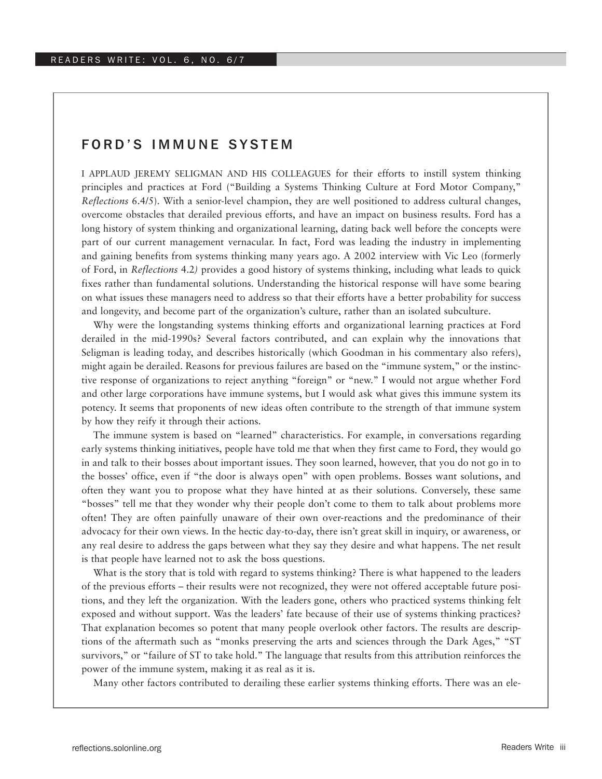# FORD'S IMMUNE SYSTEM

I APPLAUD JEREMY SELIGMAN AND HIS COLLEAGUES for their efforts to instill system thinking principles and practices at Ford ("Building a Systems Thinking Culture at Ford Motor Company," *Reflections* 6.4/5). With a senior-level champion, they are well positioned to address cultural changes, overcome obstacles that derailed previous efforts, and have an impact on business results. Ford has a long history of system thinking and organizational learning, dating back well before the concepts were part of our current management vernacular. In fact, Ford was leading the industry in implementing and gaining benefits from systems thinking many years ago. A 2002 interview with Vic Leo (formerly of Ford, in *Reflections* 4.2*)* provides a good history of systems thinking, including what leads to quick fixes rather than fundamental solutions. Understanding the historical response will have some bearing on what issues these managers need to address so that their efforts have a better probability for success and longevity, and become part of the organization's culture, rather than an isolated subculture.

Why were the longstanding systems thinking efforts and organizational learning practices at Ford derailed in the mid-1990s? Several factors contributed, and can explain why the innovations that Seligman is leading today, and describes historically (which Goodman in his commentary also refers), might again be derailed. Reasons for previous failures are based on the "immune system," or the instinctive response of organizations to reject anything "foreign" or "new." I would not argue whether Ford and other large corporations have immune systems, but I would ask what gives this immune system its potency. It seems that proponents of new ideas often contribute to the strength of that immune system by how they reify it through their actions.

The immune system is based on "learned" characteristics. For example, in conversations regarding early systems thinking initiatives, people have told me that when they first came to Ford, they would go in and talk to their bosses about important issues. They soon learned, however, that you do not go in to the bosses' office, even if "the door is always open" with open problems. Bosses want solutions, and often they want you to propose what they have hinted at as their solutions. Conversely, these same "bosses" tell me that they wonder why their people don't come to them to talk about problems more often! They are often painfully unaware of their own over-reactions and the predominance of their advocacy for their own views. In the hectic day-to-day, there isn't great skill in inquiry, or awareness, or any real desire to address the gaps between what they say they desire and what happens. The net result is that people have learned not to ask the boss questions.

What is the story that is told with regard to systems thinking? There is what happened to the leaders of the previous efforts – their results were not recognized, they were not offered acceptable future positions, and they left the organization. With the leaders gone, others who practiced systems thinking felt exposed and without support. Was the leaders' fate because of their use of systems thinking practices? That explanation becomes so potent that many people overlook other factors. The results are descriptions of the aftermath such as "monks preserving the arts and sciences through the Dark Ages," "ST survivors," or "failure of ST to take hold." The language that results from this attribution reinforces the power of the immune system, making it as real as it is.

Many other factors contributed to derailing these earlier systems thinking efforts. There was an ele-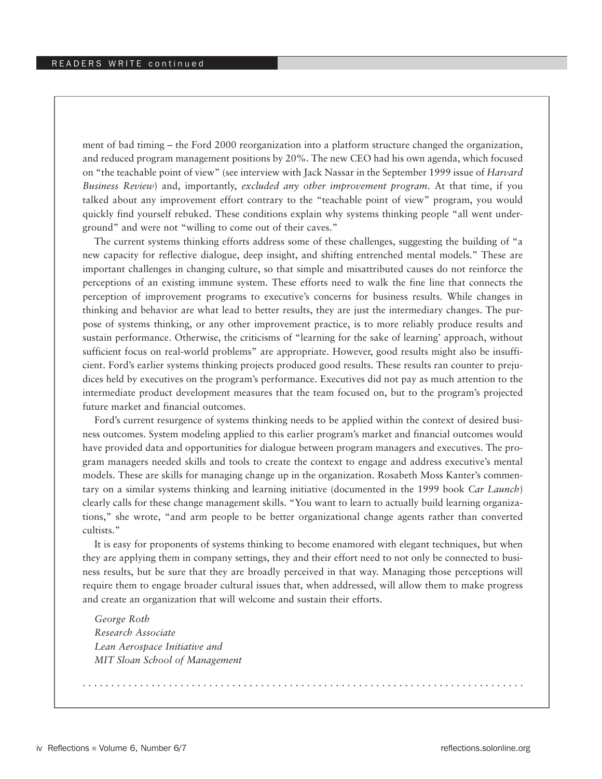ment of bad timing – the Ford 2000 reorganization into a platform structure changed the organization, and reduced program management positions by 20%. The new CEO had his own agenda, which focused on "the teachable point of view" (see interview with Jack Nassar in the September 1999 issue of *Harvard Business Review*) and, importantly, *excluded any other improvement program*. At that time, if you talked about any improvement effort contrary to the "teachable point of view" program, you would quickly find yourself rebuked. These conditions explain why systems thinking people "all went underground" and were not "willing to come out of their caves."

The current systems thinking efforts address some of these challenges, suggesting the building of "a new capacity for reflective dialogue, deep insight, and shifting entrenched mental models." These are important challenges in changing culture, so that simple and misattributed causes do not reinforce the perceptions of an existing immune system. These efforts need to walk the fine line that connects the perception of improvement programs to executive's concerns for business results. While changes in thinking and behavior are what lead to better results, they are just the intermediary changes. The purpose of systems thinking, or any other improvement practice, is to more reliably produce results and sustain performance. Otherwise, the criticisms of "learning for the sake of learning' approach, without sufficient focus on real-world problems" are appropriate. However, good results might also be insufficient. Ford's earlier systems thinking projects produced good results. These results ran counter to prejudices held by executives on the program's performance. Executives did not pay as much attention to the intermediate product development measures that the team focused on, but to the program's projected future market and financial outcomes.

Ford's current resurgence of systems thinking needs to be applied within the context of desired business outcomes. System modeling applied to this earlier program's market and financial outcomes would have provided data and opportunities for dialogue between program managers and executives. The program managers needed skills and tools to create the context to engage and address executive's mental models. These are skills for managing change up in the organization. Rosabeth Moss Kanter's commentary on a similar systems thinking and learning initiative (documented in the 1999 book *Car Launch*) clearly calls for these change management skills. "You want to learn to actually build learning organizations," she wrote, "and arm people to be better organizational change agents rather than converted cultists."

It is easy for proponents of systems thinking to become enamored with elegant techniques, but when they are applying them in company settings, they and their effort need to not only be connected to business results, but be sure that they are broadly perceived in that way. Managing those perceptions will require them to engage broader cultural issues that, when addressed, will allow them to make progress and create an organization that will welcome and sustain their efforts.

. . . . . . . . . . . . . . . . . . . . . . . . . . . . . . . . . . . . . . . . . . . . . . . . . . . . . . . . . . . . . . . . . . . . . . . . . . . . .

*George Roth Research Associate Lean Aerospace Initiative and MIT Sloan School of Management*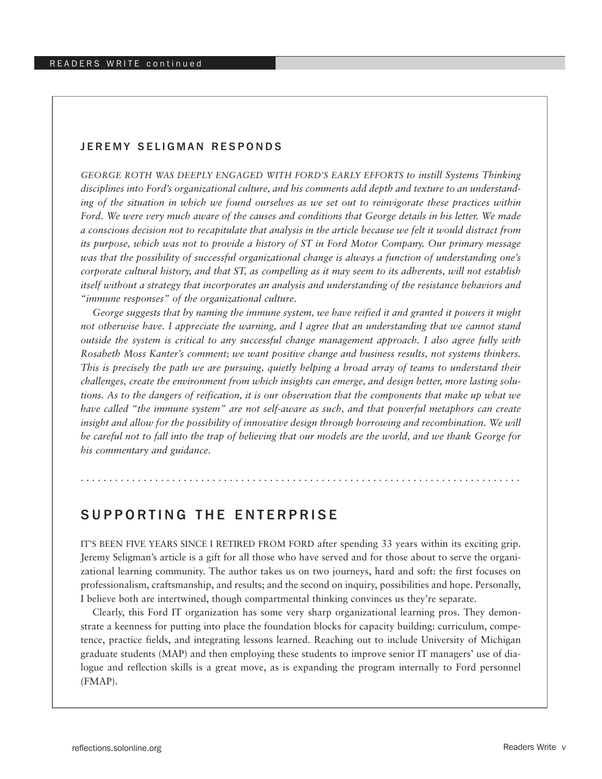#### JEREMY SELIGMAN RESPONDS

*GEORGE ROTH WAS DEEPLY ENGAGED WITH FORD'S EARLY EFFORTS to instill Systems Thinking disciplines into Ford's organizational culture, and his comments add depth and texture to an understanding of the situation in which we found ourselves as we set out to reinvigorate these practices within Ford. We were very much aware of the causes and conditions that George details in his letter. We made a conscious decision not to recapitulate that analysis in the article because we felt it would distract from its purpose, which was not to provide a history of ST in Ford Motor Company. Our primary message was that the possibility of successful organizational change is always a function of understanding one's corporate cultural history, and that ST, as compelling as it may seem to its adherents, will not establish itself without a strategy that incorporates an analysis and understanding of the resistance behaviors and "immune responses" of the organizational culture.* 

*George suggests that by naming the immune system, we have reified it and granted it powers it might not otherwise have. I appreciate the warning, and I agree that an understanding that we cannot stand outside the system is critical to any successful change management approach. I also agree fully with Rosabeth Moss Kanter's comment; we want positive change and business results, not systems thinkers. This is precisely the path we are pursuing, quietly helping a broad array of teams to understand their challenges, create the environment from which insights can emerge, and design better, more lasting solutions. As to the dangers of reification, it is our observation that the components that make up what we have called "the immune system" are not self-aware as such, and that powerful metaphors can create insight and allow for the possibility of innovative design through borrowing and recombination. We will be careful not to fall into the trap of believing that our models are the world, and we thank George for his commentary and guidance.* 

# SUPPORTING THE ENTERPRISE

IT'S BEEN FIVE YEARS SINCE I RETIRED FROM FORD after spending 33 years within its exciting grip. Jeremy Seligman's article is a gift for all those who have served and for those about to serve the organizational learning community. The author takes us on two journeys, hard and soft: the first focuses on professionalism, craftsmanship, and results; and the second on inquiry, possibilities and hope. Personally, I believe both are intertwined, though compartmental thinking convinces us they're separate.

. . . . . . . . . . . . . . . . . . . . . . . . . . . . . . . . . . . . . . . . . . . . . . . . . . . . . . . . . . . . . . . . . . . . . . . . . . . . .

Clearly, this Ford IT organization has some very sharp organizational learning pros. They demonstrate a keenness for putting into place the foundation blocks for capacity building: curriculum, competence, practice fields, and integrating lessons learned. Reaching out to include University of Michigan graduate students (MAP) and then employing these students to improve senior IT managers' use of dialogue and reflection skills is a great move, as is expanding the program internally to Ford personnel (FMAP).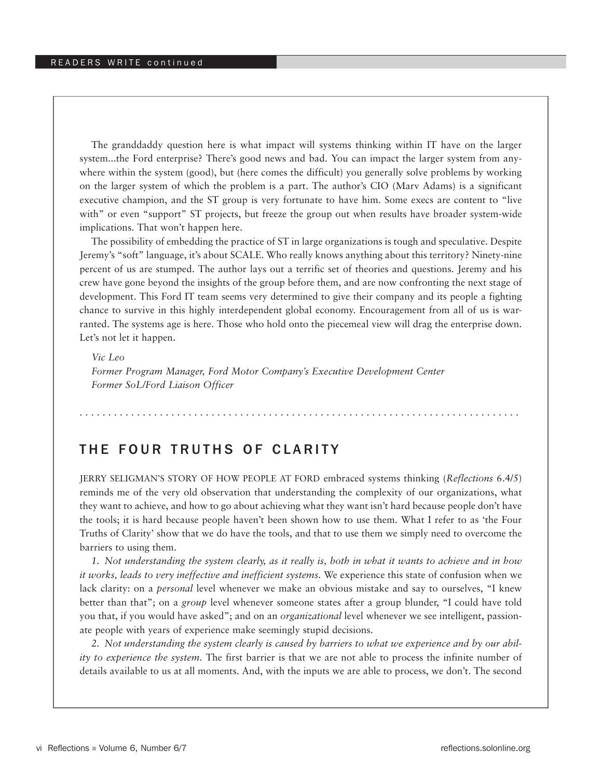The granddaddy question here is what impact will systems thinking within IT have on the larger system...the Ford enterprise? There's good news and bad. You can impact the larger system from anywhere within the system (good), but (here comes the difficult) you generally solve problems by working on the larger system of which the problem is a part. The author's CIO (Marv Adams) is a significant executive champion, and the ST group is very fortunate to have him. Some execs are content to "live with" or even "support" ST projects, but freeze the group out when results have broader system-wide implications. That won't happen here.

The possibility of embedding the practice of ST in large organizations is tough and speculative. Despite Jeremy's "soft" language, it's about SCALE. Who really knows anything about this territory? Ninety-nine percent of us are stumped. The author lays out a terrific set of theories and questions. Jeremy and his crew have gone beyond the insights of the group before them, and are now confronting the next stage of development. This Ford IT team seems very determined to give their company and its people a fighting chance to survive in this highly interdependent global economy. Encouragement from all of us is warranted. The systems age is here. Those who hold onto the piecemeal view will drag the enterprise down. Let's not let it happen.

*Vic Leo* 

*Former Program Manager, Ford Motor Company's Executive Development Center Former SoL/Ford Liaison Officer*

# THE FOUR TRUTHS OF CLARITY

JERRY SELIGMAN'S STORY OF HOW PEOPLE AT FORD embraced systems thinking (*Reflections* 6.4/5) reminds me of the very old observation that understanding the complexity of our organizations, what they want to achieve, and how to go about achieving what they want isn't hard because people don't have the tools; it is hard because people haven't been shown how to use them. What I refer to as 'the Four Truths of Clarity' show that we do have the tools, and that to use them we simply need to overcome the barriers to using them.

. . . . . . . . . . . . . . . . . . . . . . . . . . . . . . . . . . . . . . . . . . . . . . . . . . . . . . . . . . . . . . . . . . . . . . . . . . . . .

*1. Not understanding the system clearly, as it really is, both in what it wants to achieve and in how it works, leads to very ineffective and inefficient systems.* We experience this state of confusion when we lack clarity: on a *personal* level whenever we make an obvious mistake and say to ourselves, "I knew better than that"; on a *group* level whenever someone states after a group blunder, "I could have told you that, if you would have asked"; and on an *organizational* level whenever we see intelligent, passionate people with years of experience make seemingly stupid decisions.

*2. Not understanding the system clearly is caused by barriers to what we experience and by our ability to experience the system.* The first barrier is that we are not able to process the infinite number of details available to us at all moments. And, with the inputs we are able to process, we don't. The second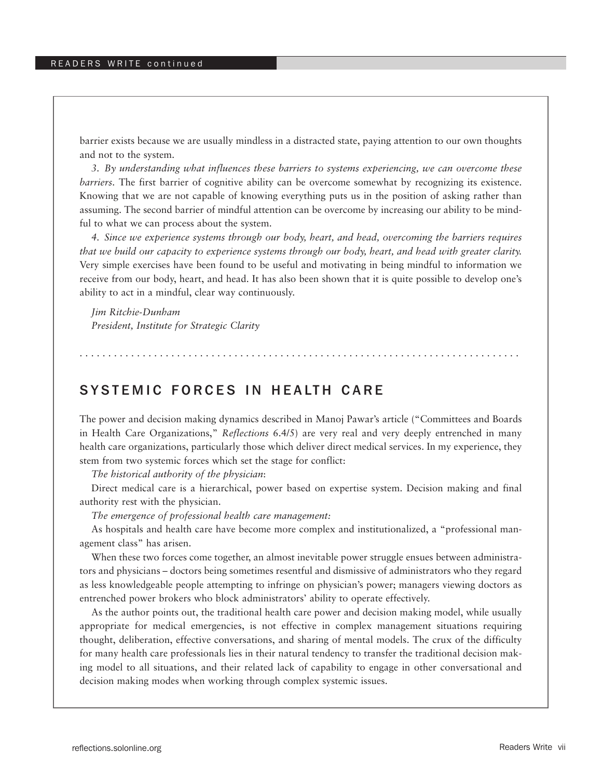barrier exists because we are usually mindless in a distracted state, paying attention to our own thoughts and not to the system.

*3. By understanding what influences these barriers to systems experiencing, we can overcome these barriers.* The first barrier of cognitive ability can be overcome somewhat by recognizing its existence. Knowing that we are not capable of knowing everything puts us in the position of asking rather than assuming. The second barrier of mindful attention can be overcome by increasing our ability to be mindful to what we can process about the system.

*4. Since we experience systems through our body, heart, and head, overcoming the barriers requires that we build our capacity to experience systems through our body, heart, and head with greater clarity.* Very simple exercises have been found to be useful and motivating in being mindful to information we receive from our body, heart, and head. It has also been shown that it is quite possible to develop one's ability to act in a mindful, clear way continuously.

*Jim Ritchie-Dunham President, Institute for Strategic Clarity*

SYSTEMIC FORCES IN HEALTH CARE

The power and decision making dynamics described in Manoj Pawar's article ("Committees and Boards in Health Care Organizations," *Reflections* 6.4/5) are very real and very deeply entrenched in many health care organizations, particularly those which deliver direct medical services. In my experience, they stem from two systemic forces which set the stage for conflict:

. . . . . . . . . . . . . . . . . . . . . . . . . . . . . . . . . . . . . . . . . . . . . . . . . . . . . . . . . . . . . . . . . . . . . . . . . . . . .

*The historical authority of the physician*:

Direct medical care is a hierarchical, power based on expertise system. Decision making and final authority rest with the physician.

*The emergence of professional health care management:* 

As hospitals and health care have become more complex and institutionalized, a "professional management class" has arisen.

When these two forces come together, an almost inevitable power struggle ensues between administrators and physicians – doctors being sometimes resentful and dismissive of administrators who they regard as less knowledgeable people attempting to infringe on physician's power; managers viewing doctors as entrenched power brokers who block administrators' ability to operate effectively.

As the author points out, the traditional health care power and decision making model, while usually appropriate for medical emergencies, is not effective in complex management situations requiring thought, deliberation, effective conversations, and sharing of mental models. The crux of the difficulty for many health care professionals lies in their natural tendency to transfer the traditional decision making model to all situations, and their related lack of capability to engage in other conversational and decision making modes when working through complex systemic issues.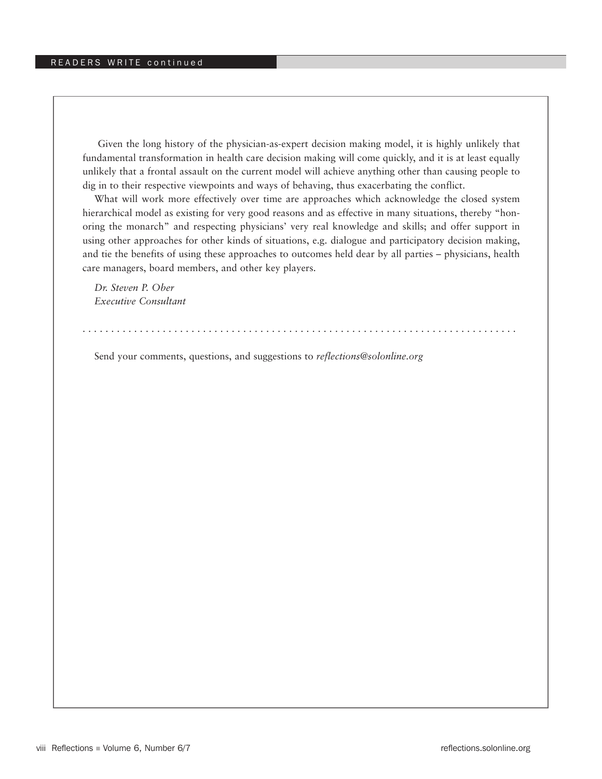Given the long history of the physician-as-expert decision making model, it is highly unlikely that fundamental transformation in health care decision making will come quickly, and it is at least equally unlikely that a frontal assault on the current model will achieve anything other than causing people to dig in to their respective viewpoints and ways of behaving, thus exacerbating the conflict.

What will work more effectively over time are approaches which acknowledge the closed system hierarchical model as existing for very good reasons and as effective in many situations, thereby "honoring the monarch" and respecting physicians' very real knowledge and skills; and offer support in using other approaches for other kinds of situations, e.g. dialogue and participatory decision making, and tie the benefits of using these approaches to outcomes held dear by all parties – physicians, health care managers, board members, and other key players.

. . . . . . . . . . . . . . . . . . . . . . . . . . . . . . . . . . . . . . . . . . . . . . . . . . . . . . . . . . . . . . . . . . . . . . . . . . . .

*Dr. Steven P. Ober Executive Consultant* 

Send your comments, questions, and suggestions to *reflections@solonline.org*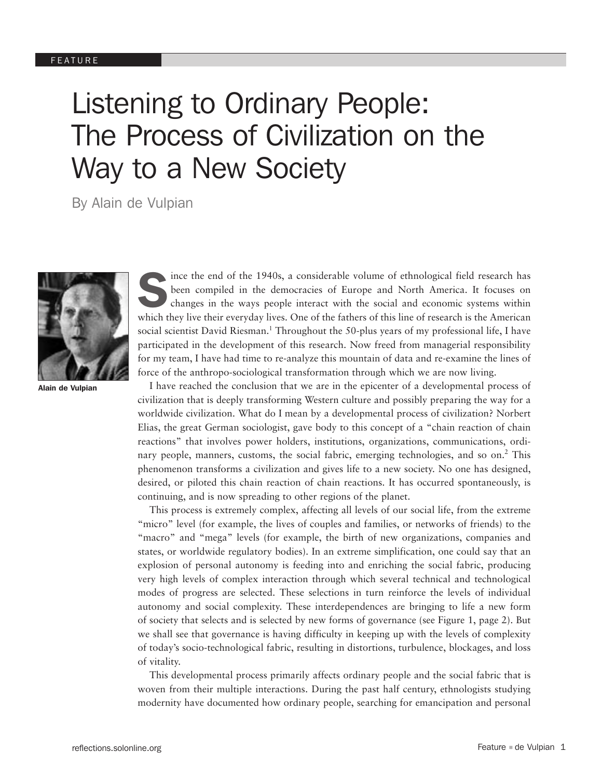# Listening to Ordinary People: The Process of Civilization on the Way to a New Society

By Alain de Vulpian



Alain de Vulpian

ince the end of the 1940s, a considerable volume of ethnological field research has been compiled in the democracies of Europe and North America. It focuses on changes in the ways people interact with the social and economic systems within which they live their everyday lives. One of the fathers of this line of research is the American social scientist David Riesman.<sup>1</sup> Throughout the 50-plus years of my professional life, I have participated in the development of this research. Now freed from managerial responsibility for my team, I have had time to re-analyze this mountain of data and re-examine the lines of force of the anthropo-sociological transformation through which we are now living. S

I have reached the conclusion that we are in the epicenter of a developmental process of civilization that is deeply transforming Western culture and possibly preparing the way for a worldwide civilization. What do I mean by a developmental process of civilization? Norbert Elias, the great German sociologist, gave body to this concept of a "chain reaction of chain reactions" that involves power holders, institutions, organizations, communications, ordinary people, manners, customs, the social fabric, emerging technologies, and so on. $2$  This phenomenon transforms a civilization and gives life to a new society. No one has designed, desired, or piloted this chain reaction of chain reactions. It has occurred spontaneously, is continuing, and is now spreading to other regions of the planet.

This process is extremely complex, affecting all levels of our social life, from the extreme "micro" level (for example, the lives of couples and families, or networks of friends) to the "macro" and "mega" levels (for example, the birth of new organizations, companies and states, or worldwide regulatory bodies). In an extreme simplification, one could say that an explosion of personal autonomy is feeding into and enriching the social fabric, producing very high levels of complex interaction through which several technical and technological modes of progress are selected. These selections in turn reinforce the levels of individual autonomy and social complexity. These interdependences are bringing to life a new form of society that selects and is selected by new forms of governance (see Figure 1, page 2). But we shall see that governance is having difficulty in keeping up with the levels of complexity of today's socio-technological fabric, resulting in distortions, turbulence, blockages, and loss of vitality.

This developmental process primarily affects ordinary people and the social fabric that is woven from their multiple interactions. During the past half century, ethnologists studying modernity have documented how ordinary people, searching for emancipation and personal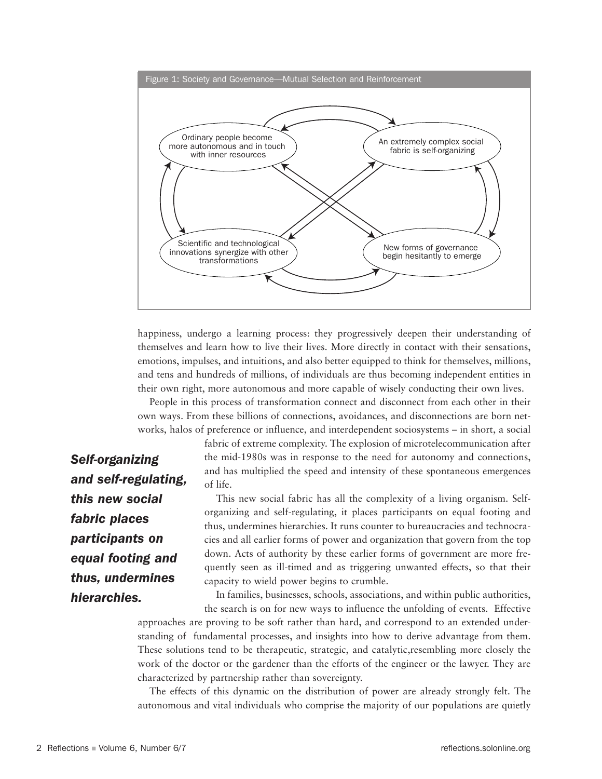

happiness, undergo a learning process: they progressively deepen their understanding of themselves and learn how to live their lives. More directly in contact with their sensations, emotions, impulses, and intuitions, and also better equipped to think for themselves, millions, and tens and hundreds of millions, of individuals are thus becoming independent entities in their own right, more autonomous and more capable of wisely conducting their own lives.

People in this process of transformation connect and disconnect from each other in their own ways. From these billions of connections, avoidances, and disconnections are born networks, halos of preference or influence, and interdependent sociosystems – in short, a social

*Self-organizing and self-regulating, this new social fabric places participants on equal footing and thus, undermines hierarchies.*

fabric of extreme complexity. The explosion of microtelecommunication after the mid-1980s was in response to the need for autonomy and connections, and has multiplied the speed and intensity of these spontaneous emergences of life.

This new social fabric has all the complexity of a living organism. Selforganizing and self-regulating, it places participants on equal footing and thus, undermines hierarchies. It runs counter to bureaucracies and technocracies and all earlier forms of power and organization that govern from the top down. Acts of authority by these earlier forms of government are more frequently seen as ill-timed and as triggering unwanted effects, so that their capacity to wield power begins to crumble.

In families, businesses, schools, associations, and within public authorities, the search is on for new ways to influence the unfolding of events. Effective

approaches are proving to be soft rather than hard, and correspond to an extended understanding of fundamental processes, and insights into how to derive advantage from them. These solutions tend to be therapeutic, strategic, and catalytic,resembling more closely the work of the doctor or the gardener than the efforts of the engineer or the lawyer. They are characterized by partnership rather than sovereignty.

The effects of this dynamic on the distribution of power are already strongly felt. The autonomous and vital individuals who comprise the majority of our populations are quietly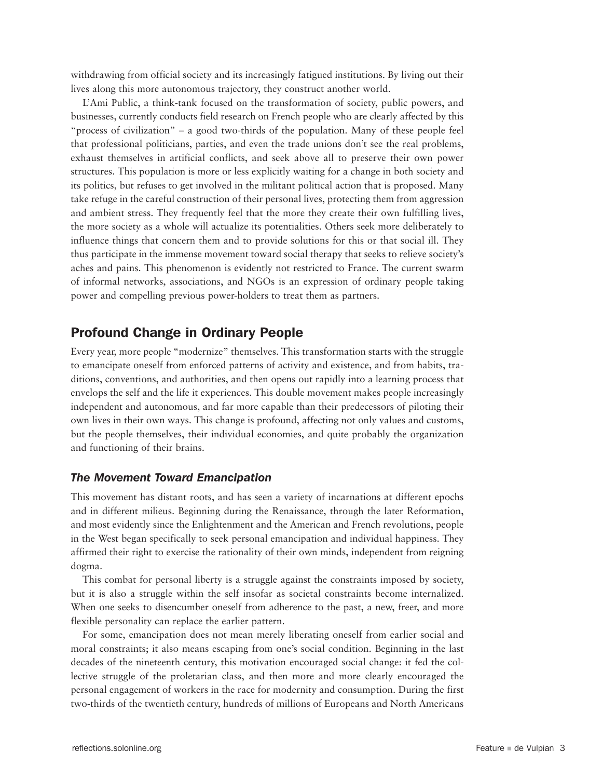withdrawing from official society and its increasingly fatigued institutions. By living out their lives along this more autonomous trajectory, they construct another world.

L'Ami Public, a think-tank focused on the transformation of society, public powers, and businesses, currently conducts field research on French people who are clearly affected by this "process of civilization" – a good two-thirds of the population. Many of these people feel that professional politicians, parties, and even the trade unions don't see the real problems, exhaust themselves in artificial conflicts, and seek above all to preserve their own power structures. This population is more or less explicitly waiting for a change in both society and its politics, but refuses to get involved in the militant political action that is proposed. Many take refuge in the careful construction of their personal lives, protecting them from aggression and ambient stress. They frequently feel that the more they create their own fulfilling lives, the more society as a whole will actualize its potentialities. Others seek more deliberately to influence things that concern them and to provide solutions for this or that social ill. They thus participate in the immense movement toward social therapy that seeks to relieve society's aches and pains. This phenomenon is evidently not restricted to France. The current swarm of informal networks, associations, and NGOs is an expression of ordinary people taking power and compelling previous power-holders to treat them as partners.

# Profound Change in Ordinary People

Every year, more people "modernize" themselves. This transformation starts with the struggle to emancipate oneself from enforced patterns of activity and existence, and from habits, traditions, conventions, and authorities, and then opens out rapidly into a learning process that envelops the self and the life it experiences. This double movement makes people increasingly independent and autonomous, and far more capable than their predecessors of piloting their own lives in their own ways. This change is profound, affecting not only values and customs, but the people themselves, their individual economies, and quite probably the organization and functioning of their brains.

#### *The Movement Toward Emancipation*

This movement has distant roots, and has seen a variety of incarnations at different epochs and in different milieus. Beginning during the Renaissance, through the later Reformation, and most evidently since the Enlightenment and the American and French revolutions, people in the West began specifically to seek personal emancipation and individual happiness. They affirmed their right to exercise the rationality of their own minds, independent from reigning dogma.

This combat for personal liberty is a struggle against the constraints imposed by society, but it is also a struggle within the self insofar as societal constraints become internalized. When one seeks to disencumber oneself from adherence to the past, a new, freer, and more flexible personality can replace the earlier pattern.

For some, emancipation does not mean merely liberating oneself from earlier social and moral constraints; it also means escaping from one's social condition. Beginning in the last decades of the nineteenth century, this motivation encouraged social change: it fed the collective struggle of the proletarian class, and then more and more clearly encouraged the personal engagement of workers in the race for modernity and consumption. During the first two-thirds of the twentieth century, hundreds of millions of Europeans and North Americans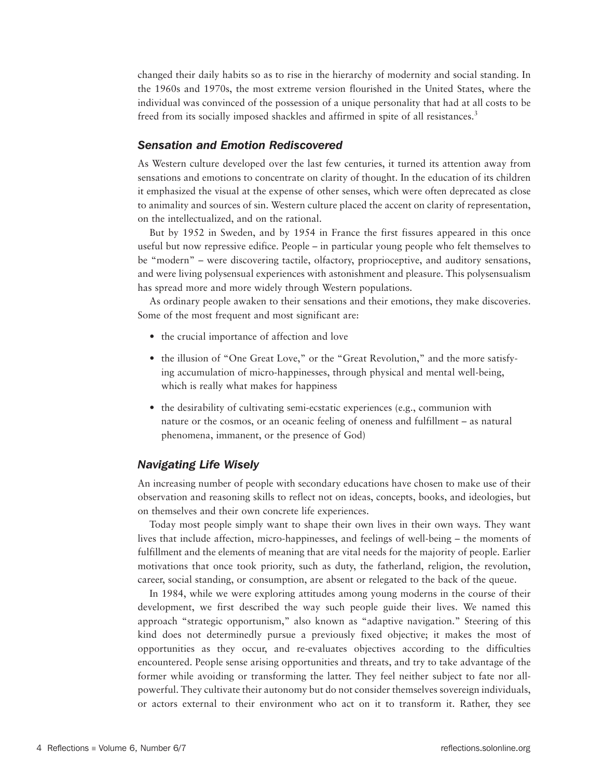changed their daily habits so as to rise in the hierarchy of modernity and social standing. In the 1960s and 1970s, the most extreme version flourished in the United States, where the individual was convinced of the possession of a unique personality that had at all costs to be freed from its socially imposed shackles and affirmed in spite of all resistances.<sup>3</sup>

#### *Sensation and Emotion Rediscovered*

As Western culture developed over the last few centuries, it turned its attention away from sensations and emotions to concentrate on clarity of thought. In the education of its children it emphasized the visual at the expense of other senses, which were often deprecated as close to animality and sources of sin. Western culture placed the accent on clarity of representation, on the intellectualized, and on the rational.

But by 1952 in Sweden, and by 1954 in France the first fissures appeared in this once useful but now repressive edifice. People – in particular young people who felt themselves to be "modern" – were discovering tactile, olfactory, proprioceptive, and auditory sensations, and were living polysensual experiences with astonishment and pleasure. This polysensualism has spread more and more widely through Western populations.

As ordinary people awaken to their sensations and their emotions, they make discoveries. Some of the most frequent and most significant are:

- the crucial importance of affection and love
- the illusion of "One Great Love," or the "Great Revolution," and the more satisfying accumulation of micro-happinesses, through physical and mental well-being, which is really what makes for happiness
- the desirability of cultivating semi-ecstatic experiences (e.g., communion with nature or the cosmos, or an oceanic feeling of oneness and fulfillment – as natural phenomena, immanent, or the presence of God)

#### *Navigating Life Wisely*

An increasing number of people with secondary educations have chosen to make use of their observation and reasoning skills to reflect not on ideas, concepts, books, and ideologies, but on themselves and their own concrete life experiences.

Today most people simply want to shape their own lives in their own ways. They want lives that include affection, micro-happinesses, and feelings of well-being – the moments of fulfillment and the elements of meaning that are vital needs for the majority of people. Earlier motivations that once took priority, such as duty, the fatherland, religion, the revolution, career, social standing, or consumption, are absent or relegated to the back of the queue.

In 1984, while we were exploring attitudes among young moderns in the course of their development, we first described the way such people guide their lives. We named this approach "strategic opportunism," also known as "adaptive navigation." Steering of this kind does not determinedly pursue a previously fixed objective; it makes the most of opportunities as they occur, and re-evaluates objectives according to the difficulties encountered. People sense arising opportunities and threats, and try to take advantage of the former while avoiding or transforming the latter. They feel neither subject to fate nor allpowerful. They cultivate their autonomy but do not consider themselves sovereign individuals, or actors external to their environment who act on it to transform it. Rather, they see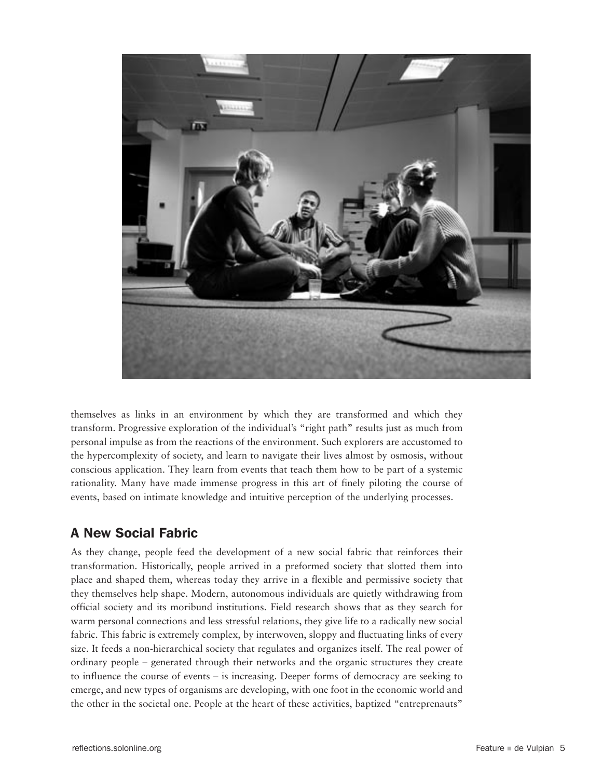

themselves as links in an environment by which they are transformed and which they transform. Progressive exploration of the individual's "right path" results just as much from personal impulse as from the reactions of the environment. Such explorers are accustomed to the hypercomplexity of society, and learn to navigate their lives almost by osmosis, without conscious application. They learn from events that teach them how to be part of a systemic rationality. Many have made immense progress in this art of finely piloting the course of events, based on intimate knowledge and intuitive perception of the underlying processes.

# A New Social Fabric

As they change, people feed the development of a new social fabric that reinforces their transformation. Historically, people arrived in a preformed society that slotted them into place and shaped them, whereas today they arrive in a flexible and permissive society that they themselves help shape. Modern, autonomous individuals are quietly withdrawing from official society and its moribund institutions. Field research shows that as they search for warm personal connections and less stressful relations, they give life to a radically new social fabric. This fabric is extremely complex, by interwoven, sloppy and fluctuating links of every size. It feeds a non-hierarchical society that regulates and organizes itself. The real power of ordinary people – generated through their networks and the organic structures they create to influence the course of events – is increasing. Deeper forms of democracy are seeking to emerge, and new types of organisms are developing, with one foot in the economic world and the other in the societal one. People at the heart of these activities, baptized "entreprenauts"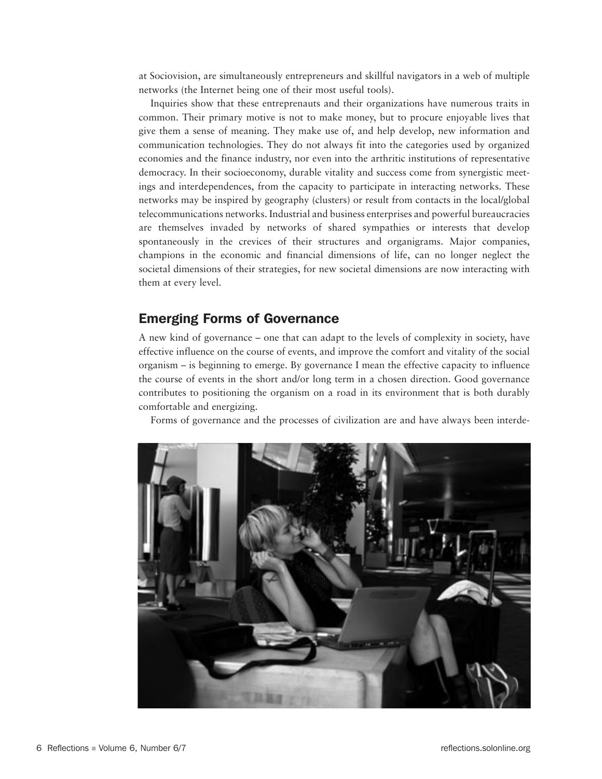at Sociovision, are simultaneously entrepreneurs and skillful navigators in a web of multiple networks (the Internet being one of their most useful tools).

Inquiries show that these entreprenauts and their organizations have numerous traits in common. Their primary motive is not to make money, but to procure enjoyable lives that give them a sense of meaning. They make use of, and help develop, new information and communication technologies. They do not always fit into the categories used by organized economies and the finance industry, nor even into the arthritic institutions of representative democracy. In their socioeconomy, durable vitality and success come from synergistic meetings and interdependences, from the capacity to participate in interacting networks. These networks may be inspired by geography (clusters) or result from contacts in the local/global telecommunications networks. Industrial and business enterprises and powerful bureaucracies are themselves invaded by networks of shared sympathies or interests that develop spontaneously in the crevices of their structures and organigrams. Major companies, champions in the economic and financial dimensions of life, can no longer neglect the societal dimensions of their strategies, for new societal dimensions are now interacting with them at every level.

# Emerging Forms of Governance

A new kind of governance – one that can adapt to the levels of complexity in society, have effective influence on the course of events, and improve the comfort and vitality of the social organism – is beginning to emerge. By governance I mean the effective capacity to influence the course of events in the short and/or long term in a chosen direction. Good governance contributes to positioning the organism on a road in its environment that is both durably comfortable and energizing.

Forms of governance and the processes of civilization are and have always been interde-

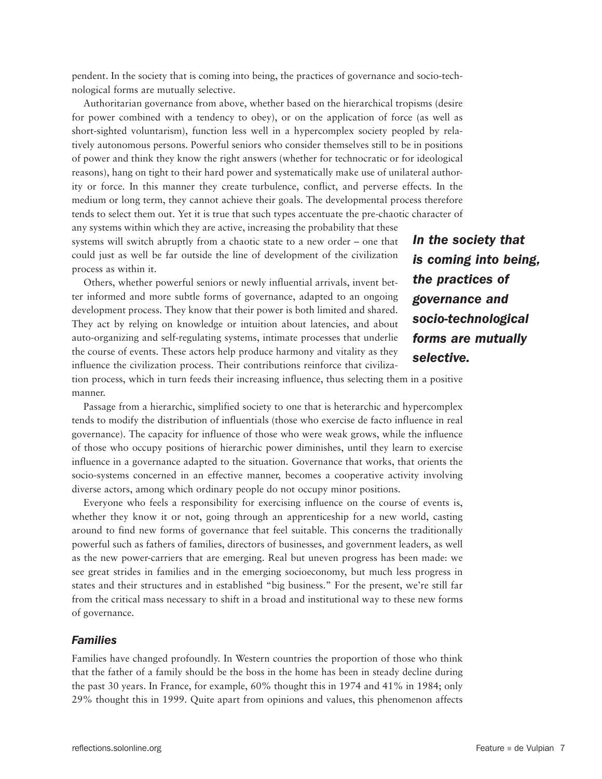pendent. In the society that is coming into being, the practices of governance and socio-technological forms are mutually selective.

Authoritarian governance from above, whether based on the hierarchical tropisms (desire for power combined with a tendency to obey), or on the application of force (as well as short-sighted voluntarism), function less well in a hypercomplex society peopled by relatively autonomous persons. Powerful seniors who consider themselves still to be in positions of power and think they know the right answers (whether for technocratic or for ideological reasons), hang on tight to their hard power and systematically make use of unilateral authority or force. In this manner they create turbulence, conflict, and perverse effects. In the medium or long term, they cannot achieve their goals. The developmental process therefore tends to select them out. Yet it is true that such types accentuate the pre-chaotic character of

any systems within which they are active, increasing the probability that these systems will switch abruptly from a chaotic state to a new order – one that could just as well be far outside the line of development of the civilization process as within it.

Others, whether powerful seniors or newly influential arrivals, invent better informed and more subtle forms of governance, adapted to an ongoing development process. They know that their power is both limited and shared. They act by relying on knowledge or intuition about latencies, and about auto-organizing and self-regulating systems, intimate processes that underlie the course of events. These actors help produce harmony and vitality as they influence the civilization process. Their contributions reinforce that civiliza-

*In the society that is coming into being, the practices of governance and socio-technological forms are mutually selective.*

tion process, which in turn feeds their increasing influence, thus selecting them in a positive manner.

Passage from a hierarchic, simplified society to one that is heterarchic and hypercomplex tends to modify the distribution of influentials (those who exercise de facto influence in real governance). The capacity for influence of those who were weak grows, while the influence of those who occupy positions of hierarchic power diminishes, until they learn to exercise influence in a governance adapted to the situation. Governance that works, that orients the socio-systems concerned in an effective manner, becomes a cooperative activity involving diverse actors, among which ordinary people do not occupy minor positions.

Everyone who feels a responsibility for exercising influence on the course of events is, whether they know it or not, going through an apprenticeship for a new world, casting around to find new forms of governance that feel suitable. This concerns the traditionally powerful such as fathers of families, directors of businesses, and government leaders, as well as the new power-carriers that are emerging. Real but uneven progress has been made: we see great strides in families and in the emerging socioeconomy, but much less progress in states and their structures and in established "big business." For the present, we're still far from the critical mass necessary to shift in a broad and institutional way to these new forms of governance.

#### *Families*

Families have changed profoundly. In Western countries the proportion of those who think that the father of a family should be the boss in the home has been in steady decline during the past 30 years. In France, for example, 60% thought this in 1974 and 41% in 1984; only 29% thought this in 1999. Quite apart from opinions and values, this phenomenon affects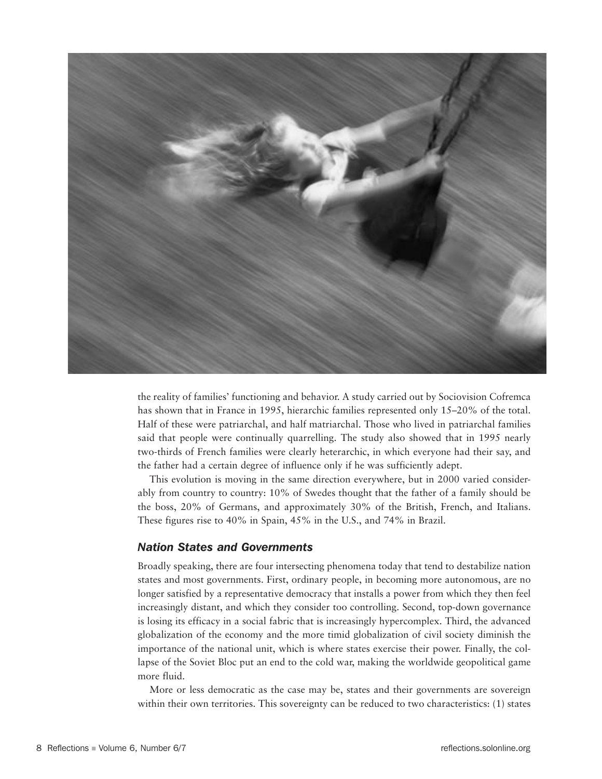

the reality of families' functioning and behavior. A study carried out by Sociovision Cofremca has shown that in France in 1995, hierarchic families represented only 15–20% of the total. Half of these were patriarchal, and half matriarchal. Those who lived in patriarchal families said that people were continually quarrelling. The study also showed that in 1995 nearly two-thirds of French families were clearly heterarchic, in which everyone had their say, and the father had a certain degree of influence only if he was sufficiently adept.

This evolution is moving in the same direction everywhere, but in 2000 varied considerably from country to country: 10% of Swedes thought that the father of a family should be the boss, 20% of Germans, and approximately 30% of the British, French, and Italians. These figures rise to 40% in Spain, 45% in the U.S., and 74% in Brazil.

#### *Nation States and Governments*

Broadly speaking, there are four intersecting phenomena today that tend to destabilize nation states and most governments. First, ordinary people, in becoming more autonomous, are no longer satisfied by a representative democracy that installs a power from which they then feel increasingly distant, and which they consider too controlling. Second, top-down governance is losing its efficacy in a social fabric that is increasingly hypercomplex. Third, the advanced globalization of the economy and the more timid globalization of civil society diminish the importance of the national unit, which is where states exercise their power. Finally, the collapse of the Soviet Bloc put an end to the cold war, making the worldwide geopolitical game more fluid.

More or less democratic as the case may be, states and their governments are sovereign within their own territories. This sovereignty can be reduced to two characteristics: (1) states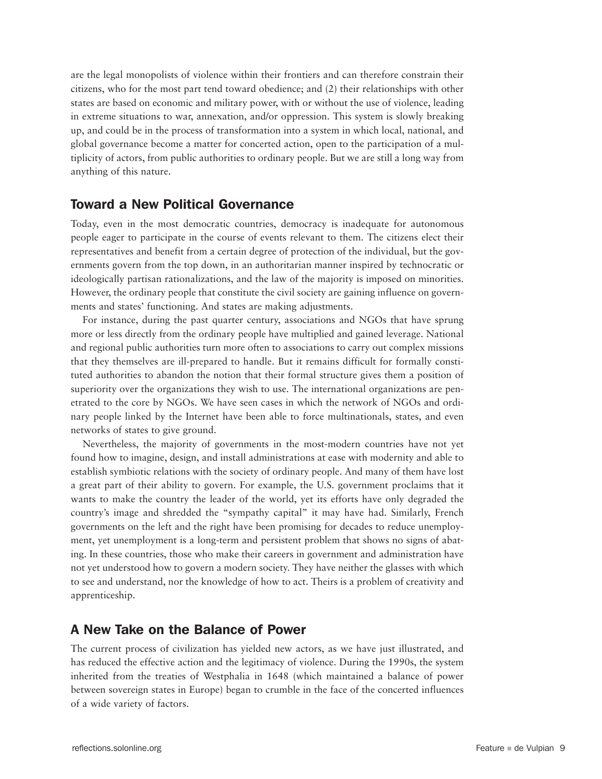are the legal monopolists of violence within their frontiers and can therefore constrain their citizens, who for the most part tend toward obedience; and (2) their relationships with other states are based on economic and military power, with or without the use of violence, leading in extreme situations to war, annexation, and/or oppression. This system is slowly breaking up, and could be in the process of transformation into a system in which local, national, and global governance become a matter for concerted action, open to the participation of a multiplicity of actors, from public authorities to ordinary people. But we are still a long way from anything of this nature.

# Toward a New Political Governance

Today, even in the most democratic countries, democracy is inadequate for autonomous people eager to participate in the course of events relevant to them. The citizens elect their representatives and benefit from a certain degree of protection of the individual, but the governments govern from the top down, in an authoritarian manner inspired by technocratic or ideologically partisan rationalizations, and the law of the majority is imposed on minorities. However, the ordinary people that constitute the civil society are gaining influence on governments and states' functioning. And states are making adjustments.

For instance, during the past quarter century, associations and NGOs that have sprung more or less directly from the ordinary people have multiplied and gained leverage. National and regional public authorities turn more often to associations to carry out complex missions that they themselves are ill-prepared to handle. But it remains difficult for formally constituted authorities to abandon the notion that their formal structure gives them a position of superiority over the organizations they wish to use. The international organizations are penetrated to the core by NGOs. We have seen cases in which the network of NGOs and ordinary people linked by the Internet have been able to force multinationals, states, and even networks of states to give ground.

Nevertheless, the majority of governments in the most-modern countries have not yet found how to imagine, design, and install administrations at ease with modernity and able to establish symbiotic relations with the society of ordinary people. And many of them have lost a great part of their ability to govern. For example, the U.S. government proclaims that it wants to make the country the leader of the world, yet its efforts have only degraded the country's image and shredded the "sympathy capital" it may have had. Similarly, French governments on the left and the right have been promising for decades to reduce unemployment, yet unemployment is a long-term and persistent problem that shows no signs of abating. In these countries, those who make their careers in government and administration have not yet understood how to govern a modern society. They have neither the glasses with which to see and understand, nor the knowledge of how to act. Theirs is a problem of creativity and apprenticeship.

# A New Take on the Balance of Power

The current process of civilization has yielded new actors, as we have just illustrated, and has reduced the effective action and the legitimacy of violence. During the 1990s, the system inherited from the treaties of Westphalia in 1648 (which maintained a balance of power between sovereign states in Europe) began to crumble in the face of the concerted influences of a wide variety of factors.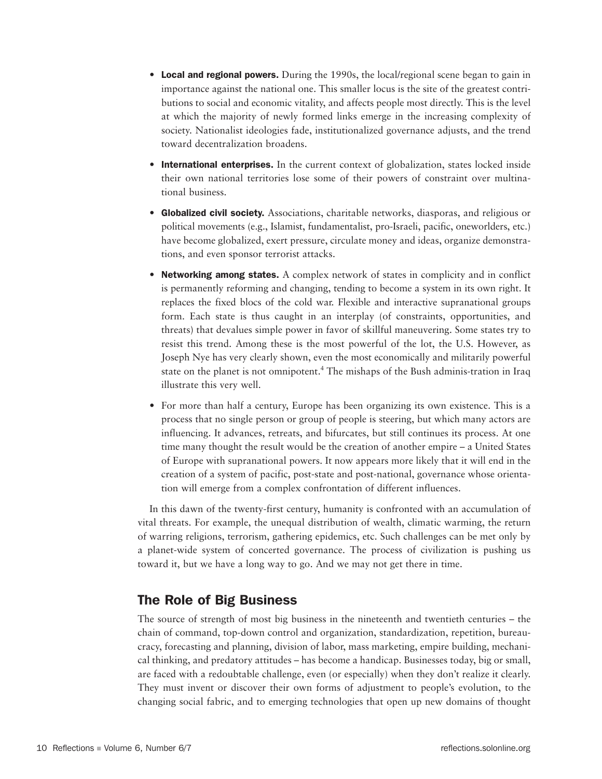- Local and regional powers. During the 1990s, the local/regional scene began to gain in importance against the national one. This smaller locus is the site of the greatest contributions to social and economic vitality, and affects people most directly. This is the level at which the majority of newly formed links emerge in the increasing complexity of society. Nationalist ideologies fade, institutionalized governance adjusts, and the trend toward decentralization broadens.
- International enterprises. In the current context of globalization, states locked inside their own national territories lose some of their powers of constraint over multinational business.
- Globalized civil society. Associations, charitable networks, diasporas, and religious or political movements (e.g., Islamist, fundamentalist, pro-Israeli, pacific, oneworlders, etc.) have become globalized, exert pressure, circulate money and ideas, organize demonstrations, and even sponsor terrorist attacks.
- Networking among states. A complex network of states in complicity and in conflict is permanently reforming and changing, tending to become a system in its own right. It replaces the fixed blocs of the cold war. Flexible and interactive supranational groups form. Each state is thus caught in an interplay (of constraints, opportunities, and threats) that devalues simple power in favor of skillful maneuvering. Some states try to resist this trend. Among these is the most powerful of the lot, the U.S. However, as Joseph Nye has very clearly shown, even the most economically and militarily powerful state on the planet is not omnipotent.<sup>4</sup> The mishaps of the Bush adminis-tration in Iraq illustrate this very well.
- For more than half a century, Europe has been organizing its own existence. This is a process that no single person or group of people is steering, but which many actors are influencing. It advances, retreats, and bifurcates, but still continues its process. At one time many thought the result would be the creation of another empire – a United States of Europe with supranational powers. It now appears more likely that it will end in the creation of a system of pacific, post-state and post-national, governance whose orientation will emerge from a complex confrontation of different influences.

In this dawn of the twenty-first century, humanity is confronted with an accumulation of vital threats. For example, the unequal distribution of wealth, climatic warming, the return of warring religions, terrorism, gathering epidemics, etc. Such challenges can be met only by a planet-wide system of concerted governance. The process of civilization is pushing us toward it, but we have a long way to go. And we may not get there in time.

# The Role of Big Business

The source of strength of most big business in the nineteenth and twentieth centuries – the chain of command, top-down control and organization, standardization, repetition, bureaucracy, forecasting and planning, division of labor, mass marketing, empire building, mechanical thinking, and predatory attitudes – has become a handicap. Businesses today, big or small, are faced with a redoubtable challenge, even (or especially) when they don't realize it clearly. They must invent or discover their own forms of adjustment to people's evolution, to the changing social fabric, and to emerging technologies that open up new domains of thought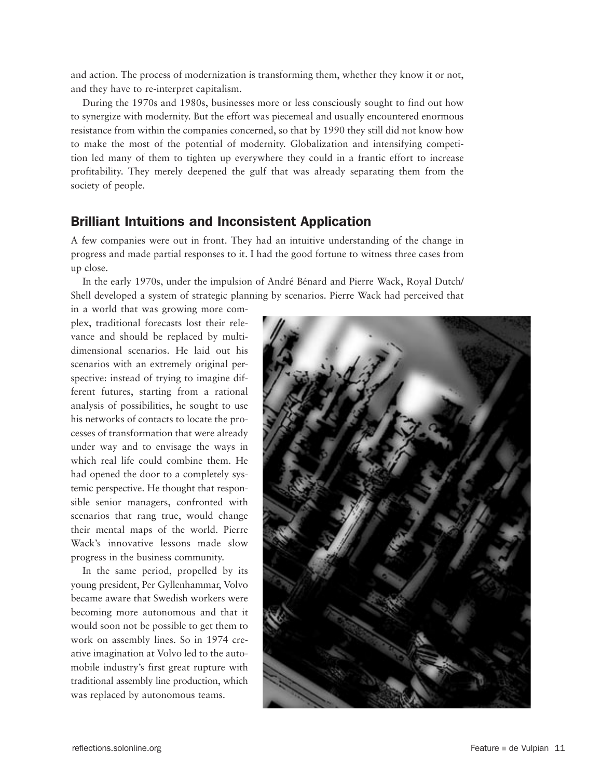and action. The process of modernization is transforming them, whether they know it or not, and they have to re-interpret capitalism.

During the 1970s and 1980s, businesses more or less consciously sought to find out how to synergize with modernity. But the effort was piecemeal and usually encountered enormous resistance from within the companies concerned, so that by 1990 they still did not know how to make the most of the potential of modernity. Globalization and intensifying competition led many of them to tighten up everywhere they could in a frantic effort to increase profitability. They merely deepened the gulf that was already separating them from the society of people.

# Brilliant Intuitions and Inconsistent Application

A few companies were out in front. They had an intuitive understanding of the change in progress and made partial responses to it. I had the good fortune to witness three cases from up close.

In the early 1970s, under the impulsion of André Bénard and Pierre Wack, Royal Dutch/ Shell developed a system of strategic planning by scenarios. Pierre Wack had perceived that

in a world that was growing more complex, traditional forecasts lost their relevance and should be replaced by multidimensional scenarios. He laid out his scenarios with an extremely original perspective: instead of trying to imagine different futures, starting from a rational analysis of possibilities, he sought to use his networks of contacts to locate the processes of transformation that were already under way and to envisage the ways in which real life could combine them. He had opened the door to a completely systemic perspective. He thought that responsible senior managers, confronted with scenarios that rang true, would change their mental maps of the world. Pierre Wack's innovative lessons made slow progress in the business community.

In the same period, propelled by its young president, Per Gyllenhammar, Volvo became aware that Swedish workers were becoming more autonomous and that it would soon not be possible to get them to work on assembly lines. So in 1974 creative imagination at Volvo led to the automobile industry's first great rupture with traditional assembly line production, which was replaced by autonomous teams.

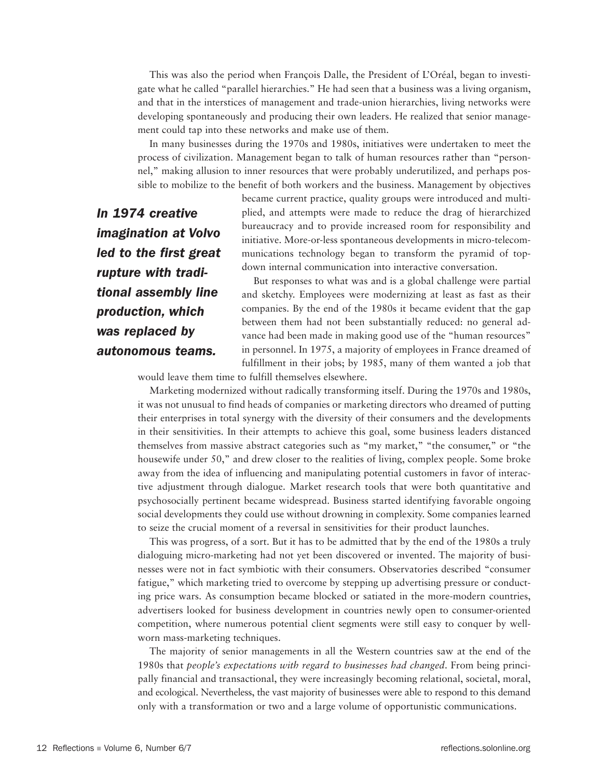This was also the period when François Dalle, the President of L'Oréal, began to investigate what he called "parallel hierarchies." He had seen that a business was a living organism, and that in the interstices of management and trade-union hierarchies, living networks were developing spontaneously and producing their own leaders. He realized that senior management could tap into these networks and make use of them.

In many businesses during the 1970s and 1980s, initiatives were undertaken to meet the process of civilization. Management began to talk of human resources rather than "personnel," making allusion to inner resources that were probably underutilized, and perhaps possible to mobilize to the benefit of both workers and the business. Management by objectives

*In 1974 creative imagination at Volvo led to the first great rupture with traditional assembly line production, which was replaced by autonomous teams.*

became current practice, quality groups were introduced and multiplied, and attempts were made to reduce the drag of hierarchized bureaucracy and to provide increased room for responsibility and initiative. More-or-less spontaneous developments in micro-telecommunications technology began to transform the pyramid of topdown internal communication into interactive conversation.

But responses to what was and is a global challenge were partial and sketchy. Employees were modernizing at least as fast as their companies. By the end of the 1980s it became evident that the gap between them had not been substantially reduced: no general advance had been made in making good use of the "human resources" in personnel. In 1975, a majority of employees in France dreamed of fulfillment in their jobs; by 1985, many of them wanted a job that

would leave them time to fulfill themselves elsewhere.

Marketing modernized without radically transforming itself. During the 1970s and 1980s, it was not unusual to find heads of companies or marketing directors who dreamed of putting their enterprises in total synergy with the diversity of their consumers and the developments in their sensitivities. In their attempts to achieve this goal, some business leaders distanced themselves from massive abstract categories such as "my market," "the consumer," or "the housewife under 50," and drew closer to the realities of living, complex people. Some broke away from the idea of influencing and manipulating potential customers in favor of interactive adjustment through dialogue. Market research tools that were both quantitative and psychosocially pertinent became widespread. Business started identifying favorable ongoing social developments they could use without drowning in complexity. Some companies learned to seize the crucial moment of a reversal in sensitivities for their product launches.

This was progress, of a sort. But it has to be admitted that by the end of the 1980s a truly dialoguing micro-marketing had not yet been discovered or invented. The majority of businesses were not in fact symbiotic with their consumers. Observatories described "consumer fatigue," which marketing tried to overcome by stepping up advertising pressure or conducting price wars. As consumption became blocked or satiated in the more-modern countries, advertisers looked for business development in countries newly open to consumer-oriented competition, where numerous potential client segments were still easy to conquer by wellworn mass-marketing techniques.

The majority of senior managements in all the Western countries saw at the end of the 1980s that *people's expectations with regard to businesses had changed*. From being principally financial and transactional, they were increasingly becoming relational, societal, moral, and ecological. Nevertheless, the vast majority of businesses were able to respond to this demand only with a transformation or two and a large volume of opportunistic communications.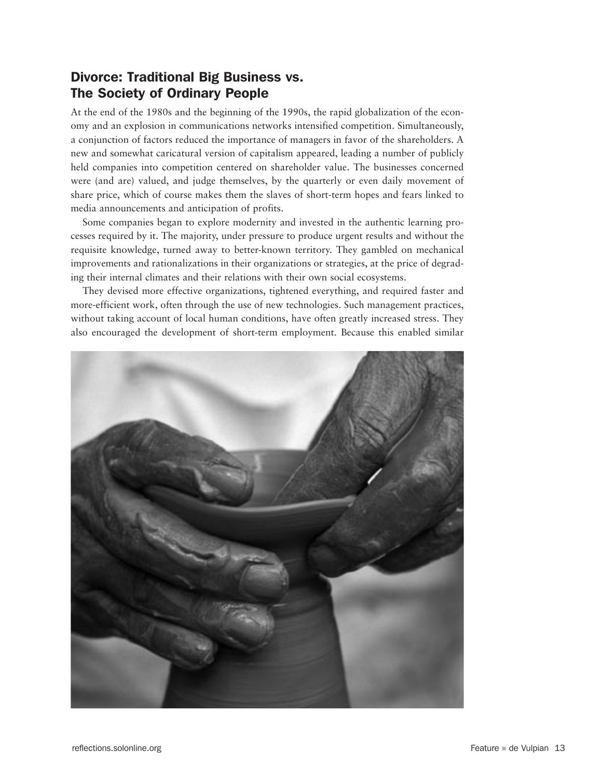# Divorce: Traditional Big Business vs. The Society of Ordinary People

At the end of the 1980s and the beginning of the 1990s, the rapid globalization of the economy and an explosion in communications networks intensified competition. Simultaneously, a conjunction of factors reduced the importance of managers in favor of the shareholders. A new and somewhat caricatural version of capitalism appeared, leading a number of publicly held companies into competition centered on shareholder value. The businesses concerned were (and are) valued, and judge themselves, by the quarterly or even daily movement of share price, which of course makes them the slaves of short-term hopes and fears linked to media announcements and anticipation of profits.

Some companies began to explore modernity and invested in the authentic learning processes required by it. The majority, under pressure to produce urgent results and without the requisite knowledge, turned away to better-known territory. They gambled on mechanical improvements and rationalizations in their organizations or strategies, at the price of degrading their internal climates and their relations with their own social ecosystems.

They devised more effective organizations, tightened everything, and required faster and more-efficient work, often through the use of new technologies. Such management practices, without taking account of local human conditions, have often greatly increased stress. They also encouraged the development of short-term employment. Because this enabled similar

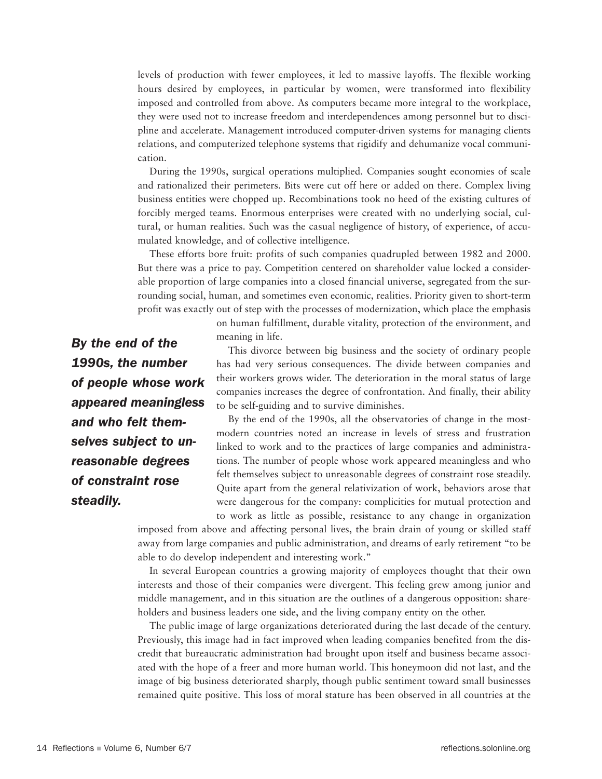levels of production with fewer employees, it led to massive layoffs. The flexible working hours desired by employees, in particular by women, were transformed into flexibility imposed and controlled from above. As computers became more integral to the workplace, they were used not to increase freedom and interdependences among personnel but to discipline and accelerate. Management introduced computer-driven systems for managing clients relations, and computerized telephone systems that rigidify and dehumanize vocal communication.

During the 1990s, surgical operations multiplied. Companies sought economies of scale and rationalized their perimeters. Bits were cut off here or added on there. Complex living business entities were chopped up. Recombinations took no heed of the existing cultures of forcibly merged teams. Enormous enterprises were created with no underlying social, cultural, or human realities. Such was the casual negligence of history, of experience, of accumulated knowledge, and of collective intelligence.

These efforts bore fruit: profits of such companies quadrupled between 1982 and 2000. But there was a price to pay. Competition centered on shareholder value locked a considerable proportion of large companies into a closed financial universe, segregated from the surrounding social, human, and sometimes even economic, realities. Priority given to short-term profit was exactly out of step with the processes of modernization, which place the emphasis

> on human fulfillment, durable vitality, protection of the environment, and meaning in life.

*By the end of the 1990s, the number of people whose work appeared meaningless and who felt themselves subject to unreasonable degrees of constraint rose steadily.*

This divorce between big business and the society of ordinary people has had very serious consequences. The divide between companies and their workers grows wider. The deterioration in the moral status of large companies increases the degree of confrontation. And finally, their ability to be self-guiding and to survive diminishes.

By the end of the 1990s, all the observatories of change in the mostmodern countries noted an increase in levels of stress and frustration linked to work and to the practices of large companies and administrations. The number of people whose work appeared meaningless and who felt themselves subject to unreasonable degrees of constraint rose steadily. Quite apart from the general relativization of work, behaviors arose that were dangerous for the company: complicities for mutual protection and to work as little as possible, resistance to any change in organization

imposed from above and affecting personal lives, the brain drain of young or skilled staff away from large companies and public administration, and dreams of early retirement "to be able to do develop independent and interesting work."

In several European countries a growing majority of employees thought that their own interests and those of their companies were divergent. This feeling grew among junior and middle management, and in this situation are the outlines of a dangerous opposition: shareholders and business leaders one side, and the living company entity on the other.

The public image of large organizations deteriorated during the last decade of the century. Previously, this image had in fact improved when leading companies benefited from the discredit that bureaucratic administration had brought upon itself and business became associated with the hope of a freer and more human world. This honeymoon did not last, and the image of big business deteriorated sharply, though public sentiment toward small businesses remained quite positive. This loss of moral stature has been observed in all countries at the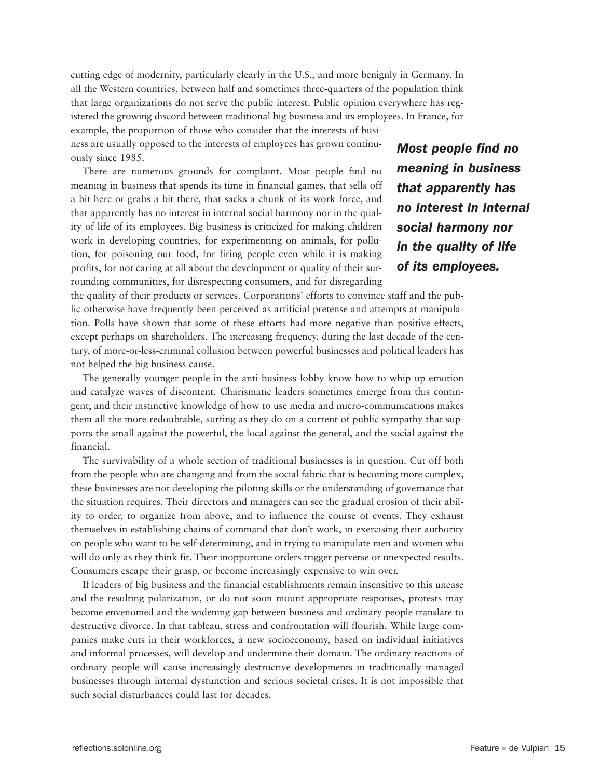cutting edge of modernity, particularly clearly in the U.S., and more benignly in Germany. In all the Western countries, between half and sometimes three-quarters of the population think that large organizations do not serve the public interest. Public opinion everywhere has registered the growing discord between traditional big business and its employees. In France, for

example, the proportion of those who consider that the interests of business are usually opposed to the interests of employees has grown continuously since 1985.

There are numerous grounds for complaint. Most people find no meaning in business that spends its time in financial games, that sells off a bit here or grabs a bit there, that sacks a chunk of its work force, and that apparently has no interest in internal social harmony nor in the quality of life of its employees. Big business is criticized for making children work in developing countries, for experimenting on animals, for pollution, for poisoning our food, for firing people even while it is making profits, for not caring at all about the development or quality of their surrounding communities, for disrespecting consumers, and for disregarding

*Most people find no meaning in business that apparently has no interest in internal social harmony nor in the quality of life of its employees.*

the quality of their products or services. Corporations' efforts to convince staff and the public otherwise have frequently been perceived as artificial pretense and attempts at manipulation. Polls have shown that some of these efforts had more negative than positive effects, except perhaps on shareholders. The increasing frequency, during the last decade of the century, of more-or-less-criminal collusion between powerful businesses and political leaders has not helped the big business cause.

The generally younger people in the anti-business lobby know how to whip up emotion and catalyze waves of discontent. Charismatic leaders sometimes emerge from this contingent, and their instinctive knowledge of how to use media and micro-communications makes them all the more redoubtable, surfing as they do on a current of public sympathy that supports the small against the powerful, the local against the general, and the social against the financial.

The survivability of a whole section of traditional businesses is in question. Cut off both from the people who are changing and from the social fabric that is becoming more complex, these businesses are not developing the piloting skills or the understanding of governance that the situation requires. Their directors and managers can see the gradual erosion of their ability to order, to organize from above, and to influence the course of events. They exhaust themselves in establishing chains of command that don't work, in exercising their authority on people who want to be self-determining, and in trying to manipulate men and women who will do only as they think fit. Their inopportune orders trigger perverse or unexpected results. Consumers escape their grasp, or become increasingly expensive to win over.

If leaders of big business and the financial establishments remain insensitive to this unease and the resulting polarization, or do not soon mount appropriate responses, protests may become envenomed and the widening gap between business and ordinary people translate to destructive divorce. In that tableau, stress and confrontation will flourish. While large companies make cuts in their workforces, a new socioeconomy, based on individual initiatives and informal processes, will develop and undermine their domain. The ordinary reactions of ordinary people will cause increasingly destructive developments in traditionally managed businesses through internal dysfunction and serious societal crises. It is not impossible that such social disturbances could last for decades.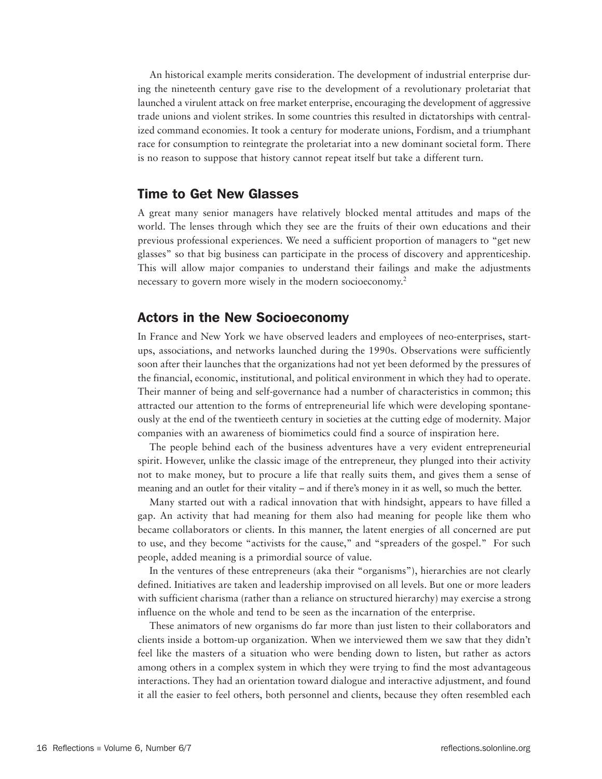An historical example merits consideration. The development of industrial enterprise during the nineteenth century gave rise to the development of a revolutionary proletariat that launched a virulent attack on free market enterprise, encouraging the development of aggressive trade unions and violent strikes. In some countries this resulted in dictatorships with centralized command economies. It took a century for moderate unions, Fordism, and a triumphant race for consumption to reintegrate the proletariat into a new dominant societal form. There is no reason to suppose that history cannot repeat itself but take a different turn.

#### Time to Get New Glasses

A great many senior managers have relatively blocked mental attitudes and maps of the world. The lenses through which they see are the fruits of their own educations and their previous professional experiences. We need a sufficient proportion of managers to "get new glasses" so that big business can participate in the process of discovery and apprenticeship. This will allow major companies to understand their failings and make the adjustments necessary to govern more wisely in the modern socioeconomy.<sup>2</sup>

# Actors in the New Socioeconomy

In France and New York we have observed leaders and employees of neo-enterprises, startups, associations, and networks launched during the 1990s. Observations were sufficiently soon after their launches that the organizations had not yet been deformed by the pressures of the financial, economic, institutional, and political environment in which they had to operate. Their manner of being and self-governance had a number of characteristics in common; this attracted our attention to the forms of entrepreneurial life which were developing spontaneously at the end of the twentieeth century in societies at the cutting edge of modernity. Major companies with an awareness of biomimetics could find a source of inspiration here.

The people behind each of the business adventures have a very evident entrepreneurial spirit. However, unlike the classic image of the entrepreneur, they plunged into their activity not to make money, but to procure a life that really suits them, and gives them a sense of meaning and an outlet for their vitality – and if there's money in it as well, so much the better.

Many started out with a radical innovation that with hindsight, appears to have filled a gap. An activity that had meaning for them also had meaning for people like them who became collaborators or clients. In this manner, the latent energies of all concerned are put to use, and they become "activists for the cause," and "spreaders of the gospel." For such people, added meaning is a primordial source of value.

In the ventures of these entrepreneurs (aka their "organisms"), hierarchies are not clearly defined. Initiatives are taken and leadership improvised on all levels. But one or more leaders with sufficient charisma (rather than a reliance on structured hierarchy) may exercise a strong influence on the whole and tend to be seen as the incarnation of the enterprise.

These animators of new organisms do far more than just listen to their collaborators and clients inside a bottom-up organization. When we interviewed them we saw that they didn't feel like the masters of a situation who were bending down to listen, but rather as actors among others in a complex system in which they were trying to find the most advantageous interactions. They had an orientation toward dialogue and interactive adjustment, and found it all the easier to feel others, both personnel and clients, because they often resembled each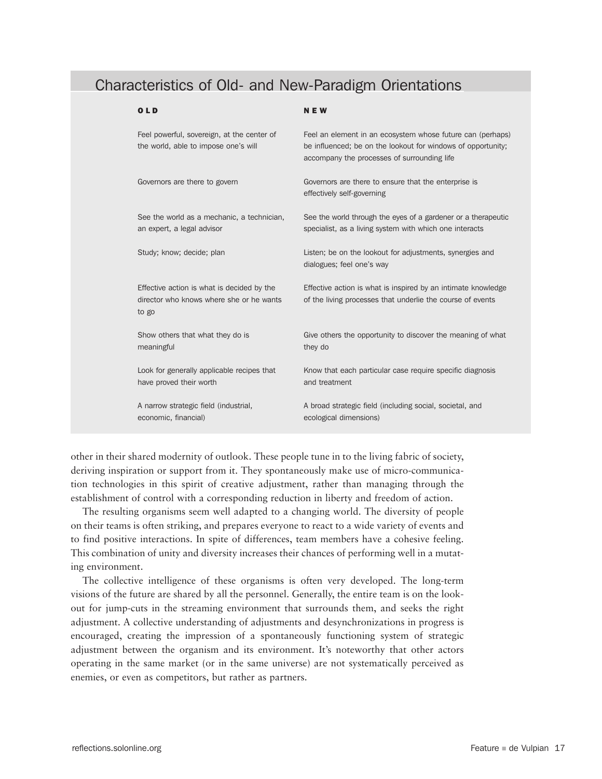# Characteristics of Old- and New-Paradigm Orientations

| <b>OLD</b>                                                                                      | <b>NEW</b>                                                                                                                                                                |
|-------------------------------------------------------------------------------------------------|---------------------------------------------------------------------------------------------------------------------------------------------------------------------------|
| Feel powerful, sovereign, at the center of<br>the world, able to impose one's will              | Feel an element in an ecosystem whose future can (perhaps)<br>be influenced; be on the lookout for windows of opportunity;<br>accompany the processes of surrounding life |
| Governors are there to govern                                                                   | Governors are there to ensure that the enterprise is<br>effectively self-governing                                                                                        |
| See the world as a mechanic, a technician,<br>an expert, a legal advisor                        | See the world through the eyes of a gardener or a therapeutic<br>specialist, as a living system with which one interacts                                                  |
| Study; know; decide; plan                                                                       | Listen; be on the lookout for adjustments, synergies and<br>dialogues; feel one's way                                                                                     |
| Effective action is what is decided by the<br>director who knows where she or he wants<br>to go | Effective action is what is inspired by an intimate knowledge<br>of the living processes that underlie the course of events                                               |
| Show others that what they do is<br>meaningful                                                  | Give others the opportunity to discover the meaning of what<br>they do                                                                                                    |
| Look for generally applicable recipes that<br>have proved their worth                           | Know that each particular case require specific diagnosis<br>and treatment                                                                                                |
| A narrow strategic field (industrial,<br>economic, financial)                                   | A broad strategic field (including social, societal, and<br>ecological dimensions)                                                                                        |

other in their shared modernity of outlook. These people tune in to the living fabric of society, deriving inspiration or support from it. They spontaneously make use of micro-communication technologies in this spirit of creative adjustment, rather than managing through the establishment of control with a corresponding reduction in liberty and freedom of action.

The resulting organisms seem well adapted to a changing world. The diversity of people on their teams is often striking, and prepares everyone to react to a wide variety of events and to find positive interactions. In spite of differences, team members have a cohesive feeling. This combination of unity and diversity increases their chances of performing well in a mutating environment.

The collective intelligence of these organisms is often very developed. The long-term visions of the future are shared by all the personnel. Generally, the entire team is on the lookout for jump-cuts in the streaming environment that surrounds them, and seeks the right adjustment. A collective understanding of adjustments and desynchronizations in progress is encouraged, creating the impression of a spontaneously functioning system of strategic adjustment between the organism and its environment. It's noteworthy that other actors operating in the same market (or in the same universe) are not systematically perceived as enemies, or even as competitors, but rather as partners.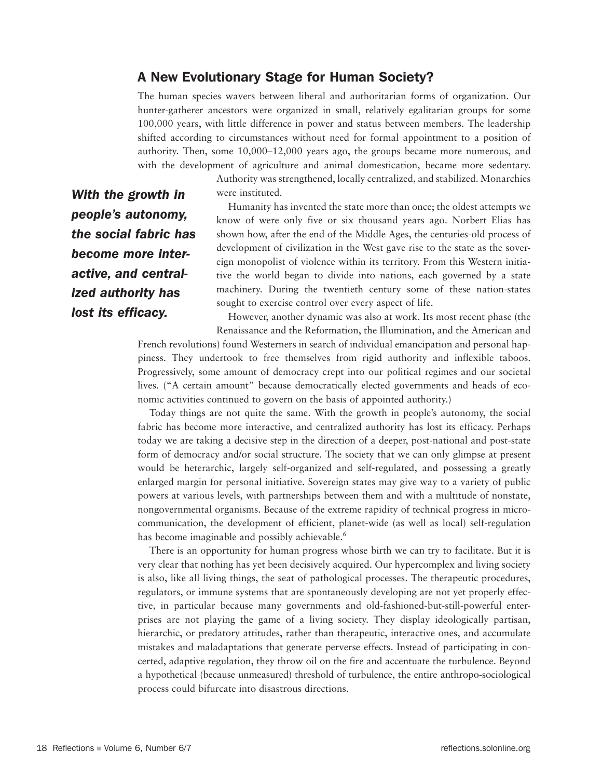# A New Evolutionary Stage for Human Society?

The human species wavers between liberal and authoritarian forms of organization. Our hunter-gatherer ancestors were organized in small, relatively egalitarian groups for some 100,000 years, with little difference in power and status between members. The leadership shifted according to circumstances without need for formal appointment to a position of authority. Then, some 10,000–12,000 years ago, the groups became more numerous, and with the development of agriculture and animal domestication, became more sedentary.

*With the growth in people's autonomy, the social fabric has become more interactive, and centralized authority has lost its efficacy.*

Authority was strengthened, locally centralized, and stabilized. Monarchies were instituted.

Humanity has invented the state more than once; the oldest attempts we know of were only five or six thousand years ago. Norbert Elias has shown how, after the end of the Middle Ages, the centuries-old process of development of civilization in the West gave rise to the state as the sovereign monopolist of violence within its territory. From this Western initiative the world began to divide into nations, each governed by a state machinery. During the twentieth century some of these nation-states sought to exercise control over every aspect of life.

However, another dynamic was also at work. Its most recent phase (the Renaissance and the Reformation, the Illumination, and the American and

French revolutions) found Westerners in search of individual emancipation and personal happiness. They undertook to free themselves from rigid authority and inflexible taboos. Progressively, some amount of democracy crept into our political regimes and our societal lives. ("A certain amount" because democratically elected governments and heads of economic activities continued to govern on the basis of appointed authority.)

Today things are not quite the same. With the growth in people's autonomy, the social fabric has become more interactive, and centralized authority has lost its efficacy. Perhaps today we are taking a decisive step in the direction of a deeper, post-national and post-state form of democracy and/or social structure. The society that we can only glimpse at present would be heterarchic, largely self-organized and self-regulated, and possessing a greatly enlarged margin for personal initiative. Sovereign states may give way to a variety of public powers at various levels, with partnerships between them and with a multitude of nonstate, nongovernmental organisms. Because of the extreme rapidity of technical progress in microcommunication, the development of efficient, planet-wide (as well as local) self-regulation has become imaginable and possibly achievable.<sup>6</sup>

There is an opportunity for human progress whose birth we can try to facilitate. But it is very clear that nothing has yet been decisively acquired. Our hypercomplex and living society is also, like all living things, the seat of pathological processes. The therapeutic procedures, regulators, or immune systems that are spontaneously developing are not yet properly effective, in particular because many governments and old-fashioned-but-still-powerful enterprises are not playing the game of a living society. They display ideologically partisan, hierarchic, or predatory attitudes, rather than therapeutic, interactive ones, and accumulate mistakes and maladaptations that generate perverse effects. Instead of participating in concerted, adaptive regulation, they throw oil on the fire and accentuate the turbulence. Beyond a hypothetical (because unmeasured) threshold of turbulence, the entire anthropo-sociological process could bifurcate into disastrous directions.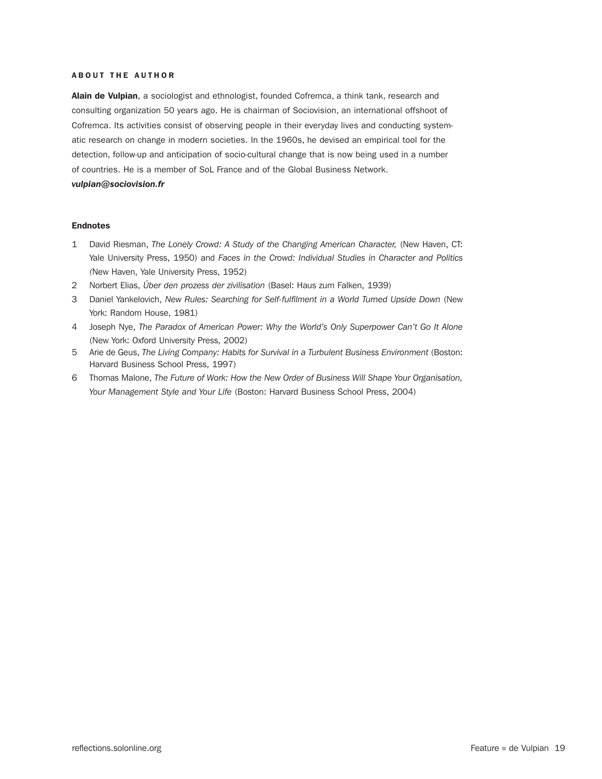#### **ABOUT THE AUTHOR**

Alain de Vulpian, a sociologist and ethnologist, founded Cofremca, a think tank, research and consulting organization 50 years ago. He is chairman of Sociovision, an international offshoot of Cofremca. Its activities consist of observing people in their everyday lives and conducting systematic research on change in modern societies. In the 1960s, he devised an empirical tool for the detection, follow-up and anticipation of socio-cultural change that is now being used in a number of countries. He is a member of SoL France and of the Global Business Network. *vulpian@sociovision.fr*

#### Endnotes

- 1 David Riesman, *The Lonely Crowd: A Study of the Changing American Character,* (New Haven, CT: Yale University Press, 1950) and *Faces in the Crowd: Individual Studies in Character and Politics (*New Haven, Yale University Press, 1952)
- 2 Norbert Elias, *Über den prozess der zivilisation* (Basel: Haus zum Falken, 1939)
- 3 Daniel Yankelovich, *New Rules: Searching for Self-fulfilment in a World Turned Upside Down* (New York: Random House, 1981)
- 4 Joseph Nye, *The Paradox of American Power: Why the World's Only Superpower Can't Go It Alone*  (New York: Oxford University Press, 2002)
- 5 Arie de Geus, *The Living Company: Habits for Survival in a Turbulent Business Environment* (Boston: Harvard Business School Press, 1997)
- 6 Thomas Malone, *The Future of Work: How the New Order of Business Will Shape Your Organisation, Your Management Style and Your Life* (Boston: Harvard Business School Press, 2004)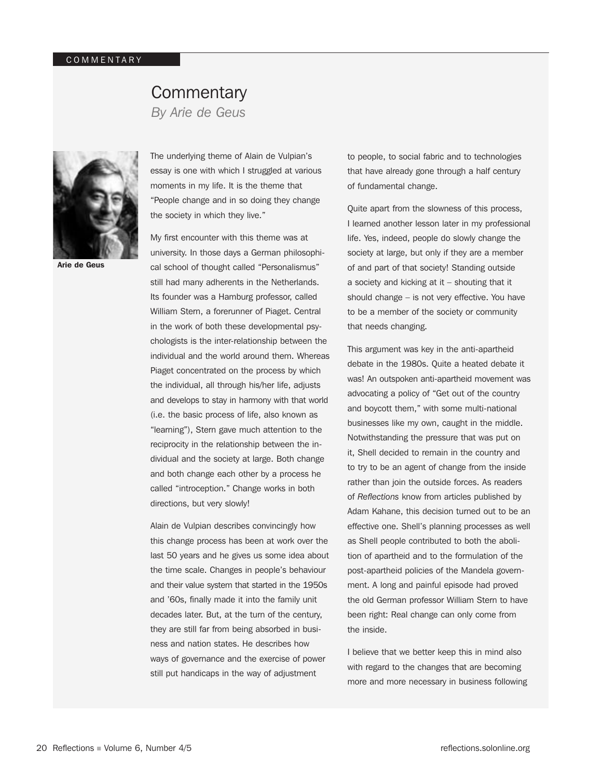# **Commentary**

*By Arie de Geus*



Arie de Geus

The underlying theme of Alain de Vulpian's essay is one with which I struggled at various moments in my life. It is the theme that "People change and in so doing they change the society in which they live."

My first encounter with this theme was at university. In those days a German philosophical school of thought called "Personalismus" still had many adherents in the Netherlands. Its founder was a Hamburg professor, called William Stern, a forerunner of Piaget. Central in the work of both these developmental psychologists is the inter-relationship between the individual and the world around them. Whereas Piaget concentrated on the process by which the individual, all through his/her life, adjusts and develops to stay in harmony with that world (i.e. the basic process of life, also known as "learning"), Stern gave much attention to the reciprocity in the relationship between the individual and the society at large. Both change and both change each other by a process he called "introception." Change works in both directions, but very slowly!

Alain de Vulpian describes convincingly how this change process has been at work over the last 50 years and he gives us some idea about the time scale. Changes in people's behaviour and their value system that started in the 1950s and '60s, finally made it into the family unit decades later. But, at the turn of the century, they are still far from being absorbed in business and nation states. He describes how ways of governance and the exercise of power still put handicaps in the way of adjustment

to people, to social fabric and to technologies that have already gone through a half century of fundamental change.

Quite apart from the slowness of this process, I learned another lesson later in my professional life. Yes, indeed, people do slowly change the society at large, but only if they are a member of and part of that society! Standing outside a society and kicking at it – shouting that it should change – is not very effective. You have to be a member of the society or community that needs changing.

This argument was key in the anti-apartheid debate in the 1980s. Quite a heated debate it was! An outspoken anti-apartheid movement was advocating a policy of "Get out of the country and boycott them," with some multi-national businesses like my own, caught in the middle. Notwithstanding the pressure that was put on it, Shell decided to remain in the country and to try to be an agent of change from the inside rather than join the outside forces. As readers of *Reflections* know from articles published by Adam Kahane, this decision turned out to be an effective one. Shell's planning processes as well as Shell people contributed to both the abolition of apartheid and to the formulation of the post-apartheid policies of the Mandela government. A long and painful episode had proved the old German professor William Stern to have been right: Real change can only come from the inside.

I believe that we better keep this in mind also with regard to the changes that are becoming more and more necessary in business following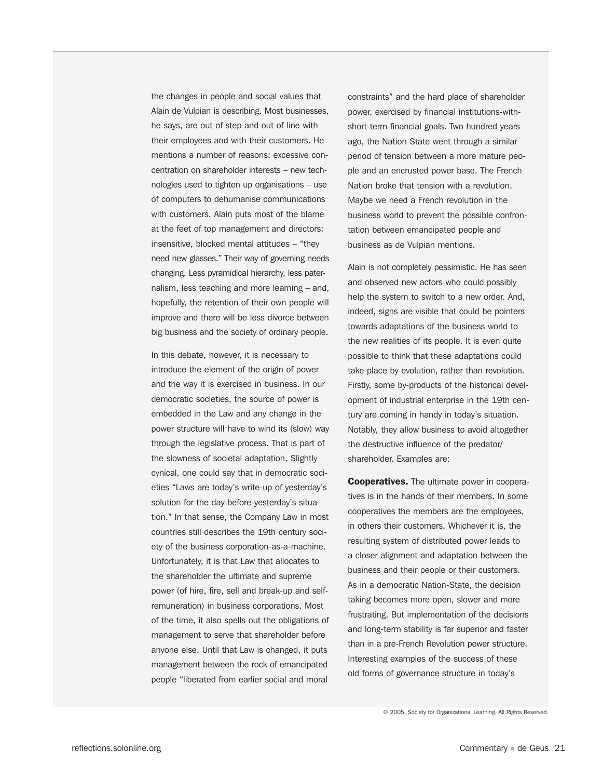the changes in people and social values that Alain de Vulpian is describing. Most businesses, he says, are out of step and out of line with their employees and with their customers. He mentions a number of reasons: excessive concentration on shareholder interests – new technologies used to tighten up organisations – use of computers to dehumanise communications with customers. Alain puts most of the blame at the feet of top management and directors: insensitive, blocked mental attitudes – "they need new glasses." Their way of governing needs changing. Less pyramidical hierarchy, less paternalism, less teaching and more learning – and, hopefully, the retention of their own people will improve and there will be less divorce between big business and the society of ordinary people.

In this debate, however, it is necessary to introduce the element of the origin of power and the way it is exercised in business. In our democratic societies, the source of power is embedded in the Law and any change in the power structure will have to wind its (slow) way through the legislative process. That is part of the slowness of societal adaptation. Slightly cynical, one could say that in democratic societies "Laws are today's write-up of yesterday's solution for the day-before-yesterday's situation." In that sense, the Company Law in most countries still describes the 19th century society of the business corporation-as-a-machine. Unfortunately, it is that Law that allocates to the shareholder the ultimate and supreme power (of hire, fire, sell and break-up and selfremuneration) in business corporations. Most of the time, it also spells out the obligations of management to serve that shareholder before anyone else. Until that Law is changed, it puts management between the rock of emancipated people "liberated from earlier social and moral

constraints" and the hard place of shareholder power, exercised by financial institutions-withshort-term financial goals. Two hundred years ago, the Nation-State went through a similar period of tension between a more mature people and an encrusted power base. The French Nation broke that tension with a revolution. Maybe we need a French revolution in the business world to prevent the possible confrontation between emancipated people and business as de Vulpian mentions.

Alain is not completely pessimistic. He has seen and observed new actors who could possibly help the system to switch to a new order. And, indeed, signs are visible that could be pointers towards adaptations of the business world to the new realities of its people. It is even quite possible to think that these adaptations could take place by evolution, rather than revolution. Firstly, some by-products of the historical development of industrial enterprise in the 19th century are coming in handy in today's situation. Notably, they allow business to avoid altogether the destructive influence of the predator/ shareholder. Examples are:

Cooperatives. The ultimate power in cooperatives is in the hands of their members. In some cooperatives the members are the employees, in others their customers. Whichever it is, the resulting system of distributed power leads to a closer alignment and adaptation between the business and their people or their customers. As in a democratic Nation-State, the decision taking becomes more open, slower and more frustrating. But implementation of the decisions and long-term stability is far superior and faster than in a pre-French Revolution power structure. Interesting examples of the success of these old forms of governance structure in today's

© 2005, Society for Organizational Learning. All Rights Reserved.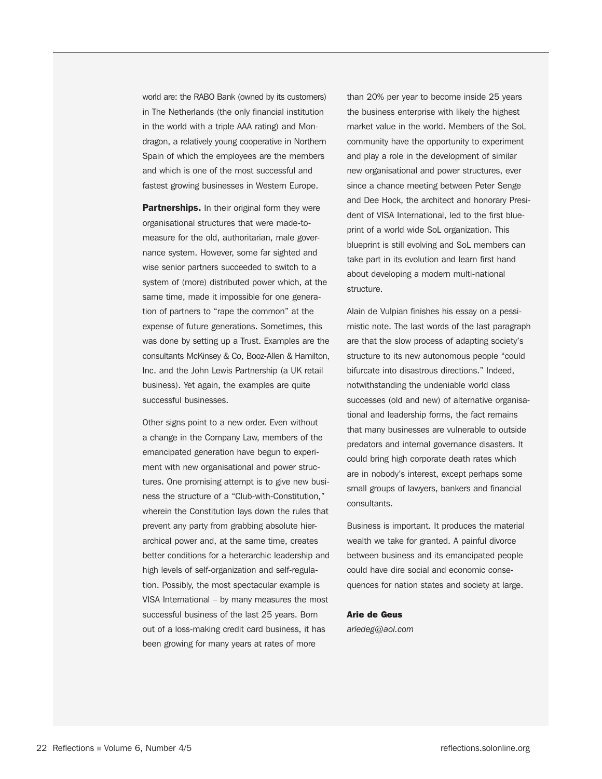world are: the RABO Bank (owned by its customers) in The Netherlands (the only financial institution in the world with a triple AAA rating) and Mondragon, a relatively young cooperative in Northern Spain of which the employees are the members and which is one of the most successful and fastest growing businesses in Western Europe.

Partnerships. In their original form they were organisational structures that were made-tomeasure for the old, authoritarian, male governance system. However, some far sighted and wise senior partners succeeded to switch to a system of (more) distributed power which, at the same time, made it impossible for one generation of partners to "rape the common" at the expense of future generations. Sometimes, this was done by setting up a Trust. Examples are the consultants McKinsey & Co, Booz-Allen & Hamilton, Inc. and the John Lewis Partnership (a UK retail business). Yet again, the examples are quite successful businesses.

Other signs point to a new order. Even without a change in the Company Law, members of the emancipated generation have begun to experiment with new organisational and power structures. One promising attempt is to give new business the structure of a "Club-with-Constitution," wherein the Constitution lays down the rules that prevent any party from grabbing absolute hierarchical power and, at the same time, creates better conditions for a heterarchic leadership and high levels of self-organization and self-regulation. Possibly, the most spectacular example is VISA International – by many measures the most successful business of the last 25 years. Born out of a loss-making credit card business, it has been growing for many years at rates of more

than 20% per year to become inside 25 years the business enterprise with likely the highest market value in the world. Members of the SoL community have the opportunity to experiment and play a role in the development of similar new organisational and power structures, ever since a chance meeting between Peter Senge and Dee Hock, the architect and honorary President of VISA International, led to the first blueprint of a world wide SoL organization. This blueprint is still evolving and SoL members can take part in its evolution and learn first hand about developing a modern multi-national structure.

Alain de Vulpian finishes his essay on a pessimistic note. The last words of the last paragraph are that the slow process of adapting society's structure to its new autonomous people "could bifurcate into disastrous directions." Indeed, notwithstanding the undeniable world class successes (old and new) of alternative organisational and leadership forms, the fact remains that many businesses are vulnerable to outside predators and internal governance disasters. It could bring high corporate death rates which are in nobody's interest, except perhaps some small groups of lawyers, bankers and financial consultants.

Business is important. It produces the material wealth we take for granted. A painful divorce between business and its emancipated people could have dire social and economic consequences for nation states and society at large.

Arie de Geus *ariedeg@aol.com*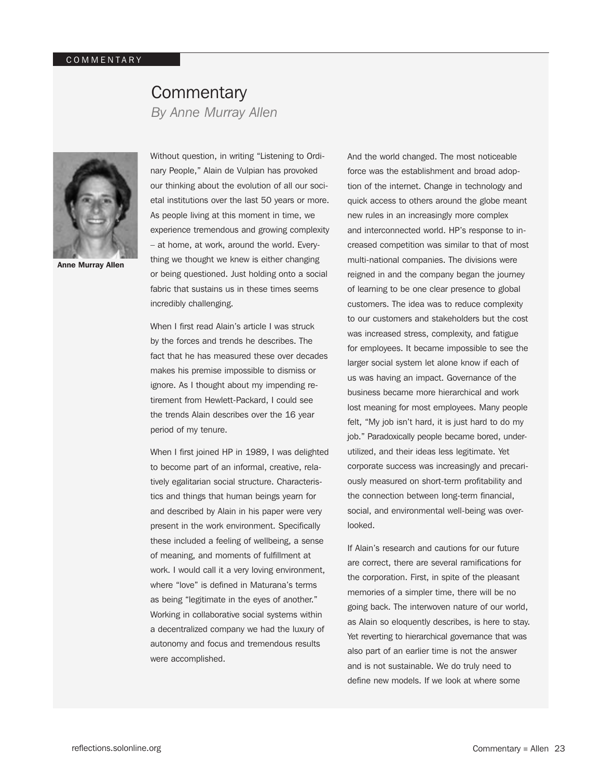# **Commentary**

*By Anne Murray Allen*



Anne Murray Allen

Without question, in writing "Listening to Ordinary People," Alain de Vulpian has provoked our thinking about the evolution of all our societal institutions over the last 50 years or more. As people living at this moment in time, we experience tremendous and growing complexity – at home, at work, around the world. Everything we thought we knew is either changing or being questioned. Just holding onto a social fabric that sustains us in these times seems incredibly challenging.

When I first read Alain's article I was struck by the forces and trends he describes. The fact that he has measured these over decades makes his premise impossible to dismiss or ignore. As I thought about my impending retirement from Hewlett-Packard, I could see the trends Alain describes over the 16 year period of my tenure.

When I first joined HP in 1989, I was delighted to become part of an informal, creative, relatively egalitarian social structure. Characteristics and things that human beings yearn for and described by Alain in his paper were very present in the work environment. Specifically these included a feeling of wellbeing, a sense of meaning, and moments of fulfillment at work. I would call it a very loving environment, where "love" is defined in Maturana's terms as being "legitimate in the eyes of another." Working in collaborative social systems within a decentralized company we had the luxury of autonomy and focus and tremendous results were accomplished.

And the world changed. The most noticeable force was the establishment and broad adoption of the internet. Change in technology and quick access to others around the globe meant new rules in an increasingly more complex and interconnected world. HP's response to increased competition was similar to that of most multi-national companies. The divisions were reigned in and the company began the journey of learning to be one clear presence to global customers. The idea was to reduce complexity to our customers and stakeholders but the cost was increased stress, complexity, and fatigue for employees. It became impossible to see the larger social system let alone know if each of us was having an impact. Governance of the business became more hierarchical and work lost meaning for most employees. Many people felt, "My job isn't hard, it is just hard to do my job." Paradoxically people became bored, underutilized, and their ideas less legitimate. Yet corporate success was increasingly and precariously measured on short-term profitability and the connection between long-term financial, social, and environmental well-being was overlooked.

If Alain's research and cautions for our future are correct, there are several ramifications for the corporation. First, in spite of the pleasant memories of a simpler time, there will be no going back. The interwoven nature of our world, as Alain so eloquently describes, is here to stay. Yet reverting to hierarchical governance that was also part of an earlier time is not the answer and is not sustainable. We do truly need to define new models. If we look at where some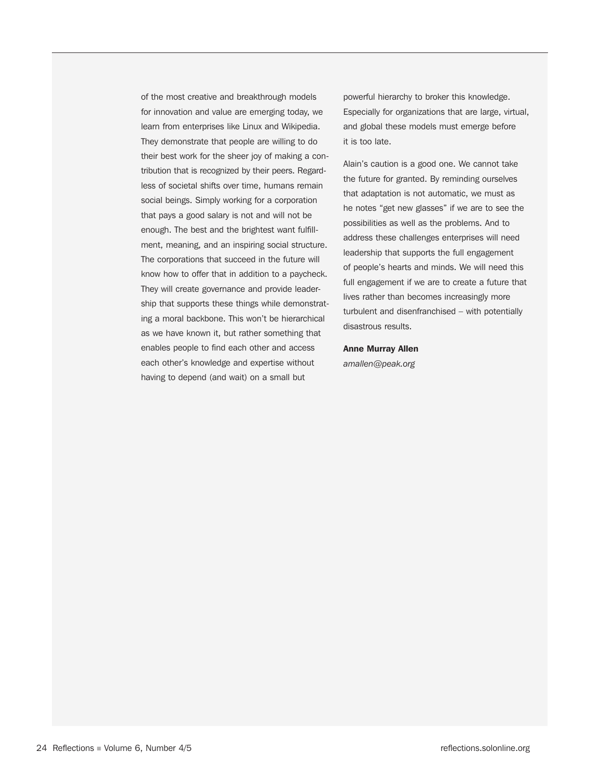of the most creative and breakthrough models for innovation and value are emerging today, we learn from enterprises like Linux and Wikipedia. They demonstrate that people are willing to do their best work for the sheer joy of making a contribution that is recognized by their peers. Regardless of societal shifts over time, humans remain social beings. Simply working for a corporation that pays a good salary is not and will not be enough. The best and the brightest want fulfillment, meaning, and an inspiring social structure. The corporations that succeed in the future will know how to offer that in addition to a paycheck. They will create governance and provide leadership that supports these things while demonstrating a moral backbone. This won't be hierarchical as we have known it, but rather something that enables people to find each other and access each other's knowledge and expertise without having to depend (and wait) on a small but

powerful hierarchy to broker this knowledge. Especially for organizations that are large, virtual, and global these models must emerge before it is too late.

Alain's caution is a good one. We cannot take the future for granted. By reminding ourselves that adaptation is not automatic, we must as he notes "get new glasses" if we are to see the possibilities as well as the problems. And to address these challenges enterprises will need leadership that supports the full engagement of people's hearts and minds. We will need this full engagement if we are to create a future that lives rather than becomes increasingly more turbulent and disenfranchised – with potentially disastrous results.

# Anne Murray Allen

*amallen@peak.org*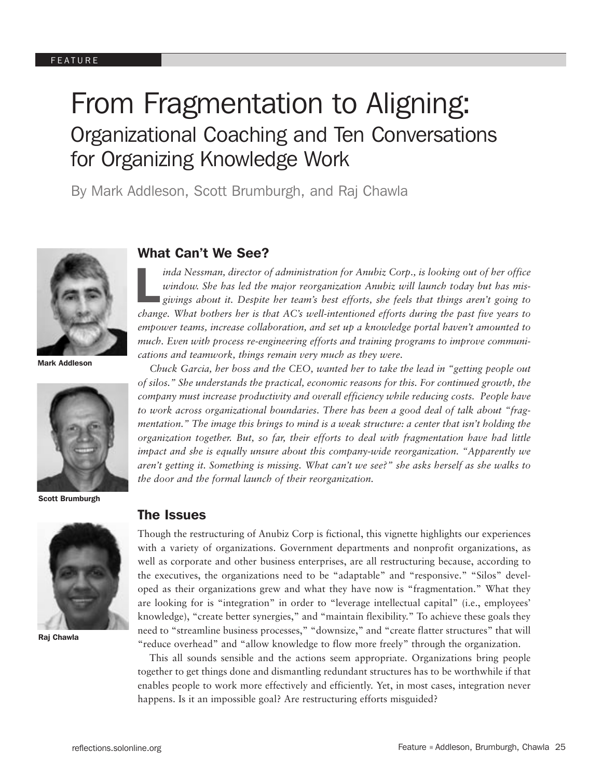# From Fragmentation to Aligning: Organizational Coaching and Ten Conversations for Organizing Knowledge Work

By Mark Addleson, Scott Brumburgh, and Raj Chawla



Mark Addleson



Scott Brumburgh



Raj Chawla

# What Can't We See?

*inda Nessman, director of administration for Anubiz Corp., is looking out of her office window. She has led the major reorganization Anubiz will launch today but has misgivings about it. Despite her team's best efforts, she feels that things aren't going to change. What bothers her is that AC's well-intentioned efforts during the past five years to empower teams, increase collaboration, and set up a knowledge portal haven't amounted to much. Even with process re-engineering efforts and training programs to improve communications and teamwork, things remain very much as they were.* L

*Chuck Garcia, her boss and the CEO, wanted her to take the lead in "getting people out of silos." She understands the practical, economic reasons for this. For continued growth, the company must increase productivity and overall efficiency while reducing costs. People have to work across organizational boundaries. There has been a good deal of talk about "fragmentation." The image this brings to mind is a weak structure: a center that isn't holding the organization together. But, so far, their efforts to deal with fragmentation have had little impact and she is equally unsure about this company-wide reorganization. "Apparently we aren't getting it. Something is missing. What can't we see?" she asks herself as she walks to the door and the formal launch of their reorganization.*

# The Issues

Though the restructuring of Anubiz Corp is fictional, this vignette highlights our experiences with a variety of organizations. Government departments and nonprofit organizations, as well as corporate and other business enterprises, are all restructuring because, according to the executives, the organizations need to be "adaptable" and "responsive." "Silos" developed as their organizations grew and what they have now is "fragmentation." What they are looking for is "integration" in order to "leverage intellectual capital" (i.e., employees' knowledge), "create better synergies," and "maintain flexibility." To achieve these goals they need to "streamline business processes," "downsize," and "create flatter structures" that will "reduce overhead" and "allow knowledge to flow more freely" through the organization.

This all sounds sensible and the actions seem appropriate. Organizations bring people together to get things done and dismantling redundant structures has to be worthwhile if that enables people to work more effectively and efficiently. Yet, in most cases, integration never happens. Is it an impossible goal? Are restructuring efforts misguided?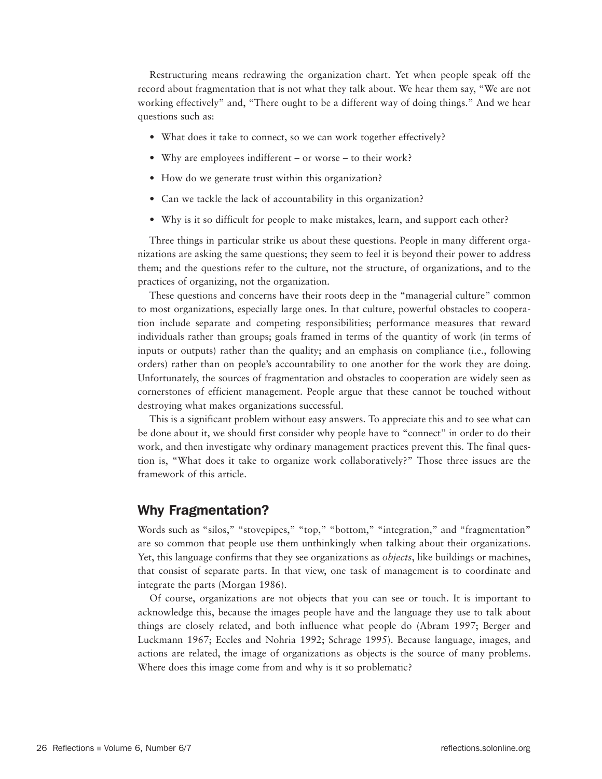Restructuring means redrawing the organization chart. Yet when people speak off the record about fragmentation that is not what they talk about. We hear them say, "We are not working effectively" and, "There ought to be a different way of doing things." And we hear questions such as:

- What does it take to connect, so we can work together effectively?
- Why are employees indifferent or worse to their work?
- How do we generate trust within this organization?
- Can we tackle the lack of accountability in this organization?
- Why is it so difficult for people to make mistakes, learn, and support each other?

Three things in particular strike us about these questions. People in many different organizations are asking the same questions; they seem to feel it is beyond their power to address them; and the questions refer to the culture, not the structure, of organizations, and to the practices of organizing, not the organization.

These questions and concerns have their roots deep in the "managerial culture" common to most organizations, especially large ones. In that culture, powerful obstacles to cooperation include separate and competing responsibilities; performance measures that reward individuals rather than groups; goals framed in terms of the quantity of work (in terms of inputs or outputs) rather than the quality; and an emphasis on compliance (i.e., following orders) rather than on people's accountability to one another for the work they are doing. Unfortunately, the sources of fragmentation and obstacles to cooperation are widely seen as cornerstones of efficient management. People argue that these cannot be touched without destroying what makes organizations successful.

This is a significant problem without easy answers. To appreciate this and to see what can be done about it, we should first consider why people have to "connect" in order to do their work, and then investigate why ordinary management practices prevent this. The final question is, "What does it take to organize work collaboratively?" Those three issues are the framework of this article.

# Why Fragmentation?

Words such as "silos," "stovepipes," "top," "bottom," "integration," and "fragmentation" are so common that people use them unthinkingly when talking about their organizations. Yet, this language confirms that they see organizations as *objects*, like buildings or machines, that consist of separate parts. In that view, one task of management is to coordinate and integrate the parts (Morgan 1986).

Of course, organizations are not objects that you can see or touch. It is important to acknowledge this, because the images people have and the language they use to talk about things are closely related, and both influence what people do (Abram 1997; Berger and Luckmann 1967; Eccles and Nohria 1992; Schrage 1995). Because language, images, and actions are related, the image of organizations as objects is the source of many problems. Where does this image come from and why is it so problematic?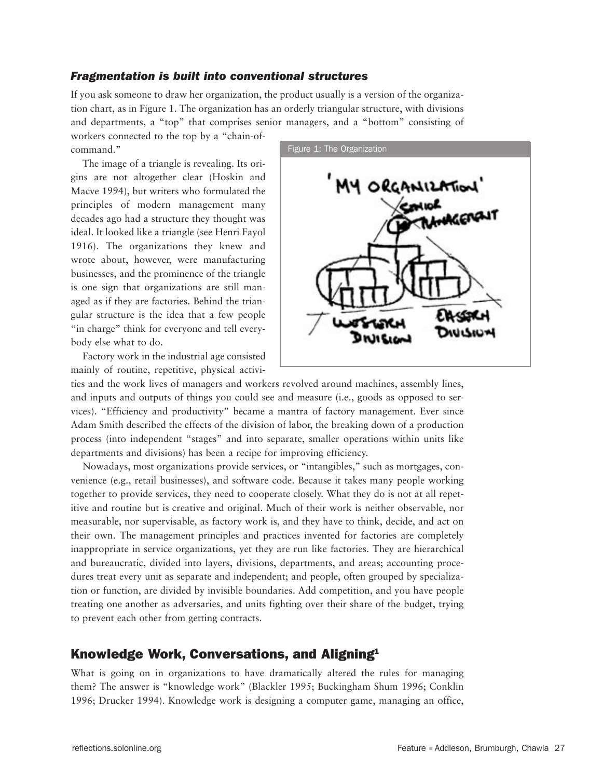#### *Fragmentation is built into conventional structures*

If you ask someone to draw her organization, the product usually is a version of the organization chart, as in Figure 1. The organization has an orderly triangular structure, with divisions and departments, a "top" that comprises senior managers, and a "bottom" consisting of

workers connected to the top by a "chain-ofcommand."

The image of a triangle is revealing. Its origins are not altogether clear (Hoskin and Macve 1994), but writers who formulated the principles of modern management many decades ago had a structure they thought was ideal. It looked like a triangle (see Henri Fayol 1916). The organizations they knew and wrote about, however, were manufacturing businesses, and the prominence of the triangle is one sign that organizations are still managed as if they are factories. Behind the triangular structure is the idea that a few people "in charge" think for everyone and tell everybody else what to do.

Factory work in the industrial age consisted mainly of routine, repetitive, physical activi-



ties and the work lives of managers and workers revolved around machines, assembly lines, and inputs and outputs of things you could see and measure (i.e., goods as opposed to services). "Efficiency and productivity" became a mantra of factory management. Ever since Adam Smith described the effects of the division of labor, the breaking down of a production process (into independent "stages" and into separate, smaller operations within units like departments and divisions) has been a recipe for improving efficiency.

Nowadays, most organizations provide services, or "intangibles," such as mortgages, convenience (e.g., retail businesses), and software code. Because it takes many people working together to provide services, they need to cooperate closely. What they do is not at all repetitive and routine but is creative and original. Much of their work is neither observable, nor measurable, nor supervisable, as factory work is, and they have to think, decide, and act on their own. The management principles and practices invented for factories are completely inappropriate in service organizations, yet they are run like factories. They are hierarchical and bureaucratic, divided into layers, divisions, departments, and areas; accounting procedures treat every unit as separate and independent; and people, often grouped by specialization or function, are divided by invisible boundaries. Add competition, and you have people treating one another as adversaries, and units fighting over their share of the budget, trying to prevent each other from getting contracts.

# Knowledge Work, Conversations, and Aligning<sup>1</sup>

What is going on in organizations to have dramatically altered the rules for managing them? The answer is "knowledge work" (Blackler 1995; Buckingham Shum 1996; Conklin 1996; Drucker 1994). Knowledge work is designing a computer game, managing an office,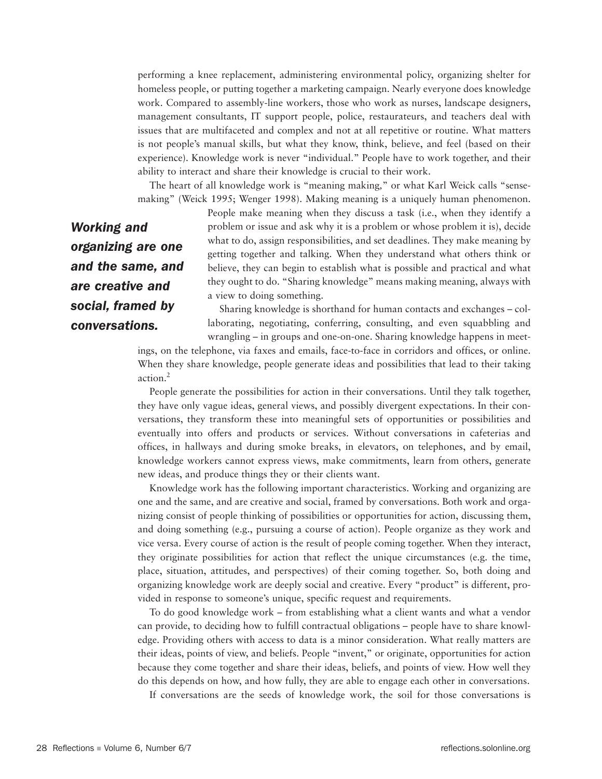performing a knee replacement, administering environmental policy, organizing shelter for homeless people, or putting together a marketing campaign. Nearly everyone does knowledge work. Compared to assembly-line workers, those who work as nurses, landscape designers, management consultants, IT support people, police, restaurateurs, and teachers deal with issues that are multifaceted and complex and not at all repetitive or routine. What matters is not people's manual skills, but what they know, think, believe, and feel (based on their experience). Knowledge work is never "individual." People have to work together, and their ability to interact and share their knowledge is crucial to their work.

The heart of all knowledge work is "meaning making*,*" or what Karl Weick calls "sensemaking" (Weick 1995; Wenger 1998). Making meaning is a uniquely human phenomenon.

*Working and organizing are one and the same, and are creative and social, framed by conversations.*

People make meaning when they discuss a task (i.e., when they identify a problem or issue and ask why it is a problem or whose problem it is), decide what to do, assign responsibilities, and set deadlines. They make meaning by getting together and talking. When they understand what others think or believe, they can begin to establish what is possible and practical and what they ought to do. "Sharing knowledge" means making meaning, always with a view to doing something.

Sharing knowledge is shorthand for human contacts and exchanges – collaborating, negotiating, conferring, consulting, and even squabbling and wrangling – in groups and one-on-one. Sharing knowledge happens in meet-

ings, on the telephone, via faxes and emails, face-to-face in corridors and offices, or online. When they share knowledge, people generate ideas and possibilities that lead to their taking action.2

People generate the possibilities for action in their conversations. Until they talk together, they have only vague ideas, general views, and possibly divergent expectations. In their conversations, they transform these into meaningful sets of opportunities or possibilities and eventually into offers and products or services. Without conversations in cafeterias and offices, in hallways and during smoke breaks, in elevators, on telephones, and by email, knowledge workers cannot express views, make commitments, learn from others, generate new ideas, and produce things they or their clients want.

Knowledge work has the following important characteristics. Working and organizing are one and the same, and are creative and social, framed by conversations. Both work and organizing consist of people thinking of possibilities or opportunities for action, discussing them, and doing something (e.g., pursuing a course of action). People organize as they work and vice versa. Every course of action is the result of people coming together. When they interact, they originate possibilities for action that reflect the unique circumstances (e.g. the time, place, situation, attitudes, and perspectives) of their coming together. So, both doing and organizing knowledge work are deeply social and creative. Every "product" is different, provided in response to someone's unique, specific request and requirements.

To do good knowledge work – from establishing what a client wants and what a vendor can provide, to deciding how to fulfill contractual obligations – people have to share knowledge. Providing others with access to data is a minor consideration. What really matters are their ideas, points of view, and beliefs. People "invent," or originate, opportunities for action because they come together and share their ideas, beliefs, and points of view. How well they do this depends on how, and how fully, they are able to engage each other in conversations.

If conversations are the seeds of knowledge work, the soil for those conversations is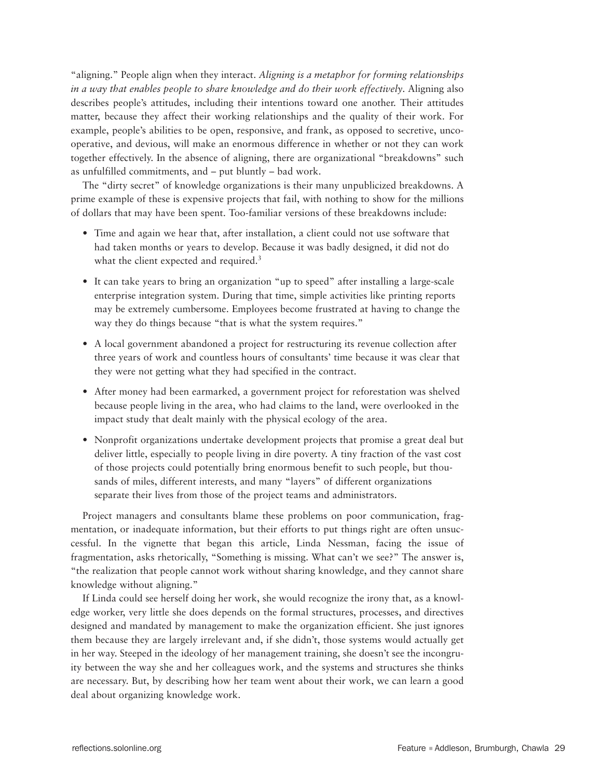"aligning." People align when they interact. *Aligning is a metaphor for forming relationships in a way that enables people to share knowledge and do their work effectively*. Aligning also describes people's attitudes, including their intentions toward one another. Their attitudes matter, because they affect their working relationships and the quality of their work. For example, people's abilities to be open, responsive, and frank, as opposed to secretive, uncooperative, and devious, will make an enormous difference in whether or not they can work together effectively. In the absence of aligning, there are organizational "breakdowns" such as unfulfilled commitments, and – put bluntly – bad work.

The "dirty secret" of knowledge organizations is their many unpublicized breakdowns. A prime example of these is expensive projects that fail, with nothing to show for the millions of dollars that may have been spent. Too-familiar versions of these breakdowns include:

- Time and again we hear that, after installation, a client could not use software that had taken months or years to develop. Because it was badly designed, it did not do what the client expected and required.<sup>3</sup>
- It can take years to bring an organization "up to speed" after installing a large-scale enterprise integration system. During that time, simple activities like printing reports may be extremely cumbersome. Employees become frustrated at having to change the way they do things because "that is what the system requires."
- A local government abandoned a project for restructuring its revenue collection after three years of work and countless hours of consultants' time because it was clear that they were not getting what they had specified in the contract.
- After money had been earmarked, a government project for reforestation was shelved because people living in the area, who had claims to the land, were overlooked in the impact study that dealt mainly with the physical ecology of the area.
- Nonprofit organizations undertake development projects that promise a great deal but deliver little, especially to people living in dire poverty. A tiny fraction of the vast cost of those projects could potentially bring enormous benefit to such people, but thousands of miles, different interests, and many "layers" of different organizations separate their lives from those of the project teams and administrators.

Project managers and consultants blame these problems on poor communication, fragmentation, or inadequate information, but their efforts to put things right are often unsuccessful. In the vignette that began this article, Linda Nessman, facing the issue of fragmentation, asks rhetorically, "Something is missing. What can't we see?" The answer is, "the realization that people cannot work without sharing knowledge, and they cannot share knowledge without aligning."

If Linda could see herself doing her work, she would recognize the irony that, as a knowledge worker, very little she does depends on the formal structures, processes, and directives designed and mandated by management to make the organization efficient. She just ignores them because they are largely irrelevant and, if she didn't, those systems would actually get in her way. Steeped in the ideology of her management training, she doesn't see the incongruity between the way she and her colleagues work, and the systems and structures she thinks are necessary. But, by describing how her team went about their work, we can learn a good deal about organizing knowledge work.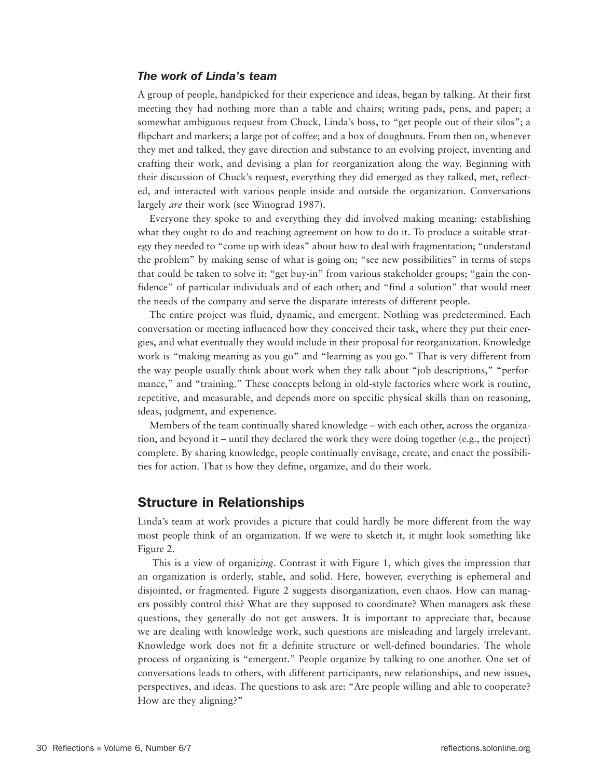#### *The work of Linda's team*

A group of people, handpicked for their experience and ideas, began by talking. At their first meeting they had nothing more than a table and chairs; writing pads, pens, and paper; a somewhat ambiguous request from Chuck, Linda's boss, to "get people out of their silos"; a flipchart and markers; a large pot of coffee; and a box of doughnuts. From then on, whenever they met and talked, they gave direction and substance to an evolving project, inventing and crafting their work, and devising a plan for reorganization along the way. Beginning with their discussion of Chuck's request, everything they did emerged as they talked, met, reflected, and interacted with various people inside and outside the organization. Conversations largely *are* their work (see Winograd 1987).

Everyone they spoke to and everything they did involved making meaning: establishing what they ought to do and reaching agreement on how to do it. To produce a suitable strategy they needed to "come up with ideas" about how to deal with fragmentation; "understand the problem" by making sense of what is going on; "see new possibilities" in terms of steps that could be taken to solve it; "get buy-in" from various stakeholder groups; "gain the confidence" of particular individuals and of each other; and "find a solution" that would meet the needs of the company and serve the disparate interests of different people.

The entire project was fluid, dynamic, and emergent. Nothing was predetermined. Each conversation or meeting influenced how they conceived their task, where they put their energies, and what eventually they would include in their proposal for reorganization. Knowledge work is "making meaning as you go" and "learning as you go." That is very different from the way people usually think about work when they talk about "job descriptions," "performance," and "training." These concepts belong in old-style factories where work is routine, repetitive, and measurable, and depends more on specific physical skills than on reasoning, ideas, judgment, and experience.

Members of the team continually shared knowledge – with each other, across the organization, and beyond it – until they declared the work they were doing together (e.g., the project) complete. By sharing knowledge, people continually envisage, create, and enact the possibilities for action. That is how they define, organize, and do their work.

# Structure in Relationships

Linda's team at work provides a picture that could hardly be more different from the way most people think of an organization. If we were to sketch it, it might look something like Figure 2.

This is a view of organi*zing*. Contrast it with Figure 1, which gives the impression that an organization is orderly, stable, and solid. Here, however, everything is ephemeral and disjointed, or fragmented. Figure 2 suggests disorganization, even chaos. How can managers possibly control this? What are they supposed to coordinate? When managers ask these questions, they generally do not get answers. It is important to appreciate that, because we are dealing with knowledge work, such questions are misleading and largely irrelevant. Knowledge work does not fit a definite structure or well-defined boundaries. The whole process of organizing is "emergent." People organize by talking to one another. One set of conversations leads to others, with different participants, new relationships, and new issues, perspectives, and ideas. The questions to ask are: "Are people willing and able to cooperate? How are they aligning?"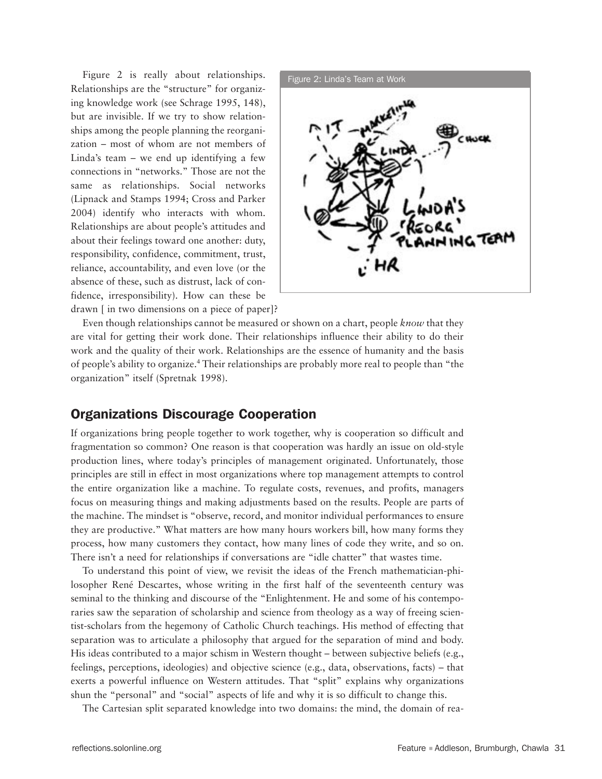Figure 2 is really about relationships. Figure 2: Linda's Team at Work Relationships are the "structure" for organizing knowledge work (see Schrage 1995, 148), but are invisible. If we try to show relationships among the people planning the reorganization – most of whom are not members of Linda's team – we end up identifying a few connections in "networks." Those are not the same as relationships. Social networks (Lipnack and Stamps 1994; Cross and Parker 2004) identify who interacts with whom. Relationships are about people's attitudes and about their feelings toward one another: duty, responsibility, confidence, commitment, trust, reliance, accountability, and even love (or the absence of these, such as distrust, lack of confidence, irresponsibility). How can these be



drawn [ in two dimensions on a piece of paper]?

Even though relationships cannot be measured or shown on a chart, people *know* that they are vital for getting their work done. Their relationships influence their ability to do their work and the quality of their work. Relationships are the essence of humanity and the basis of people's ability to organize.<sup>4</sup> Their relationships are probably more real to people than "the organization" itself (Spretnak 1998).

# Organizations Discourage Cooperation

If organizations bring people together to work together, why is cooperation so difficult and fragmentation so common? One reason is that cooperation was hardly an issue on old-style production lines, where today's principles of management originated. Unfortunately, those principles are still in effect in most organizations where top management attempts to control the entire organization like a machine. To regulate costs, revenues, and profits, managers focus on measuring things and making adjustments based on the results. People are parts of the machine. The mindset is "observe, record, and monitor individual performances to ensure they are productive." What matters are how many hours workers bill, how many forms they process, how many customers they contact, how many lines of code they write, and so on. There isn't a need for relationships if conversations are "idle chatter" that wastes time.

To understand this point of view, we revisit the ideas of the French mathematician-philosopher René Descartes, whose writing in the first half of the seventeenth century was seminal to the thinking and discourse of the "Enlightenment. He and some of his contemporaries saw the separation of scholarship and science from theology as a way of freeing scientist-scholars from the hegemony of Catholic Church teachings. His method of effecting that separation was to articulate a philosophy that argued for the separation of mind and body. His ideas contributed to a major schism in Western thought – between subjective beliefs (e.g., feelings, perceptions, ideologies) and objective science (e.g., data, observations, facts) – that exerts a powerful influence on Western attitudes. That "split" explains why organizations shun the "personal" and "social" aspects of life and why it is so difficult to change this.

The Cartesian split separated knowledge into two domains: the mind, the domain of rea-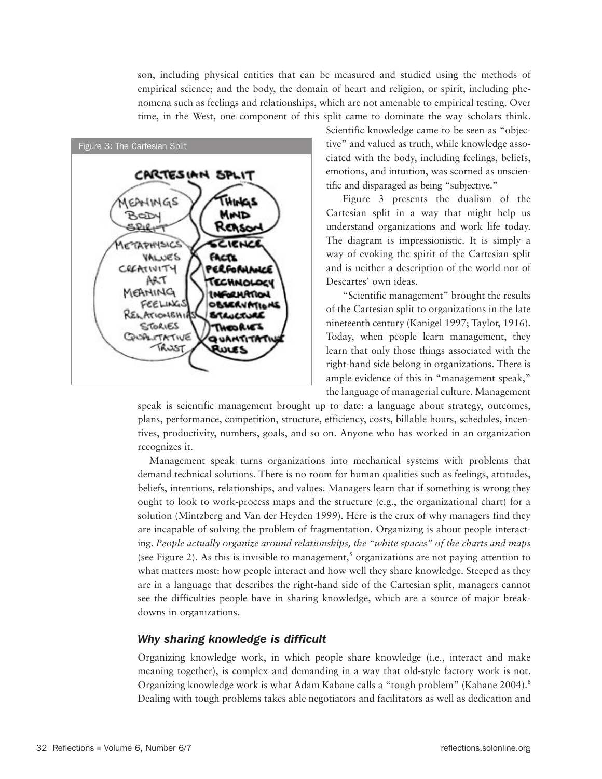son, including physical entities that can be measured and studied using the methods of empirical science; and the body, the domain of heart and religion, or spirit, including phenomena such as feelings and relationships, which are not amenable to empirical testing. Over time, in the West, one component of this split came to dominate the way scholars think.



Scientific knowledge came to be seen as "objective" and valued as truth, while knowledge associated with the body, including feelings, beliefs, emotions, and intuition, was scorned as unscientific and disparaged as being "subjective."

 Figure 3 presents the dualism of the Cartesian split in a way that might help us understand organizations and work life today. The diagram is impressionistic. It is simply a way of evoking the spirit of the Cartesian split and is neither a description of the world nor of Descartes' own ideas.

 "Scientific management" brought the results of the Cartesian split to organizations in the late nineteenth century (Kanigel 1997; Taylor, 1916). Today, when people learn management, they learn that only those things associated with the right-hand side belong in organizations. There is ample evidence of this in "management speak," the language of managerial culture. Management

speak is scientific management brought up to date: a language about strategy, outcomes, plans, performance, competition, structure, efficiency, costs, billable hours, schedules, incentives, productivity, numbers, goals, and so on. Anyone who has worked in an organization recognizes it.

Management speak turns organizations into mechanical systems with problems that demand technical solutions. There is no room for human qualities such as feelings, attitudes, beliefs, intentions, relationships, and values. Managers learn that if something is wrong they ought to look to work-process maps and the structure (e.g., the organizational chart) for a solution (Mintzberg and Van der Heyden 1999). Here is the crux of why managers find they are incapable of solving the problem of fragmentation. Organizing is about people interacting. *People actually organize around relationships, the "white spaces" of the charts and maps* (see Figure 2). As this is invisible to management,<sup>5</sup> organizations are not paying attention to what matters most: how people interact and how well they share knowledge. Steeped as they are in a language that describes the right-hand side of the Cartesian split, managers cannot see the difficulties people have in sharing knowledge, which are a source of major breakdowns in organizations.

# *Why sharing knowledge is difficult*

Organizing knowledge work, in which people share knowledge (i.e., interact and make meaning together), is complex and demanding in a way that old-style factory work is not. Organizing knowledge work is what Adam Kahane calls a "tough problem" (Kahane 2004).<sup>6</sup> Dealing with tough problems takes able negotiators and facilitators as well as dedication and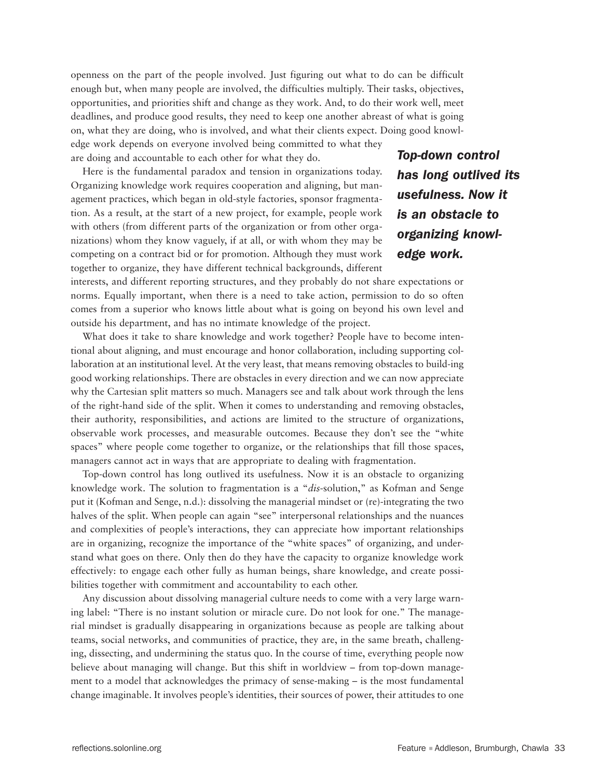openness on the part of the people involved. Just figuring out what to do can be difficult enough but, when many people are involved, the difficulties multiply. Their tasks, objectives, opportunities, and priorities shift and change as they work. And, to do their work well, meet deadlines, and produce good results, they need to keep one another abreast of what is going on, what they are doing, who is involved, and what their clients expect. Doing good knowledge work depends on everyone involved being committed to what they

are doing and accountable to each other for what they do.

Here is the fundamental paradox and tension in organizations today. Organizing knowledge work requires cooperation and aligning, but management practices, which began in old-style factories, sponsor fragmentation. As a result, at the start of a new project, for example, people work with others (from different parts of the organization or from other organizations) whom they know vaguely, if at all, or with whom they may be competing on a contract bid or for promotion. Although they must work together to organize, they have different technical backgrounds, different

*Top-down control has long outlived its usefulness. Now it is an obstacle to organizing knowledge work.*

interests, and different reporting structures, and they probably do not share expectations or norms. Equally important, when there is a need to take action, permission to do so often comes from a superior who knows little about what is going on beyond his own level and outside his department, and has no intimate knowledge of the project.

What does it take to share knowledge and work together? People have to become intentional about aligning, and must encourage and honor collaboration, including supporting collaboration at an institutional level. At the very least, that means removing obstacles to build-ing good working relationships. There are obstacles in every direction and we can now appreciate why the Cartesian split matters so much. Managers see and talk about work through the lens of the right-hand side of the split. When it comes to understanding and removing obstacles, their authority, responsibilities, and actions are limited to the structure of organizations, observable work processes, and measurable outcomes. Because they don't see the "white spaces" where people come together to organize, or the relationships that fill those spaces, managers cannot act in ways that are appropriate to dealing with fragmentation.

Top-down control has long outlived its usefulness. Now it is an obstacle to organizing knowledge work. The solution to fragmentation is a "*dis*-solution," as Kofman and Senge put it (Kofman and Senge, n.d.): dissolving the managerial mindset or (re)-integrating the two halves of the split. When people can again "see" interpersonal relationships and the nuances and complexities of people's interactions, they can appreciate how important relationships are in organizing, recognize the importance of the "white spaces" of organizing, and understand what goes on there. Only then do they have the capacity to organize knowledge work effectively: to engage each other fully as human beings, share knowledge, and create possibilities together with commitment and accountability to each other.

Any discussion about dissolving managerial culture needs to come with a very large warning label: "There is no instant solution or miracle cure. Do not look for one." The managerial mindset is gradually disappearing in organizations because as people are talking about teams, social networks, and communities of practice, they are, in the same breath, challenging, dissecting, and undermining the status quo. In the course of time, everything people now believe about managing will change. But this shift in worldview – from top-down management to a model that acknowledges the primacy of sense-making – is the most fundamental change imaginable. It involves people's identities, their sources of power, their attitudes to one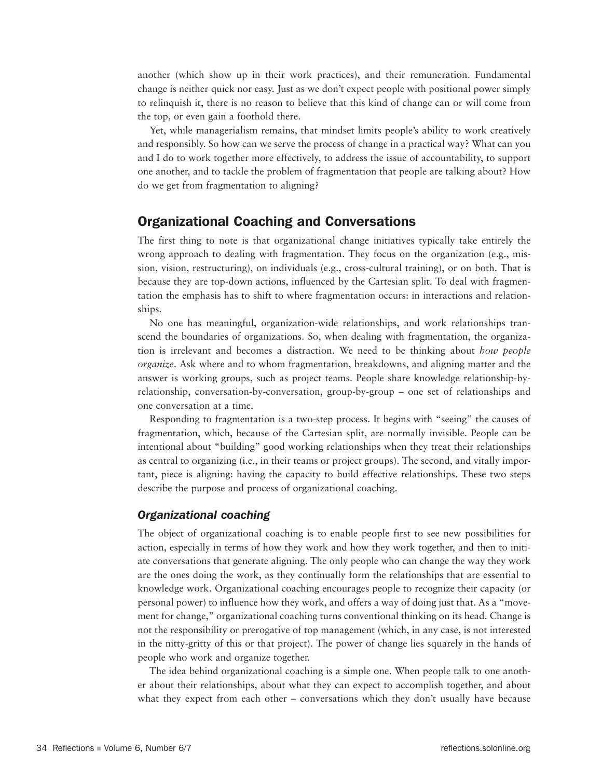another (which show up in their work practices), and their remuneration. Fundamental change is neither quick nor easy. Just as we don't expect people with positional power simply to relinquish it, there is no reason to believe that this kind of change can or will come from the top, or even gain a foothold there.

Yet, while managerialism remains, that mindset limits people's ability to work creatively and responsibly. So how can we serve the process of change in a practical way? What can you and I do to work together more effectively, to address the issue of accountability, to support one another, and to tackle the problem of fragmentation that people are talking about? How do we get from fragmentation to aligning?

# Organizational Coaching and Conversations

The first thing to note is that organizational change initiatives typically take entirely the wrong approach to dealing with fragmentation. They focus on the organization (e.g., mission, vision, restructuring), on individuals (e.g., cross-cultural training), or on both. That is because they are top-down actions, influenced by the Cartesian split. To deal with fragmentation the emphasis has to shift to where fragmentation occurs: in interactions and relationships.

No one has meaningful, organization-wide relationships, and work relationships transcend the boundaries of organizations. So, when dealing with fragmentation, the organization is irrelevant and becomes a distraction. We need to be thinking about *how people organize*. Ask where and to whom fragmentation, breakdowns, and aligning matter and the answer is working groups, such as project teams. People share knowledge relationship-byrelationship, conversation-by-conversation, group-by-group – one set of relationships and one conversation at a time.

Responding to fragmentation is a two-step process. It begins with "seeing" the causes of fragmentation, which, because of the Cartesian split, are normally invisible. People can be intentional about "building" good working relationships when they treat their relationships as central to organizing (i.e., in their teams or project groups). The second, and vitally important, piece is aligning: having the capacity to build effective relationships. These two steps describe the purpose and process of organizational coaching.

#### *Organizational coaching*

The object of organizational coaching is to enable people first to see new possibilities for action, especially in terms of how they work and how they work together, and then to initiate conversations that generate aligning. The only people who can change the way they work are the ones doing the work, as they continually form the relationships that are essential to knowledge work. Organizational coaching encourages people to recognize their capacity (or personal power) to influence how they work, and offers a way of doing just that. As a "movement for change," organizational coaching turns conventional thinking on its head. Change is not the responsibility or prerogative of top management (which, in any case, is not interested in the nitty-gritty of this or that project). The power of change lies squarely in the hands of people who work and organize together.

The idea behind organizational coaching is a simple one. When people talk to one another about their relationships, about what they can expect to accomplish together, and about what they expect from each other – conversations which they don't usually have because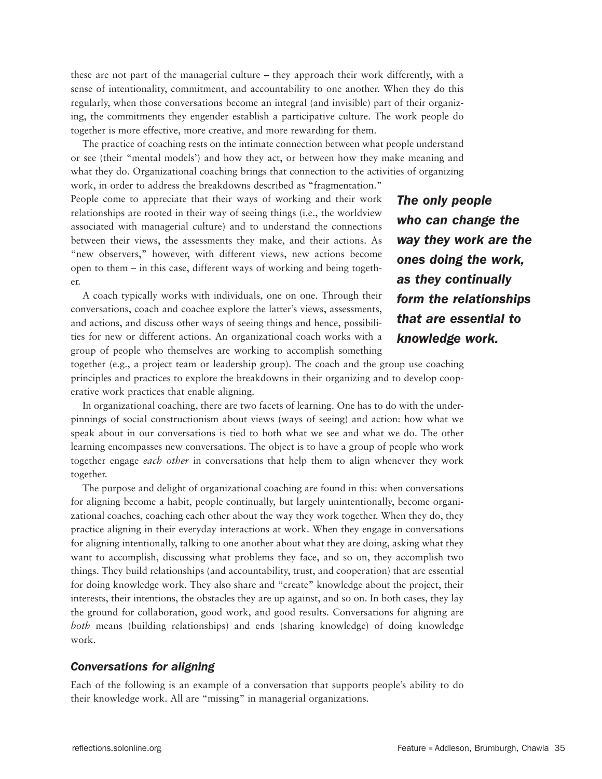these are not part of the managerial culture – they approach their work differently, with a sense of intentionality, commitment, and accountability to one another. When they do this regularly, when those conversations become an integral (and invisible) part of their organizing, the commitments they engender establish a participative culture. The work people do together is more effective, more creative, and more rewarding for them.

The practice of coaching rests on the intimate connection between what people understand or see (their "mental models') and how they act, or between how they make meaning and what they do. Organizational coaching brings that connection to the activities of organizing work, in order to address the breakdowns described as "fragmentation."

People come to appreciate that their ways of working and their work relationships are rooted in their way of seeing things (i.e., the worldview associated with managerial culture) and to understand the connections between their views, the assessments they make, and their actions. As "new observers," however, with different views, new actions become open to them – in this case, different ways of working and being together.

A coach typically works with individuals, one on one. Through their conversations, coach and coachee explore the latter's views, assessments, and actions, and discuss other ways of seeing things and hence, possibilities for new or different actions. An organizational coach works with a group of people who themselves are working to accomplish something

*The only people who can change the way they work are the ones doing the work, as they continually form the relationships that are essential to knowledge work.*

together (e.g., a project team or leadership group). The coach and the group use coaching principles and practices to explore the breakdowns in their organizing and to develop cooperative work practices that enable aligning.

In organizational coaching, there are two facets of learning. One has to do with the underpinnings of social constructionism about views (ways of seeing) and action: how what we speak about in our conversations is tied to both what we see and what we do. The other learning encompasses new conversations. The object is to have a group of people who work together engage *each other* in conversations that help them to align whenever they work together.

The purpose and delight of organizational coaching are found in this: when conversations for aligning become a habit, people continually, but largely unintentionally, become organizational coaches, coaching each other about the way they work together. When they do, they practice aligning in their everyday interactions at work. When they engage in conversations for aligning intentionally, talking to one another about what they are doing, asking what they want to accomplish, discussing what problems they face, and so on, they accomplish two things. They build relationships (and accountability, trust, and cooperation) that are essential for doing knowledge work. They also share and "create" knowledge about the project, their interests, their intentions, the obstacles they are up against, and so on. In both cases, they lay the ground for collaboration, good work, and good results. Conversations for aligning are *both* means (building relationships) and ends (sharing knowledge) of doing knowledge work.

#### *Conversations for aligning*

Each of the following is an example of a conversation that supports people's ability to do their knowledge work. All are "missing" in managerial organizations.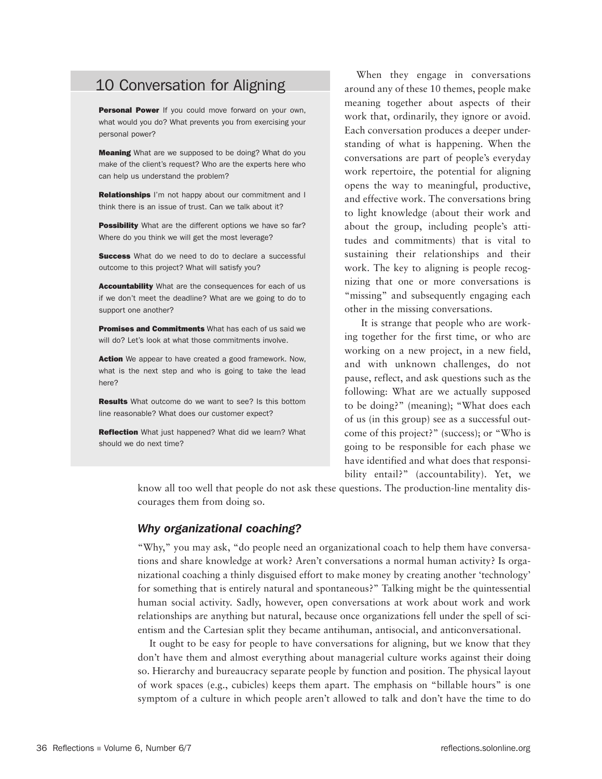# 10 Conversation for Aligning

Personal Power If you could move forward on your own. what would you do? What prevents you from exercising your personal power?

**Meaning** What are we supposed to be doing? What do you make of the client's request? Who are the experts here who can help us understand the problem?

Relationships I'm not happy about our commitment and I think there is an issue of trust. Can we talk about it?

Possibility What are the different options we have so far? Where do you think we will get the most leverage?

**Success** What do we need to do to declare a successful outcome to this project? What will satisfy you?

Accountability What are the consequences for each of us if we don't meet the deadline? What are we going to do to support one another?

**Promises and Commitments** What has each of us said we will do? Let's look at what those commitments involve.

Action We appear to have created a good framework. Now, what is the next step and who is going to take the lead here?

Results What outcome do we want to see? Is this bottom line reasonable? What does our customer expect?

Reflection What just happened? What did we learn? What should we do next time?

When they engage in conversations around any of these 10 themes, people make meaning together about aspects of their work that, ordinarily, they ignore or avoid. Each conversation produces a deeper understanding of what is happening. When the conversations are part of people's everyday work repertoire, the potential for aligning opens the way to meaningful, productive, and effective work. The conversations bring to light knowledge (about their work and about the group, including people's attitudes and commitments) that is vital to sustaining their relationships and their work. The key to aligning is people recognizing that one or more conversations is "missing" and subsequently engaging each other in the missing conversations.

 It is strange that people who are working together for the first time, or who are working on a new project, in a new field, and with unknown challenges, do not pause, reflect, and ask questions such as the following: What are we actually supposed to be doing?" (meaning); "What does each of us (in this group) see as a successful outcome of this project?" (success); or "Who is going to be responsible for each phase we have identified and what does that responsibility entail?" (accountability). Yet, we

know all too well that people do not ask these questions. The production-line mentality discourages them from doing so.

#### *Why organizational coaching?*

"Why," you may ask, "do people need an organizational coach to help them have conversations and share knowledge at work? Aren't conversations a normal human activity? Is organizational coaching a thinly disguised effort to make money by creating another 'technology' for something that is entirely natural and spontaneous?" Talking might be the quintessential human social activity. Sadly, however, open conversations at work about work and work relationships are anything but natural, because once organizations fell under the spell of scientism and the Cartesian split they became antihuman, antisocial, and anticonversational.

It ought to be easy for people to have conversations for aligning, but we know that they don't have them and almost everything about managerial culture works against their doing so. Hierarchy and bureaucracy separate people by function and position. The physical layout of work spaces (e.g., cubicles) keeps them apart. The emphasis on "billable hours" is one symptom of a culture in which people aren't allowed to talk and don't have the time to do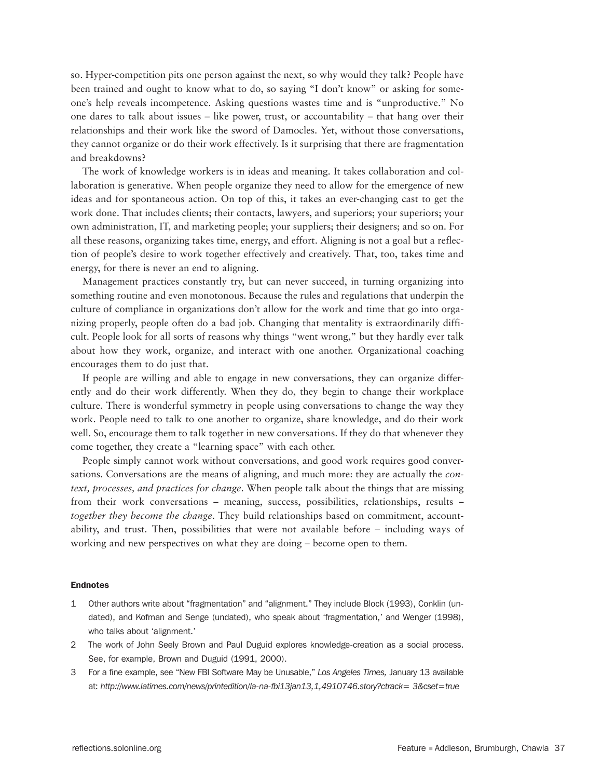so. Hyper-competition pits one person against the next, so why would they talk? People have been trained and ought to know what to do, so saying "I don't know" or asking for someone's help reveals incompetence. Asking questions wastes time and is "unproductive." No one dares to talk about issues – like power, trust, or accountability – that hang over their relationships and their work like the sword of Damocles. Yet, without those conversations, they cannot organize or do their work effectively. Is it surprising that there are fragmentation and breakdowns?

The work of knowledge workers is in ideas and meaning. It takes collaboration and collaboration is generative. When people organize they need to allow for the emergence of new ideas and for spontaneous action. On top of this, it takes an ever-changing cast to get the work done. That includes clients; their contacts, lawyers, and superiors; your superiors; your own administration, IT, and marketing people; your suppliers; their designers; and so on. For all these reasons, organizing takes time, energy, and effort. Aligning is not a goal but a reflection of people's desire to work together effectively and creatively. That, too, takes time and energy, for there is never an end to aligning.

Management practices constantly try, but can never succeed, in turning organizing into something routine and even monotonous. Because the rules and regulations that underpin the culture of compliance in organizations don't allow for the work and time that go into organizing properly, people often do a bad job. Changing that mentality is extraordinarily difficult. People look for all sorts of reasons why things "went wrong," but they hardly ever talk about how they work, organize, and interact with one another. Organizational coaching encourages them to do just that.

If people are willing and able to engage in new conversations, they can organize differently and do their work differently. When they do, they begin to change their workplace culture. There is wonderful symmetry in people using conversations to change the way they work. People need to talk to one another to organize, share knowledge, and do their work well. So, encourage them to talk together in new conversations. If they do that whenever they come together, they create a "learning space" with each other.

People simply cannot work without conversations, and good work requires good conversations. Conversations are the means of aligning, and much more: they are actually the *context, processes, and practices for change*. When people talk about the things that are missing from their work conversations – meaning, success, possibilities, relationships, results – *together they become the change*. They build relationships based on commitment, accountability, and trust. Then, possibilities that were not available before – including ways of working and new perspectives on what they are doing – become open to them.

#### Endnotes

- 1 Other authors write about "fragmentation" and "alignment." They include Block (1993), Conklin (undated), and Kofman and Senge (undated), who speak about 'fragmentation,' and Wenger (1998), who talks about 'alignment.'
- 2 The work of John Seely Brown and Paul Duguid explores knowledge-creation as a social process. See, for example, Brown and Duguid (1991, 2000).
- 3 For a fine example, see "New FBI Software May be Unusable," *Los Angeles Times,* January 13 available at: *http://www.latimes.com/news/printedition/la-na-fbi13jan13,1,4910746.story?ctrack= 3&cset=true*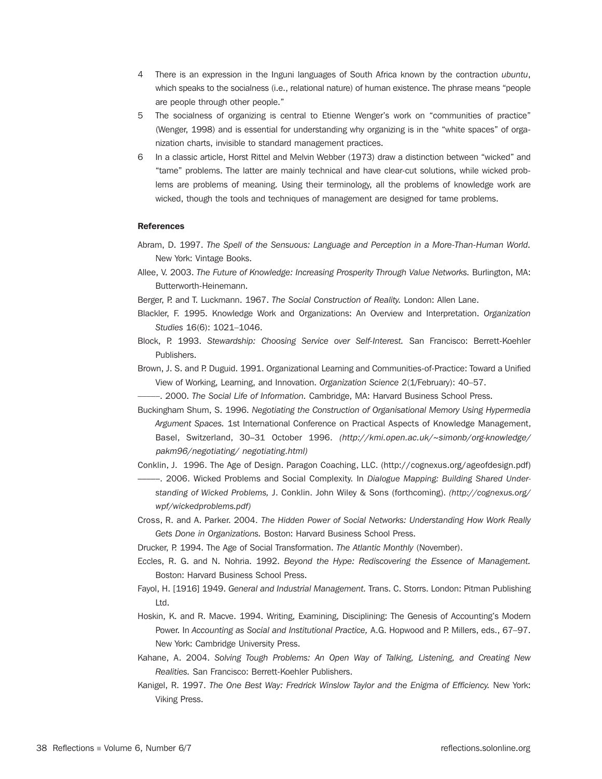- 4 There is an expression in the Inguni languages of South Africa known by the contraction *ubuntu*, which speaks to the socialness (i.e., relational nature) of human existence. The phrase means "people are people through other people."
- 5 The socialness of organizing is central to Etienne Wenger's work on "communities of practice" (Wenger, 1998) and is essential for understanding why organizing is in the "white spaces" of organization charts, invisible to standard management practices.
- 6 In a classic article, Horst Rittel and Melvin Webber (1973) draw a distinction between "wicked" and "tame" problems. The latter are mainly technical and have clear-cut solutions, while wicked problems are problems of meaning. Using their terminology, all the problems of knowledge work are wicked, though the tools and techniques of management are designed for tame problems.

#### **References**

- Abram, D. 1997. *The Spell of the Sensuous: Language and Perception in a More-Than-Human World.*  New York: Vintage Books.
- Allee, V. 2003. *The Future of Knowledge: Increasing Prosperity Through Value Networks.* Burlington, MA: Butterworth-Heinemann.
- Berger, P. and T. Luckmann. 1967. *The Social Construction of Reality.* London: Allen Lane.
- Blackler, F. 1995. Knowledge Work and Organizations: An Overview and Interpretation. *Organization Studies* 16(6): 1021–1046.
- Block, P. 1993. *Stewardship: Choosing Service over Self-Interest.* San Francisco: Berrett-Koehler Publishers.
- Brown, J. S. and P. Duguid. 1991. Organizational Learning and Communities-of-Practice: Toward a Unified View of Working, Learning, and Innovation. *Organization Science* 2(1/February): 40–57.
- –––––. 2000. *The Social Life of Information.* Cambridge, MA: Harvard Business School Press.
- Buckingham Shum, S. 1996. *Negotiating the Construction of Organisational Memory Using Hypermedia Argument Spaces.* 1st International Conference on Practical Aspects of Knowledge Management, Basel, Switzerland, 30–31 October 1996. (http://kmi.open.ac.uk/~simonb/org-knowledge/ pakm96/negotiating/ negotiating.html)
- Conklin, J. 1996. The Age of Design. Paragon Coaching, LLC. (http://cognexus.org/ageofdesign.pdf) –––––. 2006. Wicked Problems and Social Complexity. In *Dialogue Mapping: Building Shared Understanding of Wicked Problems,* J. Conklin. John Wiley & Sons (forthcoming). *(http://cognexus.org/ wpf/wickedproblems.pdf)*
- Cross, R. and A. Parker. 2004. *The Hidden Power of Social Networks: Understanding How Work Really Gets Done in Organizations.* Boston: Harvard Business School Press.
- Drucker, P. 1994. The Age of Social Transformation. *The Atlantic Monthly* (November).
- Eccles, R. G. and N. Nohria. 1992. *Beyond the Hype: Rediscovering the Essence of Management.*  Boston: Harvard Business School Press.
- Fayol, H. [1916] 1949. *General and Industrial Management.* Trans. C. Storrs. London: Pitman Publishing Ltd.
- Hoskin, K. and R. Macve. 1994. Writing, Examining, Disciplining: The Genesis of Accounting's Modern Power. In *Accounting as Social and Institutional Practice,* A.G. Hopwood and P. Millers, eds., 67–97. New York: Cambridge University Press.
- Kahane, A. 2004. *Solving Tough Problems: An Open Way of Talking, Listening, and Creating New Realities.* San Francisco: Berrett-Koehler Publishers.
- Kanigel, R. 1997. The One Best Way: Fredrick Winslow Taylor and the Enigma of Efficiency. New York: Viking Press.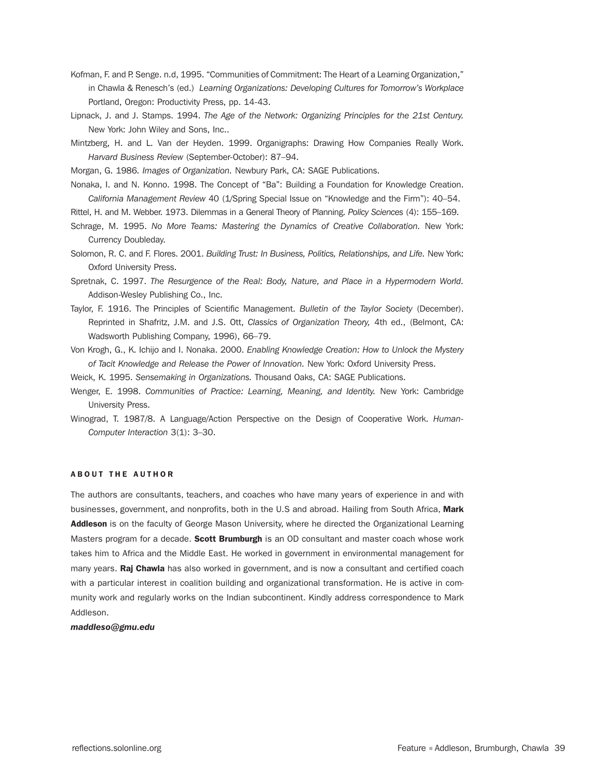- Kofman, F. and P. Senge. n.d, 1995. "Communities of Commitment: The Heart of a Learning Organization," in Chawla & Renesch's (ed.) *Learning Organizations: Developing Cultures for Tomorrow's Workplace*  Portland, Oregon: Productivity Press, pp. 14-43.
- Lipnack, J. and J. Stamps. 1994. *The Age of the Network: Organizing Principles for the 21st Century.*  New York: John Wiley and Sons, Inc..
- Mintzberg, H. and L. Van der Heyden. 1999. Organigraphs: Drawing How Companies Really Work. *Harvard Business Review* (September-October): 87–94.

Morgan, G. 1986*. Images of Organization.* Newbury Park, CA: SAGE Publications.

Nonaka, I. and N. Konno. 1998. The Concept of "Ba": Building a Foundation for Knowledge Creation. *California Management Review* 40 (1/Spring Special Issue on "Knowledge and the Firm"): 40–54.

Rittel, H. and M. Webber. 1973. Dilemmas in a General Theory of Planning. *Policy Sciences* (4): 155–169.

- Schrage, M. 1995. *No More Teams: Mastering the Dynamics of Creative Collaboration.* New York: Currency Doubleday.
- Solomon, R. C. and F. Flores. 2001. *Building Trust: In Business, Politics, Relationships, and Life.* New York: Oxford University Press.
- Spretnak, C. 1997. *The Resurgence of the Real: Body, Nature, and Place in a Hypermodern World.*  Addison-Wesley Publishing Co., Inc.
- Taylor, F. 1916. The Principles of Scientific Management. *Bulletin of the Taylor Society* (December). Reprinted in Shafritz, J.M. and J.S. Ott, *Classics of Organization Theory,* 4th ed., (Belmont, CA: Wadsworth Publishing Company, 1996), 66–79.
- Von Krogh, G., K. Ichijo and I. Nonaka. 2000. *Enabling Knowledge Creation: How to Unlock the Mystery*  of Tacit Knowledge and Release the Power of Innovation. New York: Oxford University Press.
- Weick, K. 1995. *Sensemaking in Organizations.* Thousand Oaks, CA: SAGE Publications.
- Wenger, E. 1998. *Communities of Practice: Learning, Meaning, and Identity.* New York: Cambridge University Press.
- Winograd, T. 1987/8. A Language/Action Perspective on the Design of Cooperative Work. *Human-Computer Interaction* 3(1): 3–30.

#### **ABOUT THE AUTHOR**

The authors are consultants, teachers, and coaches who have many years of experience in and with businesses, government, and nonprofits, both in the U.S and abroad. Hailing from South Africa, Mark Addleson is on the faculty of George Mason University, where he directed the Organizational Learning Masters program for a decade. Scott Brumburgh is an OD consultant and master coach whose work takes him to Africa and the Middle East. He worked in government in environmental management for many years. Raj Chawla has also worked in government, and is now a consultant and certified coach with a particular interest in coalition building and organizational transformation. He is active in community work and regularly works on the Indian subcontinent. Kindly address correspondence to Mark Addleson.

#### *maddleso@gmu.edu*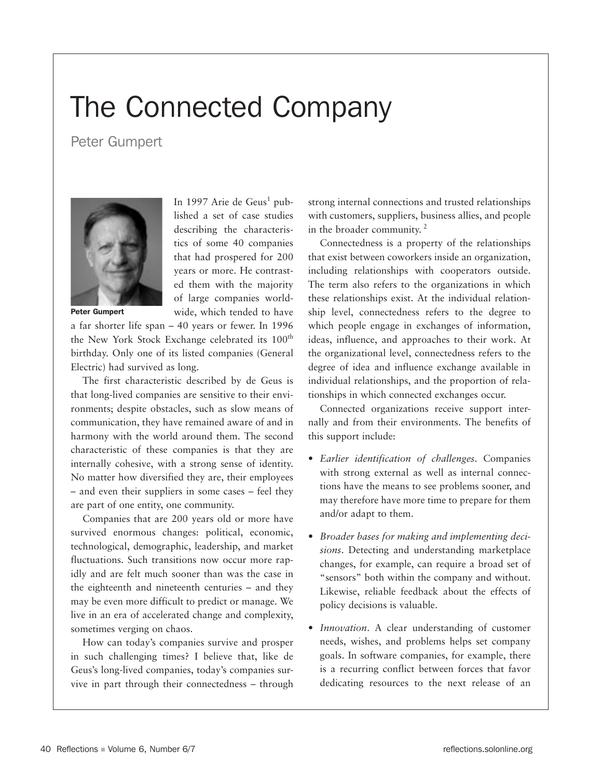# The Connected Company

Peter Gumpert



Peter Gumpert

In 1997 Arie de Geus<sup>1</sup> published a set of case studies describing the characteristics of some 40 companies that had prospered for 200 years or more. He contrasted them with the majority of large companies worldwide, which tended to have

a far shorter life span – 40 years or fewer. In 1996 the New York Stock Exchange celebrated its 100<sup>th</sup> birthday. Only one of its listed companies (General Electric) had survived as long.

The first characteristic described by de Geus is that long-lived companies are sensitive to their environments; despite obstacles, such as slow means of communication, they have remained aware of and in harmony with the world around them. The second characteristic of these companies is that they are internally cohesive, with a strong sense of identity. No matter how diversified they are, their employees – and even their suppliers in some cases – feel they are part of one entity, one community.

Companies that are 200 years old or more have survived enormous changes: political, economic, technological, demographic, leadership, and market fluctuations. Such transitions now occur more rapidly and are felt much sooner than was the case in the eighteenth and nineteenth centuries – and they may be even more difficult to predict or manage. We live in an era of accelerated change and complexity, sometimes verging on chaos.

How can today's companies survive and prosper in such challenging times? I believe that, like de Geus's long-lived companies, today's companies survive in part through their connectedness – through strong internal connections and trusted relationships with customers, suppliers, business allies, and people in the broader community. 2

Connectedness is a property of the relationships that exist between coworkers inside an organization, including relationships with cooperators outside. The term also refers to the organizations in which these relationships exist. At the individual relationship level, connectedness refers to the degree to which people engage in exchanges of information, ideas, influence, and approaches to their work. At the organizational level, connectedness refers to the degree of idea and influence exchange available in individual relationships, and the proportion of relationships in which connected exchanges occur.

Connected organizations receive support internally and from their environments. The benefits of this support include:

- *Earlier identification of challenges*. Companies with strong external as well as internal connections have the means to see problems sooner, and may therefore have more time to prepare for them and/or adapt to them.
- *Broader bases for making and implementing decisions*. Detecting and understanding marketplace changes, for example, can require a broad set of "sensors" both within the company and without. Likewise, reliable feedback about the effects of policy decisions is valuable.
- *Innovation*. A clear understanding of customer needs, wishes, and problems helps set company goals. In software companies, for example, there is a recurring conflict between forces that favor dedicating resources to the next release of an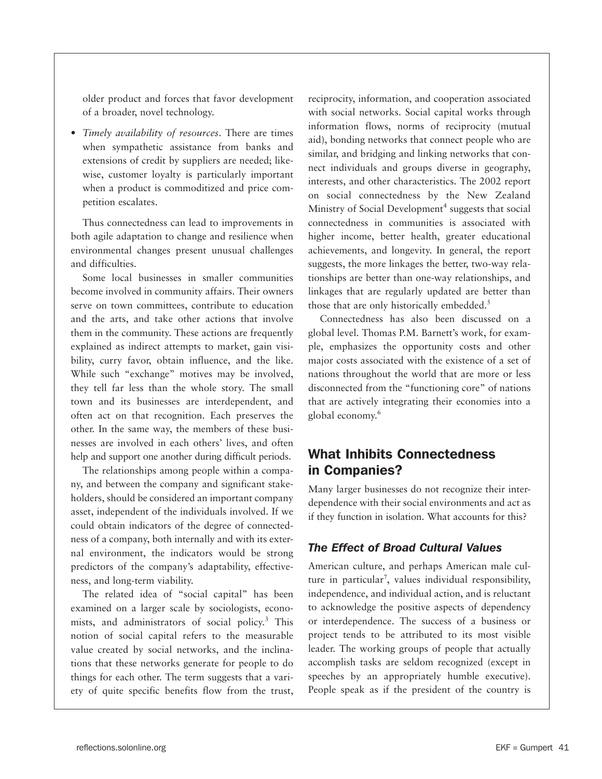older product and forces that favor development of a broader, novel technology.

• *Timely availability of resources*. There are times when sympathetic assistance from banks and extensions of credit by suppliers are needed; likewise, customer loyalty is particularly important when a product is commoditized and price competition escalates.

Thus connectedness can lead to improvements in both agile adaptation to change and resilience when environmental changes present unusual challenges and difficulties.

Some local businesses in smaller communities become involved in community affairs. Their owners serve on town committees, contribute to education and the arts, and take other actions that involve them in the community. These actions are frequently explained as indirect attempts to market, gain visibility, curry favor, obtain influence, and the like. While such "exchange" motives may be involved, they tell far less than the whole story. The small town and its businesses are interdependent, and often act on that recognition. Each preserves the other. In the same way, the members of these businesses are involved in each others' lives, and often help and support one another during difficult periods.

The relationships among people within a company, and between the company and significant stakeholders, should be considered an important company asset, independent of the individuals involved. If we could obtain indicators of the degree of connectedness of a company, both internally and with its external environment, the indicators would be strong predictors of the company's adaptability, effectiveness, and long-term viability.

The related idea of "social capital" has been examined on a larger scale by sociologists, economists, and administrators of social policy.<sup>3</sup> This notion of social capital refers to the measurable value created by social networks, and the inclinations that these networks generate for people to do things for each other. The term suggests that a variety of quite specific benefits flow from the trust,

reciprocity, information, and cooperation associated with social networks. Social capital works through information flows, norms of reciprocity (mutual aid), bonding networks that connect people who are similar, and bridging and linking networks that connect individuals and groups diverse in geography, interests, and other characteristics. The 2002 report on social connectedness by the New Zealand Ministry of Social Development<sup>4</sup> suggests that social connectedness in communities is associated with higher income, better health, greater educational achievements, and longevity. In general, the report suggests, the more linkages the better, two-way relationships are better than one-way relationships, and linkages that are regularly updated are better than those that are only historically embedded.<sup>5</sup>

Connectedness has also been discussed on a global level. Thomas P.M. Barnett's work, for example, emphasizes the opportunity costs and other major costs associated with the existence of a set of nations throughout the world that are more or less disconnected from the "functioning core" of nations that are actively integrating their economies into a global economy.6

# What Inhibits Connectedness in Companies?

Many larger businesses do not recognize their interdependence with their social environments and act as if they function in isolation. What accounts for this?

# *The Effect of Broad Cultural Values*

American culture, and perhaps American male culture in particular<sup>7</sup>, values individual responsibility, independence, and individual action, and is reluctant to acknowledge the positive aspects of dependency or interdependence. The success of a business or project tends to be attributed to its most visible leader. The working groups of people that actually accomplish tasks are seldom recognized (except in speeches by an appropriately humble executive). People speak as if the president of the country is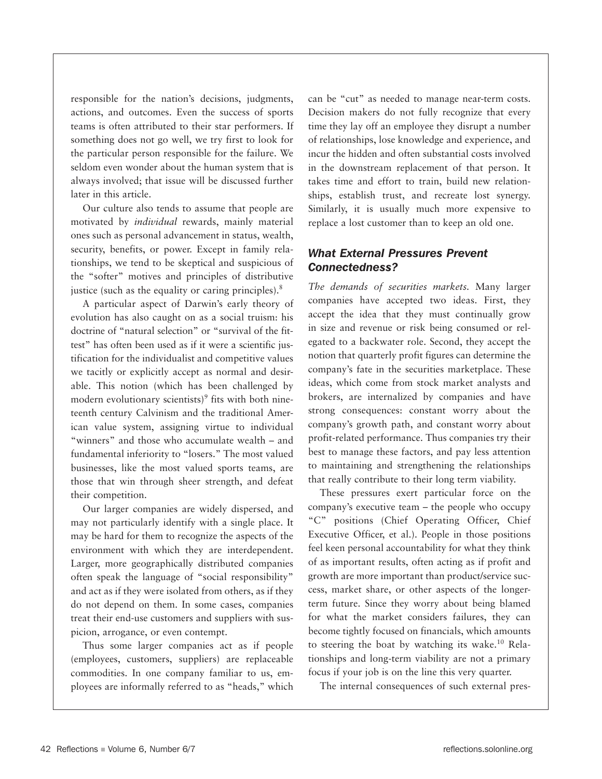responsible for the nation's decisions, judgments, actions, and outcomes. Even the success of sports teams is often attributed to their star performers. If something does not go well, we try first to look for the particular person responsible for the failure. We seldom even wonder about the human system that is always involved; that issue will be discussed further later in this article.

Our culture also tends to assume that people are motivated by *individual* rewards, mainly material ones such as personal advancement in status, wealth, security, benefits, or power. Except in family relationships, we tend to be skeptical and suspicious of the "softer" motives and principles of distributive justice (such as the equality or caring principles).<sup>8</sup>

A particular aspect of Darwin's early theory of evolution has also caught on as a social truism: his doctrine of "natural selection" or "survival of the fittest" has often been used as if it were a scientific justification for the individualist and competitive values we tacitly or explicitly accept as normal and desirable. This notion (which has been challenged by modern evolutionary scientists) $\frac{9}{1}$  fits with both nineteenth century Calvinism and the traditional American value system, assigning virtue to individual "winners" and those who accumulate wealth – and fundamental inferiority to "losers." The most valued businesses, like the most valued sports teams, are those that win through sheer strength, and defeat their competition.

Our larger companies are widely dispersed, and may not particularly identify with a single place. It may be hard for them to recognize the aspects of the environment with which they are interdependent. Larger, more geographically distributed companies often speak the language of "social responsibility" and act as if they were isolated from others, as if they do not depend on them. In some cases, companies treat their end-use customers and suppliers with suspicion, arrogance, or even contempt.

Thus some larger companies act as if people (employees, customers, suppliers) are replaceable commodities. In one company familiar to us, employees are informally referred to as "heads," which can be "cut" as needed to manage near-term costs. Decision makers do not fully recognize that every time they lay off an employee they disrupt a number of relationships, lose knowledge and experience, and incur the hidden and often substantial costs involved in the downstream replacement of that person. It takes time and effort to train, build new relationships, establish trust, and recreate lost synergy. Similarly, it is usually much more expensive to replace a lost customer than to keep an old one.

#### *What External Pressures Prevent Connectedness?*

*The demands of securities markets.* Many larger companies have accepted two ideas. First, they accept the idea that they must continually grow in size and revenue or risk being consumed or relegated to a backwater role. Second, they accept the notion that quarterly profit figures can determine the company's fate in the securities marketplace. These ideas, which come from stock market analysts and brokers, are internalized by companies and have strong consequences: constant worry about the company's growth path, and constant worry about profit-related performance. Thus companies try their best to manage these factors, and pay less attention to maintaining and strengthening the relationships that really contribute to their long term viability.

These pressures exert particular force on the company's executive team – the people who occupy "C" positions (Chief Operating Officer, Chief Executive Officer, et al.). People in those positions feel keen personal accountability for what they think of as important results, often acting as if profit and growth are more important than product/service success, market share, or other aspects of the longerterm future. Since they worry about being blamed for what the market considers failures, they can become tightly focused on financials, which amounts to steering the boat by watching its wake.<sup>10</sup> Relationships and long-term viability are not a primary focus if your job is on the line this very quarter.

The internal consequences of such external pres-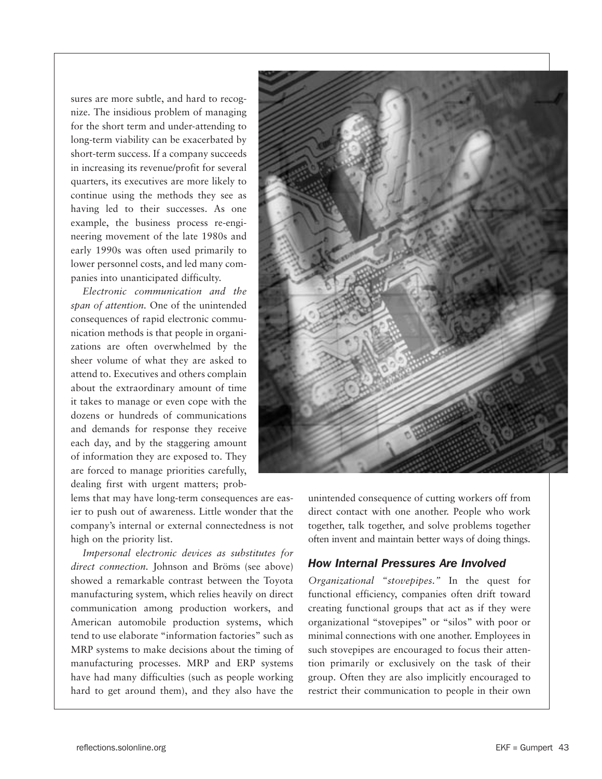sures are more subtle, and hard to recognize. The insidious problem of managing for the short term and under-attending to long-term viability can be exacerbated by short-term success. If a company succeeds in increasing its revenue/profit for several quarters, its executives are more likely to continue using the methods they see as having led to their successes. As one example, the business process re-engineering movement of the late 1980s and early 1990s was often used primarily to lower personnel costs, and led many companies into unanticipated difficulty.

*Electronic communication and the span of attention.* One of the unintended consequences of rapid electronic communication methods is that people in organizations are often overwhelmed by the sheer volume of what they are asked to attend to. Executives and others complain about the extraordinary amount of time it takes to manage or even cope with the dozens or hundreds of communications and demands for response they receive each day, and by the staggering amount of information they are exposed to. They are forced to manage priorities carefully, dealing first with urgent matters; prob-

lems that may have long-term consequences are easier to push out of awareness. Little wonder that the company's internal or external connectedness is not high on the priority list.

*Impersonal* e*lectronic devices as substitutes for direct connection.* Johnson and Bröms (see above) showed a remarkable contrast between the Toyota manufacturing system, which relies heavily on direct communication among production workers, and American automobile production systems, which tend to use elaborate "information factories" such as MRP systems to make decisions about the timing of manufacturing processes. MRP and ERP systems have had many difficulties (such as people working hard to get around them), and they also have the



unintended consequence of cutting workers off from direct contact with one another. People who work together, talk together, and solve problems together often invent and maintain better ways of doing things.

#### *How Internal Pressures Are Involved*

*Organizational "stovepipes."* In the quest for functional efficiency, companies often drift toward creating functional groups that act as if they were organizational "stovepipes" or "silos" with poor or minimal connections with one another. Employees in such stovepipes are encouraged to focus their attention primarily or exclusively on the task of their group. Often they are also implicitly encouraged to restrict their communication to people in their own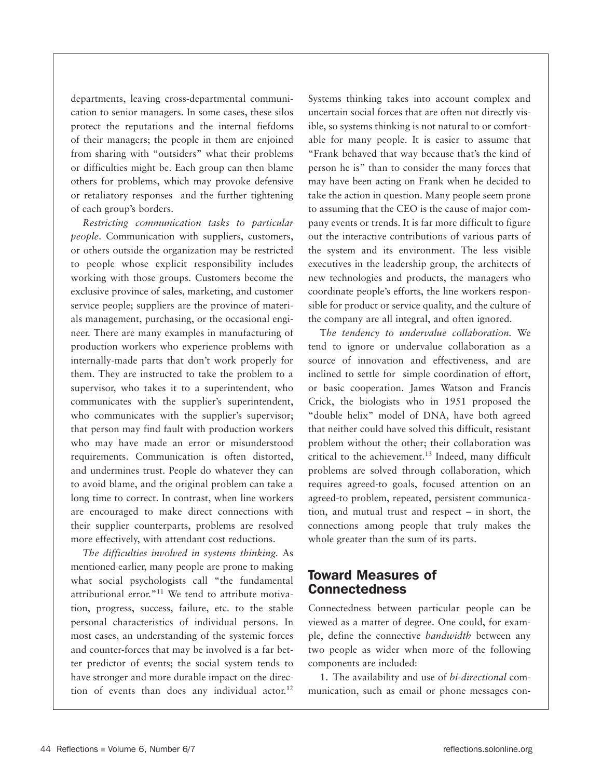departments, leaving cross-departmental communication to senior managers. In some cases, these silos protect the reputations and the internal fiefdoms of their managers; the people in them are enjoined from sharing with "outsiders" what their problems or difficulties might be. Each group can then blame others for problems, which may provoke defensive or retaliatory responses and the further tightening of each group's borders.

*Restricting communication tasks to particular people*. Communication with suppliers, customers, or others outside the organization may be restricted to people whose explicit responsibility includes working with those groups. Customers become the exclusive province of sales, marketing, and customer service people; suppliers are the province of materials management, purchasing, or the occasional engineer. There are many examples in manufacturing of production workers who experience problems with internally-made parts that don't work properly for them. They are instructed to take the problem to a supervisor, who takes it to a superintendent, who communicates with the supplier's superintendent, who communicates with the supplier's supervisor; that person may find fault with production workers who may have made an error or misunderstood requirements. Communication is often distorted, and undermines trust. People do whatever they can to avoid blame, and the original problem can take a long time to correct. In contrast, when line workers are encouraged to make direct connections with their supplier counterparts, problems are resolved more effectively, with attendant cost reductions.

*The difficulties involved in systems thinking.* As mentioned earlier, many people are prone to making what social psychologists call "the fundamental attributional error."<sup>11</sup> We tend to attribute motivation, progress, success, failure, etc. to the stable personal characteristics of individual persons. In most cases, an understanding of the systemic forces and counter-forces that may be involved is a far better predictor of events; the social system tends to have stronger and more durable impact on the direction of events than does any individual actor.<sup>12</sup> Systems thinking takes into account complex and uncertain social forces that are often not directly visible, so systems thinking is not natural to or comfortable for many people. It is easier to assume that "Frank behaved that way because that's the kind of person he is" than to consider the many forces that may have been acting on Frank when he decided to take the action in question. Many people seem prone to assuming that the CEO is the cause of major company events or trends. It is far more difficult to figure out the interactive contributions of various parts of the system and its environment. The less visible executives in the leadership group, the architects of new technologies and products, the managers who coordinate people's efforts, the line workers responsible for product or service quality, and the culture of the company are all integral, and often ignored.

T*he tendency to undervalue collaboration.* We tend to ignore or undervalue collaboration as a source of innovation and effectiveness, and are inclined to settle for simple coordination of effort, or basic cooperation. James Watson and Francis Crick, the biologists who in 1951 proposed the "double helix" model of DNA, have both agreed that neither could have solved this difficult, resistant problem without the other; their collaboration was critical to the achievement.<sup>13</sup> Indeed, many difficult problems are solved through collaboration, which requires agreed-to goals, focused attention on an agreed-to problem, repeated, persistent communication, and mutual trust and respect – in short, the connections among people that truly makes the whole greater than the sum of its parts.

# Toward Measures of Connectedness

Connectedness between particular people can be viewed as a matter of degree. One could, for example, define the connective *bandwidth* between any two people as wider when more of the following components are included:

1. The availability and use of *bi-directional* communication, such as email or phone messages con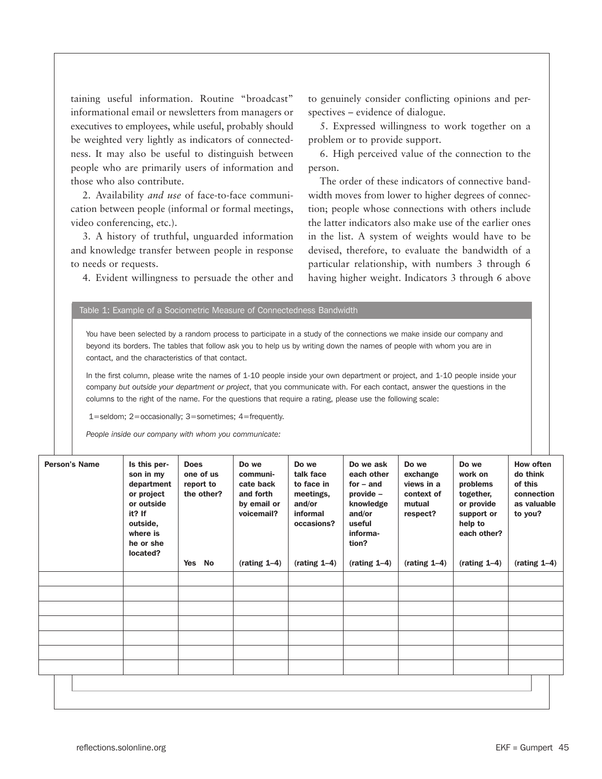taining useful information. Routine "broadcast" informational email or newsletters from managers or executives to employees, while useful, probably should be weighted very lightly as indicators of connectedness. It may also be useful to distinguish between people who are primarily users of information and those who also contribute.

2. Availability *and use* of face-to-face communication between people (informal or formal meetings, video conferencing, etc.).

3. A history of truthful, unguarded information and knowledge transfer between people in response to needs or requests.

4. Evident willingness to persuade the other and

to genuinely consider conflicting opinions and perspectives – evidence of dialogue.

5. Expressed willingness to work together on a problem or to provide support.

6. High perceived value of the connection to the person.

The order of these indicators of connective bandwidth moves from lower to higher degrees of connection; people whose connections with others include the latter indicators also make use of the earlier ones in the list. A system of weights would have to be devised, therefore, to evaluate the bandwidth of a particular relationship, with numbers 3 through 6 having higher weight. Indicators 3 through 6 above

#### Table 1: Example of a Sociometric Measure of Connectedness Bandwidth

You have been selected by a random process to participate in a study of the connections we make inside our company and beyond its borders. The tables that follow ask you to help us by writing down the names of people with whom you are in contact, and the characteristics of that contact.

In the first column, please write the names of 1-10 people inside your own department or project, and 1-10 people inside your company *but outside your department or project*, that you communicate with. For each contact, answer the questions in the columns to the right of the name. For the questions that require a rating, please use the following scale:

1=seldom; 2=occasionally; 3=sometimes; 4=frequently.

*People inside our company with whom you communicate:* 

| <b>Person's Name</b> | Is this per-<br>son in my<br>department<br>or project<br>or outside<br>it? If<br>outside,<br>where is<br>he or she<br>located? | <b>Does</b><br>one of us<br>report to<br>the other?<br>Yes<br>No | Do we<br>communi-<br>cate back<br>and forth<br>by email or<br>voicemail?<br>$(rating 1-4)$ | Do we<br>talk face<br>to face in<br>meetings,<br>and/or<br>informal<br>occasions?<br>$(rating 1-4)$ | Do we ask<br>each other<br>$for - and$<br>$provide -$<br>knowledge<br>and/or<br>useful<br>informa-<br>tion?<br>$(rating 1-4)$ | Do we<br>exchange<br>views in a<br>context of<br>mutual<br>respect?<br>$(rating 1-4)$ | Do we<br>work on<br>problems<br>together,<br>or provide<br>support or<br>help to<br>each other?<br>$(rating 1-4)$ | <b>How often</b><br>do think<br>of this<br>connection<br>as valuable<br>to you?<br>$(rating 1-4)$ |
|----------------------|--------------------------------------------------------------------------------------------------------------------------------|------------------------------------------------------------------|--------------------------------------------------------------------------------------------|-----------------------------------------------------------------------------------------------------|-------------------------------------------------------------------------------------------------------------------------------|---------------------------------------------------------------------------------------|-------------------------------------------------------------------------------------------------------------------|---------------------------------------------------------------------------------------------------|
|                      |                                                                                                                                |                                                                  |                                                                                            |                                                                                                     |                                                                                                                               |                                                                                       |                                                                                                                   |                                                                                                   |
|                      |                                                                                                                                |                                                                  |                                                                                            |                                                                                                     |                                                                                                                               |                                                                                       |                                                                                                                   |                                                                                                   |
|                      |                                                                                                                                |                                                                  |                                                                                            |                                                                                                     |                                                                                                                               |                                                                                       |                                                                                                                   |                                                                                                   |
|                      |                                                                                                                                |                                                                  |                                                                                            |                                                                                                     |                                                                                                                               |                                                                                       |                                                                                                                   |                                                                                                   |
|                      |                                                                                                                                |                                                                  |                                                                                            |                                                                                                     |                                                                                                                               |                                                                                       |                                                                                                                   |                                                                                                   |
|                      |                                                                                                                                |                                                                  |                                                                                            |                                                                                                     |                                                                                                                               |                                                                                       |                                                                                                                   |                                                                                                   |
|                      |                                                                                                                                |                                                                  |                                                                                            |                                                                                                     |                                                                                                                               |                                                                                       |                                                                                                                   |                                                                                                   |
|                      |                                                                                                                                |                                                                  |                                                                                            |                                                                                                     |                                                                                                                               |                                                                                       |                                                                                                                   |                                                                                                   |
|                      |                                                                                                                                |                                                                  |                                                                                            |                                                                                                     |                                                                                                                               |                                                                                       |                                                                                                                   |                                                                                                   |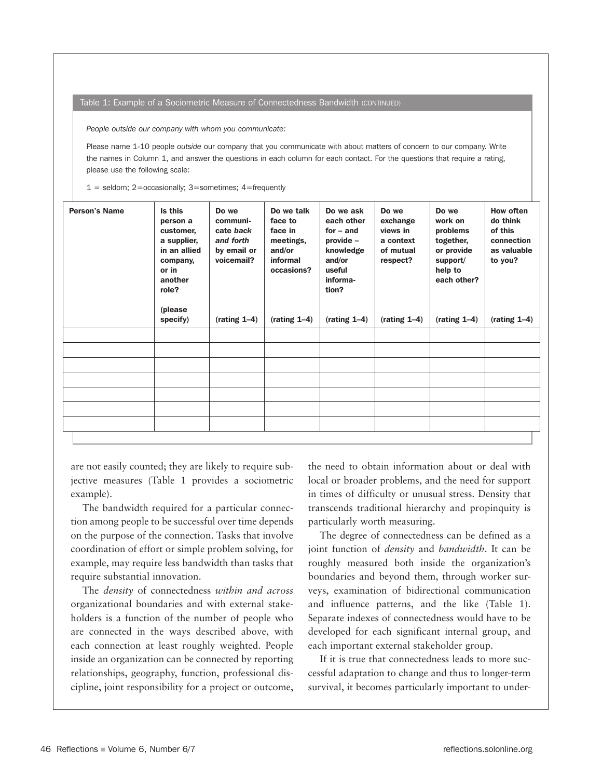Table 1: Example of a Sociometric Measure of Connectedness Bandwidth (CONTINUED)

*People outside our company with whom you communicate:*

Please name 1-10 people outside our company that you communicate with about matters of concern to our company. Write You have been selected by a random process to participate in a study of the connections we make inside our company and the names in Column 1, and answer the questions in each column for each contact. For the questions that require a rating, please use the following scale:

 $1 =$  seldom; 2=occasionally; 3=sometimes; 4=frequently

| <b>Person's Name</b> | Is this<br>person a<br>customer,<br>a supplier,<br>in an allied<br>company,<br>or in<br>another<br>role?<br>(please | Do we<br>communi-<br>cate back<br>and forth<br>by email or<br>voicemail? | Do we talk<br>face to<br>face in<br>meetings,<br>and/or<br>informal<br>occasions? | Do we ask<br>each other<br>for $-$ and<br>$provide -$<br>knowledge<br>and/or<br>useful<br>informa-<br>tion? | Do we<br>exchange<br>views in<br>a context<br>of mutual<br>respect? | Do we<br>work on<br>problems<br>together,<br>or provide<br>support/<br>help to<br>each other? | <b>How often</b><br>do think<br>of this<br>connection<br>as valuable<br>to you? |
|----------------------|---------------------------------------------------------------------------------------------------------------------|--------------------------------------------------------------------------|-----------------------------------------------------------------------------------|-------------------------------------------------------------------------------------------------------------|---------------------------------------------------------------------|-----------------------------------------------------------------------------------------------|---------------------------------------------------------------------------------|
|                      | specify)                                                                                                            | $(rating 1-4)$                                                           | $(rating 1-4)$                                                                    | $(rating 1-4)$                                                                                              | $(rating 1-4)$                                                      | $(rating 1-4)$                                                                                | $(rating 1-4)$                                                                  |
|                      |                                                                                                                     |                                                                          |                                                                                   |                                                                                                             |                                                                     |                                                                                               |                                                                                 |
|                      |                                                                                                                     |                                                                          |                                                                                   |                                                                                                             |                                                                     |                                                                                               |                                                                                 |
|                      |                                                                                                                     |                                                                          |                                                                                   |                                                                                                             |                                                                     |                                                                                               |                                                                                 |
|                      |                                                                                                                     |                                                                          |                                                                                   |                                                                                                             |                                                                     |                                                                                               |                                                                                 |
|                      |                                                                                                                     |                                                                          |                                                                                   |                                                                                                             |                                                                     |                                                                                               |                                                                                 |
|                      |                                                                                                                     |                                                                          |                                                                                   |                                                                                                             |                                                                     |                                                                                               |                                                                                 |
|                      |                                                                                                                     |                                                                          |                                                                                   |                                                                                                             |                                                                     |                                                                                               |                                                                                 |
|                      |                                                                                                                     |                                                                          |                                                                                   |                                                                                                             |                                                                     |                                                                                               |                                                                                 |

are not easily counted; they are likely to require subjective measures (Table 1 provides a sociometric example).

The bandwidth required for a particular connection among people to be successful over time depends on the purpose of the connection. Tasks that involve coordination of effort or simple problem solving, for example, may require less bandwidth than tasks that require substantial innovation.

The *density* of connectedness *within and across* organizational boundaries and with external stakeholders is a function of the number of people who are connected in the ways described above, with each connection at least roughly weighted. People inside an organization can be connected by reporting relationships, geography, function, professional discipline, joint responsibility for a project or outcome,

the need to obtain information about or deal with local or broader problems, and the need for support in times of difficulty or unusual stress. Density that transcends traditional hierarchy and propinquity is particularly worth measuring.

The degree of connectedness can be defined as a joint function of *density* and *bandwidth*. It can be roughly measured both inside the organization's boundaries and beyond them, through worker surveys, examination of bidirectional communication and influence patterns, and the like (Table 1). Separate indexes of connectedness would have to be developed for each significant internal group, and each important external stakeholder group.

If it is true that connectedness leads to more successful adaptation to change and thus to longer-term survival, it becomes particularly important to under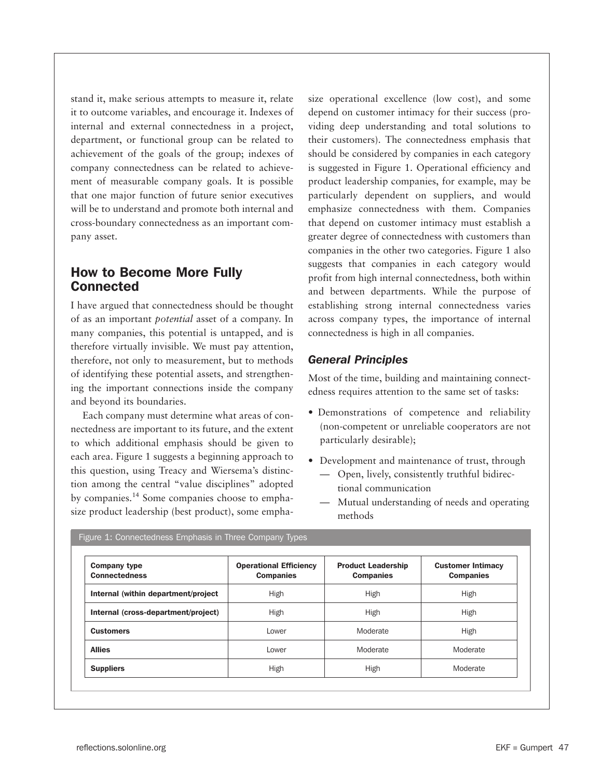stand it, make serious attempts to measure it, relate it to outcome variables, and encourage it. Indexes of internal and external connectedness in a project, department, or functional group can be related to achievement of the goals of the group; indexes of company connectedness can be related to achievement of measurable company goals. It is possible that one major function of future senior executives will be to understand and promote both internal and cross-boundary connectedness as an important company asset.

# How to Become More Fully **Connected**

I have argued that connectedness should be thought of as an important *potential* asset of a company. In many companies, this potential is untapped, and is therefore virtually invisible. We must pay attention, therefore, not only to measurement, but to methods of identifying these potential assets, and strengthening the important connections inside the company and beyond its boundaries.

Each company must determine what areas of connectedness are important to its future, and the extent to which additional emphasis should be given to each area. Figure 1 suggests a beginning approach to this question, using Treacy and Wiersema's distinction among the central "value disciplines" adopted by companies.14 Some companies choose to emphasize product leadership (best product), some empha-

size operational excellence (low cost), and some depend on customer intimacy for their success (providing deep understanding and total solutions to their customers). The connectedness emphasis that should be considered by companies in each category is suggested in Figure 1. Operational efficiency and product leadership companies, for example, may be particularly dependent on suppliers, and would emphasize connectedness with them. Companies that depend on customer intimacy must establish a greater degree of connectedness with customers than companies in the other two categories. Figure 1 also suggests that companies in each category would profit from high internal connectedness, both within and between departments. While the purpose of establishing strong internal connectedness varies across company types, the importance of internal connectedness is high in all companies.

# *General Principles*

Most of the time, building and maintaining connectedness requires attention to the same set of tasks:

- Demonstrations of competence and reliability (non-competent or unreliable cooperators are not particularly desirable);
- Development and maintenance of trust, through
	- Open, lively, consistently truthful bidirectional communication
	- Mutual understanding of needs and operating methods

| <b>Company type</b><br><b>Connectedness</b> | <b>Operational Efficiency</b><br><b>Companies</b> | <b>Product Leadership</b><br><b>Companies</b> | <b>Customer Intimacy</b><br><b>Companies</b> |
|---------------------------------------------|---------------------------------------------------|-----------------------------------------------|----------------------------------------------|
| Internal (within department/project         | High                                              | High                                          | High                                         |
| Internal (cross-department/project)         | High                                              | High                                          | High                                         |
| <b>Customers</b>                            | Lower                                             | Moderate                                      | High                                         |
| <b>Allies</b>                               | Lower                                             | Moderate                                      | Moderate                                     |
| <b>Suppliers</b>                            | High                                              | High                                          | Moderate                                     |

Figure 1: Connectedness Emphasis in Three Company Types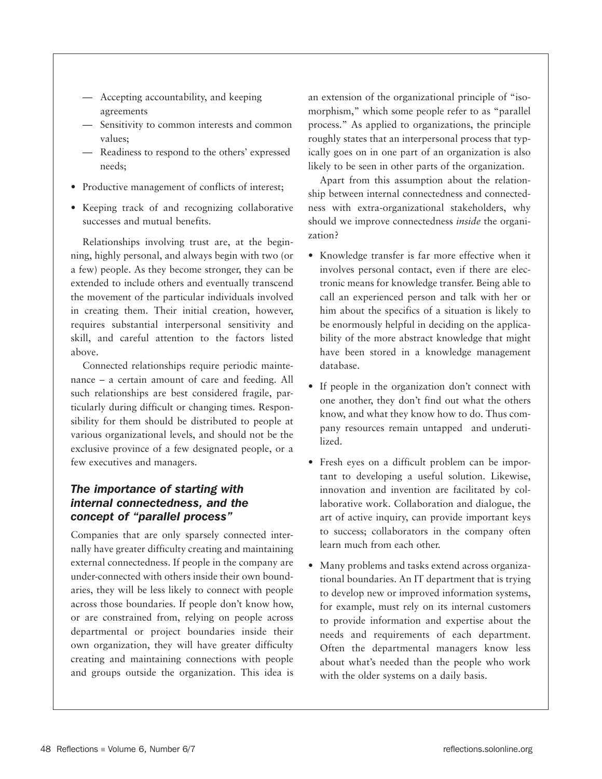- Accepting accountability, and keeping agreements
- Sensitivity to common interests and common values;
- Readiness to respond to the others' expressed needs;
- Productive management of conflicts of interest;
- Keeping track of and recognizing collaborative successes and mutual benefits.

Relationships involving trust are, at the beginning, highly personal, and always begin with two (or a few) people. As they become stronger, they can be extended to include others and eventually transcend the movement of the particular individuals involved in creating them. Their initial creation, however, requires substantial interpersonal sensitivity and skill, and careful attention to the factors listed above.

Connected relationships require periodic maintenance – a certain amount of care and feeding. All such relationships are best considered fragile, particularly during difficult or changing times. Responsibility for them should be distributed to people at various organizational levels, and should not be the exclusive province of a few designated people, or a few executives and managers.

# *The importance of starting with internal connectedness, and the concept of "parallel process"*

Companies that are only sparsely connected internally have greater difficulty creating and maintaining external connectedness. If people in the company are under-connected with others inside their own boundaries, they will be less likely to connect with people across those boundaries. If people don't know how, or are constrained from, relying on people across departmental or project boundaries inside their own organization, they will have greater difficulty creating and maintaining connections with people and groups outside the organization. This idea is an extension of the organizational principle of "isomorphism," which some people refer to as "parallel process." As applied to organizations, the principle roughly states that an interpersonal process that typically goes on in one part of an organization is also likely to be seen in other parts of the organization.

Apart from this assumption about the relationship between internal connectedness and connectedness with extra-organizational stakeholders, why should we improve connectedness *inside* the organization?

- Knowledge transfer is far more effective when it involves personal contact, even if there are electronic means for knowledge transfer. Being able to call an experienced person and talk with her or him about the specifics of a situation is likely to be enormously helpful in deciding on the applicability of the more abstract knowledge that might have been stored in a knowledge management database.
- If people in the organization don't connect with one another, they don't find out what the others know, and what they know how to do. Thus company resources remain untapped and underutilized.
- Fresh eyes on a difficult problem can be important to developing a useful solution. Likewise, innovation and invention are facilitated by collaborative work. Collaboration and dialogue, the art of active inquiry, can provide important keys to success; collaborators in the company often learn much from each other.
- Many problems and tasks extend across organizational boundaries. An IT department that is trying to develop new or improved information systems, for example, must rely on its internal customers to provide information and expertise about the needs and requirements of each department. Often the departmental managers know less about what's needed than the people who work with the older systems on a daily basis.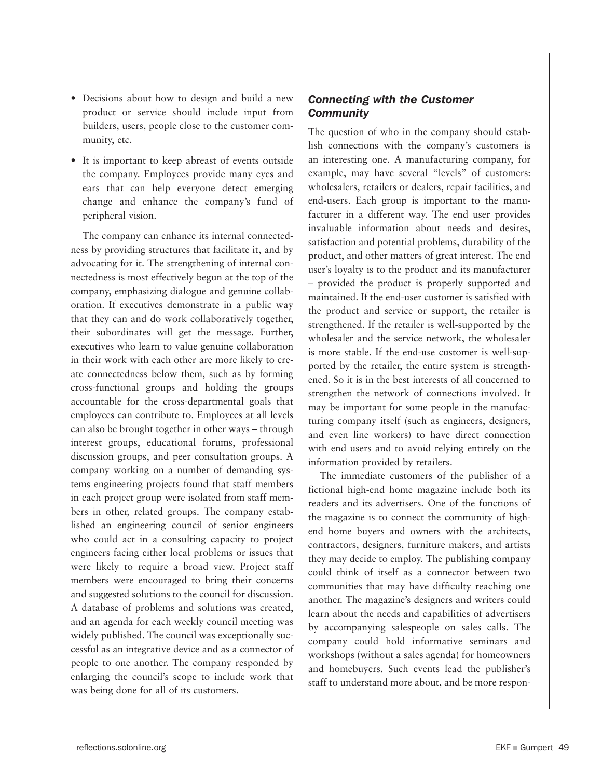- Decisions about how to design and build a new product or service should include input from builders, users, people close to the customer community, etc.
- It is important to keep abreast of events outside the company. Employees provide many eyes and ears that can help everyone detect emerging change and enhance the company's fund of peripheral vision.

The company can enhance its internal connectedness by providing structures that facilitate it, and by advocating for it. The strengthening of internal connectedness is most effectively begun at the top of the company, emphasizing dialogue and genuine collaboration. If executives demonstrate in a public way that they can and do work collaboratively together, their subordinates will get the message. Further, executives who learn to value genuine collaboration in their work with each other are more likely to create connectedness below them, such as by forming cross-functional groups and holding the groups accountable for the cross-departmental goals that employees can contribute to. Employees at all levels can also be brought together in other ways – through interest groups, educational forums, professional discussion groups, and peer consultation groups. A company working on a number of demanding systems engineering projects found that staff members in each project group were isolated from staff members in other, related groups. The company established an engineering council of senior engineers who could act in a consulting capacity to project engineers facing either local problems or issues that were likely to require a broad view. Project staff members were encouraged to bring their concerns and suggested solutions to the council for discussion. A database of problems and solutions was created, and an agenda for each weekly council meeting was widely published. The council was exceptionally successful as an integrative device and as a connector of people to one another. The company responded by enlarging the council's scope to include work that was being done for all of its customers.

# *Connecting with the Customer Community*

The question of who in the company should establish connections with the company's customers is an interesting one. A manufacturing company, for example, may have several "levels" of customers: wholesalers, retailers or dealers, repair facilities, and end-users. Each group is important to the manufacturer in a different way. The end user provides invaluable information about needs and desires, satisfaction and potential problems, durability of the product, and other matters of great interest. The end user's loyalty is to the product and its manufacturer – provided the product is properly supported and maintained. If the end-user customer is satisfied with the product and service or support, the retailer is strengthened. If the retailer is well-supported by the wholesaler and the service network, the wholesaler is more stable. If the end-use customer is well-supported by the retailer, the entire system is strengthened. So it is in the best interests of all concerned to strengthen the network of connections involved. It may be important for some people in the manufacturing company itself (such as engineers, designers, and even line workers) to have direct connection with end users and to avoid relying entirely on the information provided by retailers.

The immediate customers of the publisher of a fictional high-end home magazine include both its readers and its advertisers. One of the functions of the magazine is to connect the community of highend home buyers and owners with the architects, contractors, designers, furniture makers, and artists they may decide to employ. The publishing company could think of itself as a connector between two communities that may have difficulty reaching one another. The magazine's designers and writers could learn about the needs and capabilities of advertisers by accompanying salespeople on sales calls. The company could hold informative seminars and workshops (without a sales agenda) for homeowners and homebuyers. Such events lead the publisher's staff to understand more about, and be more respon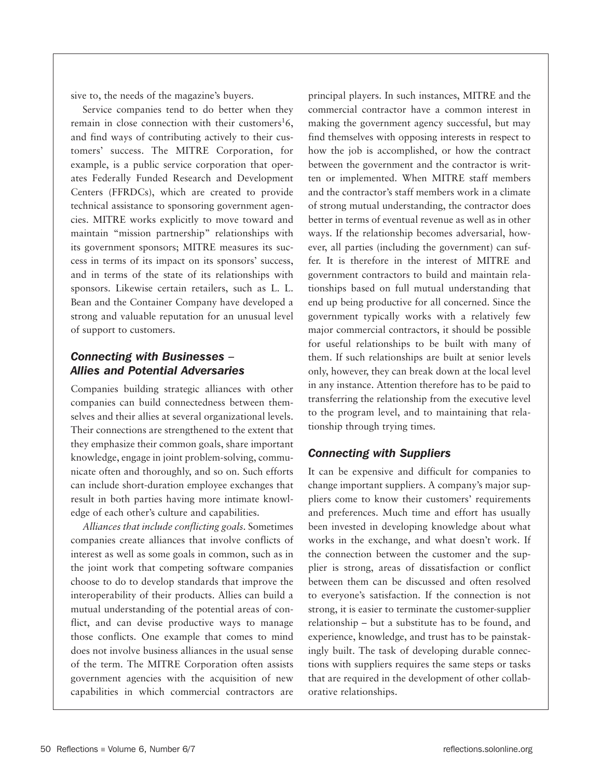sive to, the needs of the magazine's buyers.

Service companies tend to do better when they remain in close connection with their customers<sup>1</sup>6, and find ways of contributing actively to their customers' success. The MITRE Corporation, for example, is a public service corporation that operates Federally Funded Research and Development Centers (FFRDCs), which are created to provide technical assistance to sponsoring government agencies. MITRE works explicitly to move toward and maintain "mission partnership" relationships with its government sponsors; MITRE measures its success in terms of its impact on its sponsors' success, and in terms of the state of its relationships with sponsors. Likewise certain retailers, such as L. L. Bean and the Container Company have developed a strong and valuable reputation for an unusual level of support to customers.

#### *Connecting with Businesses – Allies and Potential Adversaries*

Companies building strategic alliances with other companies can build connectedness between themselves and their allies at several organizational levels. Their connections are strengthened to the extent that they emphasize their common goals, share important knowledge, engage in joint problem-solving, communicate often and thoroughly, and so on. Such efforts can include short-duration employee exchanges that result in both parties having more intimate knowledge of each other's culture and capabilities.

*Alliances that include conflicting goals.* Sometimes companies create alliances that involve conflicts of interest as well as some goals in common, such as in the joint work that competing software companies choose to do to develop standards that improve the interoperability of their products. Allies can build a mutual understanding of the potential areas of conflict, and can devise productive ways to manage those conflicts. One example that comes to mind does not involve business alliances in the usual sense of the term. The MITRE Corporation often assists government agencies with the acquisition of new capabilities in which commercial contractors are

principal players. In such instances, MITRE and the commercial contractor have a common interest in making the government agency successful, but may find themselves with opposing interests in respect to how the job is accomplished, or how the contract between the government and the contractor is written or implemented. When MITRE staff members and the contractor's staff members work in a climate of strong mutual understanding, the contractor does better in terms of eventual revenue as well as in other ways. If the relationship becomes adversarial, however, all parties (including the government) can suffer. It is therefore in the interest of MITRE and government contractors to build and maintain relationships based on full mutual understanding that end up being productive for all concerned. Since the government typically works with a relatively few major commercial contractors, it should be possible for useful relationships to be built with many of them. If such relationships are built at senior levels only, however, they can break down at the local level in any instance. Attention therefore has to be paid to transferring the relationship from the executive level to the program level, and to maintaining that relationship through trying times.

#### *Connecting with Suppliers*

It can be expensive and difficult for companies to change important suppliers. A company's major suppliers come to know their customers' requirements and preferences. Much time and effort has usually been invested in developing knowledge about what works in the exchange, and what doesn't work. If the connection between the customer and the supplier is strong, areas of dissatisfaction or conflict between them can be discussed and often resolved to everyone's satisfaction. If the connection is not strong, it is easier to terminate the customer-supplier relationship – but a substitute has to be found, and experience, knowledge, and trust has to be painstakingly built. The task of developing durable connections with suppliers requires the same steps or tasks that are required in the development of other collaborative relationships.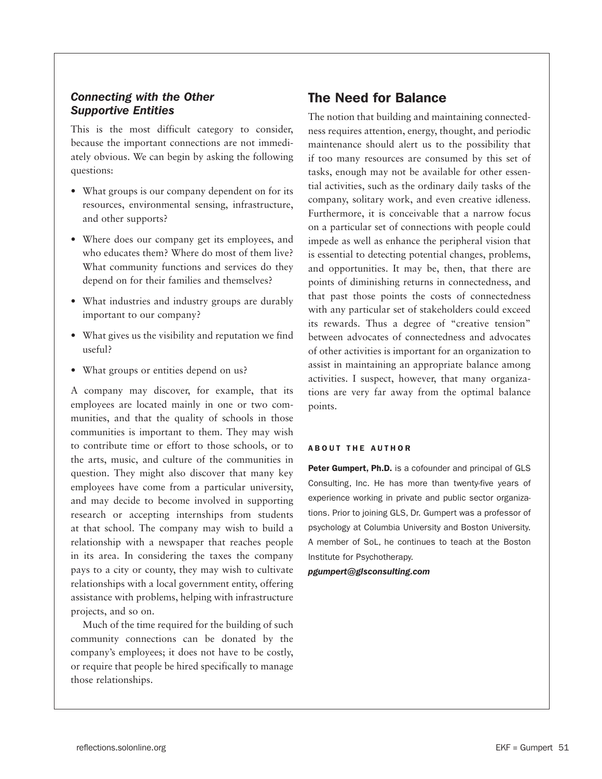#### *Connecting with the Other Supportive Entities*

This is the most difficult category to consider, because the important connections are not immediately obvious. We can begin by asking the following questions:

- What groups is our company dependent on for its resources, environmental sensing, infrastructure, and other supports?
- Where does our company get its employees, and who educates them? Where do most of them live? What community functions and services do they depend on for their families and themselves?
- What industries and industry groups are durably important to our company?
- What gives us the visibility and reputation we find useful?
- What groups or entities depend on us?

A company may discover, for example, that its employees are located mainly in one or two communities, and that the quality of schools in those communities is important to them. They may wish to contribute time or effort to those schools, or to the arts, music, and culture of the communities in question. They might also discover that many key employees have come from a particular university, and may decide to become involved in supporting research or accepting internships from students at that school. The company may wish to build a relationship with a newspaper that reaches people in its area. In considering the taxes the company pays to a city or county, they may wish to cultivate relationships with a local government entity, offering assistance with problems, helping with infrastructure projects, and so on.

Much of the time required for the building of such community connections can be donated by the company's employees; it does not have to be costly, or require that people be hired specifically to manage those relationships.

# The Need for Balance

The notion that building and maintaining connectedness requires attention, energy, thought, and periodic maintenance should alert us to the possibility that if too many resources are consumed by this set of tasks, enough may not be available for other essential activities, such as the ordinary daily tasks of the company, solitary work, and even creative idleness. Furthermore, it is conceivable that a narrow focus on a particular set of connections with people could impede as well as enhance the peripheral vision that is essential to detecting potential changes, problems, and opportunities. It may be, then, that there are points of diminishing returns in connectedness, and that past those points the costs of connectedness with any particular set of stakeholders could exceed its rewards. Thus a degree of "creative tension" between advocates of connectedness and advocates of other activities is important for an organization to assist in maintaining an appropriate balance among activities. I suspect, however, that many organizations are very far away from the optimal balance points.

#### **ABOUT THE AUTHOR**

Peter Gumpert, Ph.D. is a cofounder and principal of GLS Consulting, Inc. He has more than twenty-five years of experience working in private and public sector organizations. Prior to joining GLS, Dr. Gumpert was a professor of psychology at Columbia University and Boston University. A member of SoL, he continues to teach at the Boston Institute for Psychotherapy.

*pgumpert@glsconsulting.com*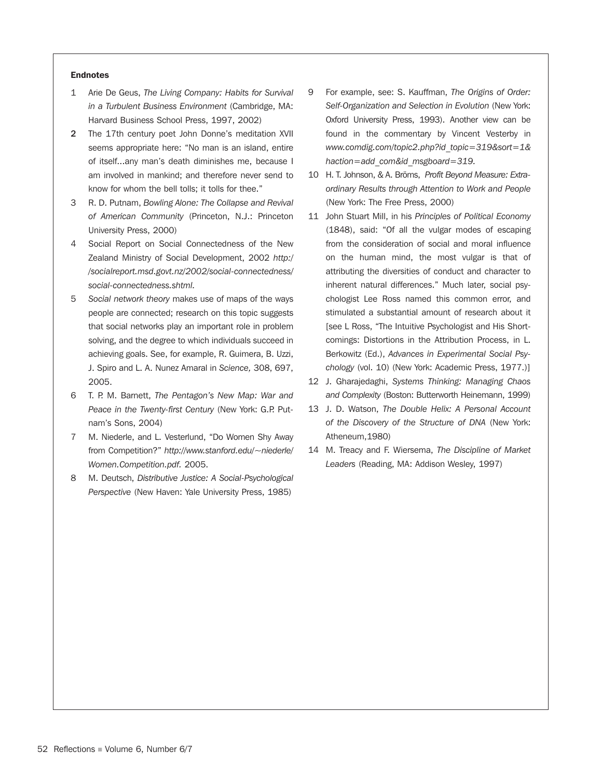#### Endnotes

- 1 Arie De Geus, *The Living Company: Habits for Survival in a Turbulent Business Environment* (Cambridge, MA: Harvard Business School Press, 1997, 2002)
- 2 The 17th century poet John Donne's meditation XVII seems appropriate here: "No man is an island, entire of itself...any man's death diminishes me, because I am involved in mankind; and therefore never send to know for whom the bell tolls; it tolls for thee."
- 3 R. D. Putnam, *Bowling Alone: The Collapse and Revival of American Community* (Princeton, N.J.: Princeton University Press, 2000)
- Social Report on Social Connectedness of the New Zealand Ministry of Social Development, 2002 *http:/ /socialreport.msd.govt.nz/2002/social-connectedness/ social-connectedness.shtml.*
- 5 *Social network theory* makes use of maps of the ways people are connected; research on this topic suggests that social networks play an important role in problem solving, and the degree to which individuals succeed in achieving goals. See, for example, R. Guimera, B. Uzzi, J. Spiro and L. A. Nunez Amaral in *Science,* 308, 697, 2005.
- 6 T. P. M. Barnett, *The Pentagon's New Map: War and Peace in the Twenty-first Century* (New York: G.P. Putnam's Sons, 2004)
- 7 M. Niederle, and L. Vesterlund, "Do Women Shy Away from Competition?" *http://www.stanford.edu/~niederle/ Women.Competition.pdf.* 2005.
- 8 M. Deutsch, *Distributive Justice: A Social-Psychological Perspective* (New Haven: Yale University Press, 1985)
- 9 For example, see: S. Kauffman, *The Origins of Order: Self-Organization and Selection in Evolution* (New York: Oxford University Press, 1993). Another view can be found in the commentary by Vincent Vesterby in *www.comdig.com/topic2.php?id\_topic=319&sort=1& haction=add\_com&id\_msgboard=319.*
- 10 H. T. Johnson, & A. Bröms, *Profit Beyond Measure: Extraordinary Results through Attention to Work and People*  (New York: The Free Press, 2000)
- 11 John Stuart Mill, in his *Principles of Political Economy*  (1848), said: "Of all the vulgar modes of escaping from the consideration of social and moral influence on the human mind, the most vulgar is that of attributing the diversities of conduct and character to inherent natural differences." Much later, social psychologist Lee Ross named this common error, and stimulated a substantial amount of research about it [see L Ross, "The Intuitive Psychologist and His Shortcomings: Distortions in the Attribution Process, in L. Berkowitz (Ed.), *Advances in Experimental Social Psychology* (vol. 10) (New York: Academic Press, 1977.)]
- 12 J. Gharajedaghi, *Systems Thinking: Managing Chaos and Complexity* (Boston: Butterworth Heinemann, 1999)
- 13 J. D. Watson, *The Double Helix: A Personal Account of the Discovery of the Structure of DNA* (New York: Atheneum,1980)
- 14 M. Treacy and F. Wiersema, *The Discipline of Market Leaders* (Reading, MA: Addison Wesley, 1997)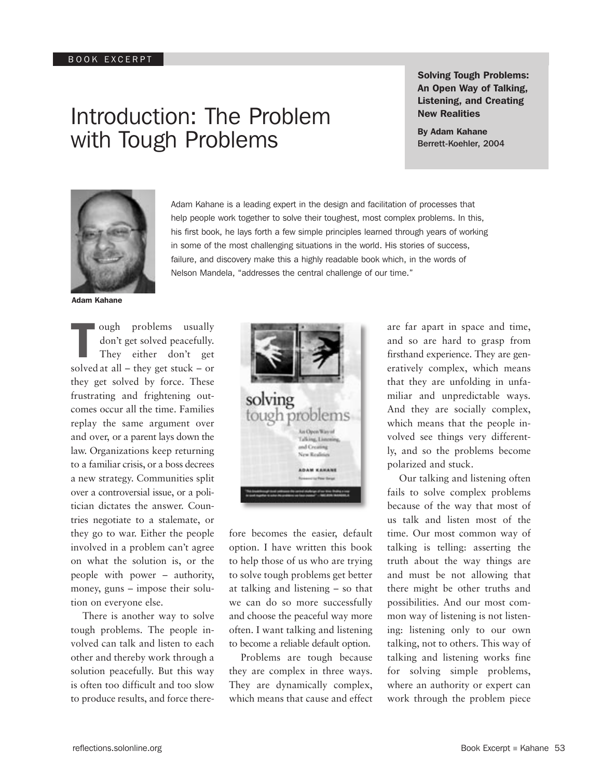# Introduction: The Problem with Tough Problems

Solving Tough Problems: An Open Way of Talking, Listening, and Creating New Realities

By Adam Kahane Berrett-Koehler, 2004



Adam Kahane is a leading expert in the design and facilitation of processes that help people work together to solve their toughest, most complex problems. In this, his first book, he lays forth a few simple principles learned through years of working in some of the most challenging situations in the world. His stories of success, failure, and discovery make this a highly readable book which, in the words of Nelson Mandela, "addresses the central challenge of our time."

Adam Kahane

ough problems usually don't get solved peacefully. They either don't get solved at all – they get stuck – or they get solved by force. These frustrating and frightening outcomes occur all the time. Families replay the same argument over and over, or a parent lays down the law. Organizations keep returning to a familiar crisis, or a boss decrees a new strategy. Communities split over a controversial issue, or a politician dictates the answer. Countries negotiate to a stalemate, or they go to war. Either the people involved in a problem can't agree on what the solution is, or the people with power – authority, money, guns – impose their solution on everyone else. T

There is another way to solve tough problems. The people involved can talk and listen to each other and thereby work through a solution peacefully. But this way is often too difficult and too slow to produce results, and force there-



fore becomes the easier, default option. I have written this book to help those of us who are trying to solve tough problems get better at talking and listening – so that we can do so more successfully and choose the peaceful way more often. I want talking and listening to become a reliable default option.

Problems are tough because they are complex in three ways. They are dynamically complex, which means that cause and effect are far apart in space and time, and so are hard to grasp from firsthand experience. They are generatively complex, which means that they are unfolding in unfamiliar and unpredictable ways. And they are socially complex, which means that the people involved see things very differently, and so the problems become polarized and stuck.

Our talking and listening often fails to solve complex problems because of the way that most of us talk and listen most of the time. Our most common way of talking is telling: asserting the truth about the way things are and must be not allowing that there might be other truths and possibilities. And our most common way of listening is not listening: listening only to our own talking, not to others. This way of talking and listening works fine for solving simple problems, where an authority or expert can work through the problem piece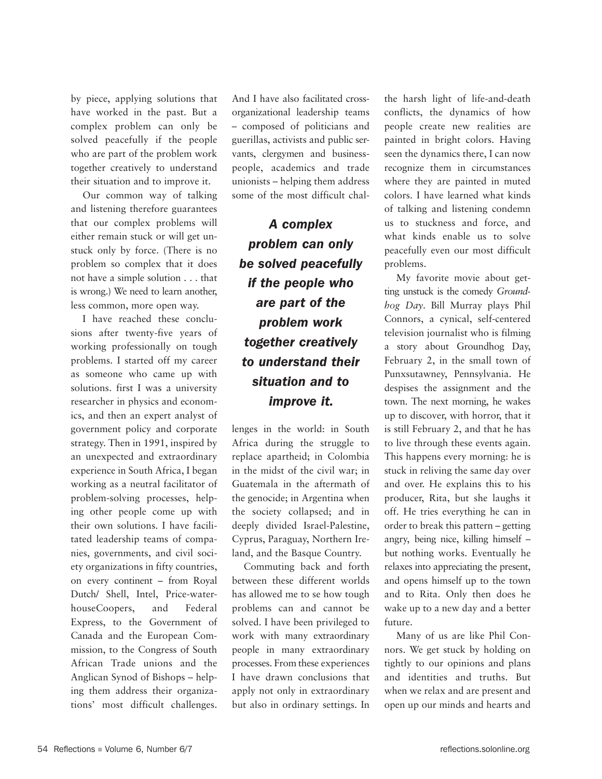by piece, applying solutions that have worked in the past. But a complex problem can only be solved peacefully if the people who are part of the problem work together creatively to understand their situation and to improve it.

Our common way of talking and listening therefore guarantees that our complex problems will either remain stuck or will get unstuck only by force. (There is no problem so complex that it does not have a simple solution . . . that is wrong.) We need to learn another, less common, more open way.

I have reached these conclusions after twenty-five years of working professionally on tough problems. I started off my career as someone who came up with solutions. first I was a university researcher in physics and economics, and then an expert analyst of government policy and corporate strategy. Then in 1991, inspired by an unexpected and extraordinary experience in South Africa, I began working as a neutral facilitator of problem-solving processes, helping other people come up with their own solutions. I have facilitated leadership teams of companies, governments, and civil society organizations in fifty countries, on every continent – from Royal Dutch/ Shell, Intel, Price-waterhouseCoopers, and Federal Express, to the Government of Canada and the European Commission, to the Congress of South African Trade unions and the Anglican Synod of Bishops – helping them address their organizations' most difficult challenges.

And I have also facilitated crossorganizational leadership teams – composed of politicians and guerillas, activists and public servants, clergymen and businesspeople, academics and trade unionists – helping them address some of the most difficult chal-

*A complex problem can only be solved peacefully if the people who are part of the problem work together creatively to understand their situation and to improve it.*

lenges in the world: in South Africa during the struggle to replace apartheid; in Colombia in the midst of the civil war; in Guatemala in the aftermath of the genocide; in Argentina when the society collapsed; and in deeply divided Israel-Palestine, Cyprus, Paraguay, Northern Ireland, and the Basque Country.

Commuting back and forth between these different worlds has allowed me to se how tough problems can and cannot be solved. I have been privileged to work with many extraordinary people in many extraordinary processes. From these experiences I have drawn conclusions that apply not only in extraordinary but also in ordinary settings. In the harsh light of life-and-death conflicts, the dynamics of how people create new realities are painted in bright colors. Having seen the dynamics there, I can now recognize them in circumstances where they are painted in muted colors. I have learned what kinds of talking and listening condemn us to stuckness and force, and what kinds enable us to solve peacefully even our most difficult problems.

My favorite movie about getting unstuck is the comedy *Groundhog Day*. Bill Murray plays Phil Connors, a cynical, self-centered television journalist who is filming a story about Groundhog Day, February 2, in the small town of Punxsutawney, Pennsylvania. He despises the assignment and the town. The next morning, he wakes up to discover, with horror, that it is still February 2, and that he has to live through these events again. This happens every morning: he is stuck in reliving the same day over and over. He explains this to his producer, Rita, but she laughs it off. He tries everything he can in order to break this pattern – getting angry, being nice, killing himself – but nothing works. Eventually he relaxes into appreciating the present, and opens himself up to the town and to Rita. Only then does he wake up to a new day and a better future.

Many of us are like Phil Connors. We get stuck by holding on tightly to our opinions and plans and identities and truths. But when we relax and are present and open up our minds and hearts and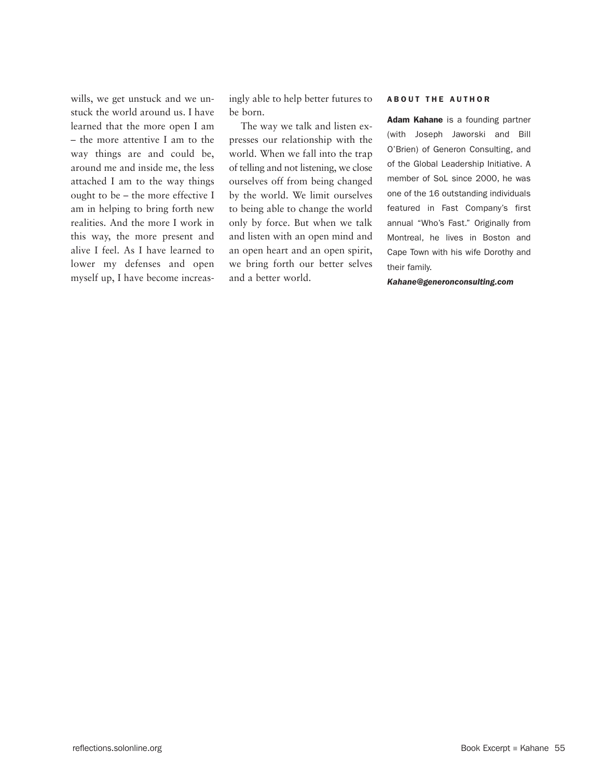wills, we get unstuck and we unstuck the world around us. I have learned that the more open I am – the more attentive I am to the way things are and could be, around me and inside me, the less attached I am to the way things ought to be – the more effective I am in helping to bring forth new realities. And the more I work in this way, the more present and alive I feel. As I have learned to lower my defenses and open myself up, I have become increasingly able to help better futures to be born.

The way we talk and listen expresses our relationship with the world. When we fall into the trap of telling and not listening, we close ourselves off from being changed by the world. We limit ourselves to being able to change the world only by force. But when we talk and listen with an open mind and an open heart and an open spirit, we bring forth our better selves and a better world.

#### **ABOUT THE AUTHOR**

Adam Kahane is a founding partner (with Joseph Jaworski and Bill O'Brien) of Generon Consulting, and of the Global Leadership Initiative. A member of SoL since 2000, he was one of the 16 outstanding individuals featured in Fast Company's first annual "Who's Fast." Originally from Montreal, he lives in Boston and Cape Town with his wife Dorothy and their family.

*Kahane@generonconsulting.com*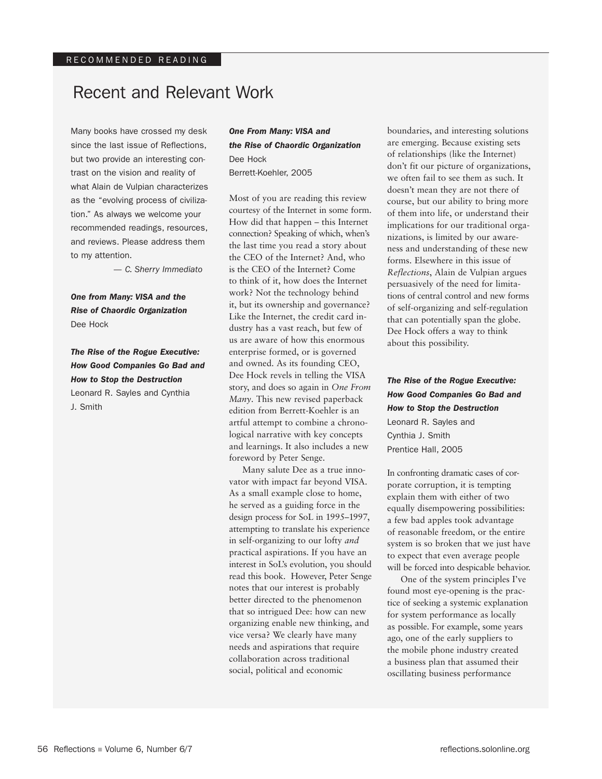# Recent and Relevant Work

Many books have crossed my desk since the last issue of Reflections, but two provide an interesting contrast on the vision and reality of what Alain de Vulpian characterizes as the "evolving process of civilization." As always we welcome your recommended readings, resources, and reviews. Please address them to my attention.

*— C. Sherry Immediato*

*One from Many: VISA and the Rise of Chaordic Organization*  Dee Hock

*The Rise of the Rogue Executive: How Good Companies Go Bad and How to Stop the Destruction*  Leonard R. Sayles and Cynthia J. Smith

#### *One From Many: VISA and the Rise of Chaordic Organization*  Dee Hock Berrett-Koehler, 2005

Most of you are reading this review courtesy of the Internet in some form. How did that happen – this Internet connection? Speaking of which, when's the last time you read a story about the CEO of the Internet? And, who is the CEO of the Internet? Come to think of it, how does the Internet work? Not the technology behind it, but its ownership and governance? Like the Internet, the credit card industry has a vast reach, but few of us are aware of how this enormous enterprise formed, or is governed and owned. As its founding CEO, Dee Hock revels in telling the VISA story, and does so again in *One From Many*. This new revised paperback edition from Berrett-Koehler is an artful attempt to combine a chronological narrative with key concepts and learnings. It also includes a new foreword by Peter Senge.

 Many salute Dee as a true innovator with impact far beyond VISA. As a small example close to home, he served as a guiding force in the design process for SoL in 1995–1997, attempting to translate his experience in self-organizing to our lofty *and* practical aspirations. If you have an interest in SoL's evolution, you should read this book. However, Peter Senge notes that our interest is probably better directed to the phenomenon that so intrigued Dee: how can new organizing enable new thinking, and vice versa? We clearly have many needs and aspirations that require collaboration across traditional social, political and economic

boundaries, and interesting solutions are emerging. Because existing sets of relationships (like the Internet) don't fit our picture of organizations, we often fail to see them as such. It doesn't mean they are not there of course, but our ability to bring more of them into life, or understand their implications for our traditional organizations, is limited by our awareness and understanding of these new forms. Elsewhere in this issue of *Reflections*, Alain de Vulpian argues persuasively of the need for limitations of central control and new forms of self-organizing and self-regulation that can potentially span the globe. Dee Hock offers a way to think about this possibility.

#### *The Rise of the Rogue Executive: How Good Companies Go Bad and How to Stop the Destruction*

Leonard R. Sayles and Cynthia J. Smith Prentice Hall, 2005

In confronting dramatic cases of corporate corruption, it is tempting explain them with either of two equally disempowering possibilities: a few bad apples took advantage of reasonable freedom, or the entire system is so broken that we just have to expect that even average people will be forced into despicable behavior.

 One of the system principles I've found most eye-opening is the practice of seeking a systemic explanation for system performance as locally as possible. For example, some years ago, one of the early suppliers to the mobile phone industry created a business plan that assumed their oscillating business performance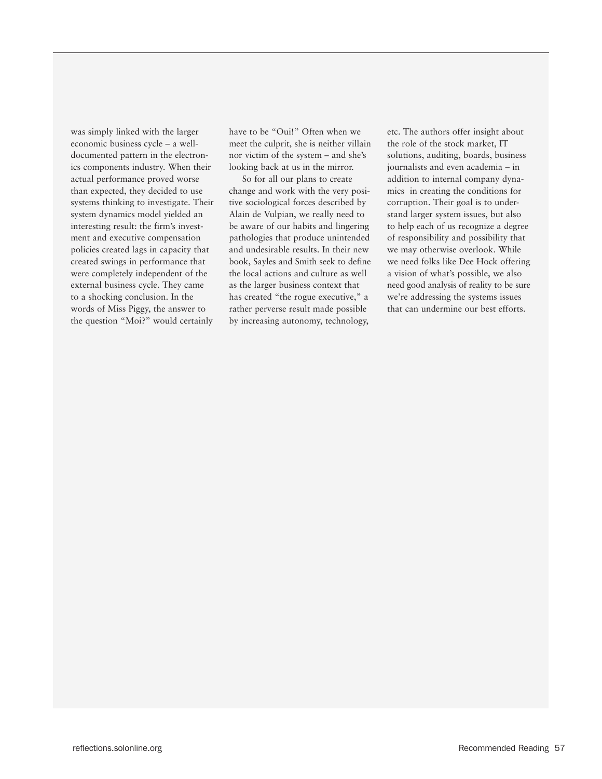was simply linked with the larger economic business cycle – a welldocumented pattern in the electronics components industry. When their actual performance proved worse than expected, they decided to use systems thinking to investigate. Their system dynamics model yielded an interesting result: the firm's investment and executive compensation policies created lags in capacity that created swings in performance that were completely independent of the external business cycle. They came to a shocking conclusion. In the words of Miss Piggy, the answer to the question "Moi?" would certainly

have to be "Oui!" Often when we meet the culprit, she is neither villain nor victim of the system – and she's looking back at us in the mirror.

 So for all our plans to create change and work with the very positive sociological forces described by Alain de Vulpian, we really need to be aware of our habits and lingering pathologies that produce unintended and undesirable results. In their new book, Sayles and Smith seek to define the local actions and culture as well as the larger business context that has created "the rogue executive," a rather perverse result made possible by increasing autonomy, technology,

etc. The authors offer insight about the role of the stock market, IT solutions, auditing, boards, business journalists and even academia – in addition to internal company dynamics in creating the conditions for corruption. Their goal is to understand larger system issues, but also to help each of us recognize a degree of responsibility and possibility that we may otherwise overlook. While we need folks like Dee Hock offering a vision of what's possible, we also need good analysis of reality to be sure we're addressing the systems issues that can undermine our best efforts.